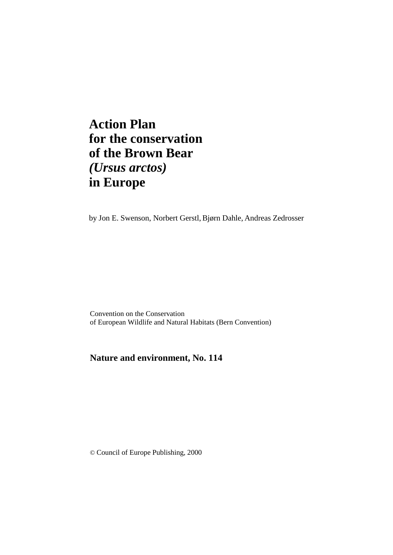# **Action Plan for the conservation of the Brown Bear**  *(Ursus arctos)*  **in Europe**

by Jon E. Swenson, Norbert Gerstl,Bjørn Dahle, Andreas Zedrosser

 Convention on the Conservation of European Wildlife and Natural Habitats (Bern Convention)

## **Nature and environment, No. 114**

© Council of Europe Publishing, 2000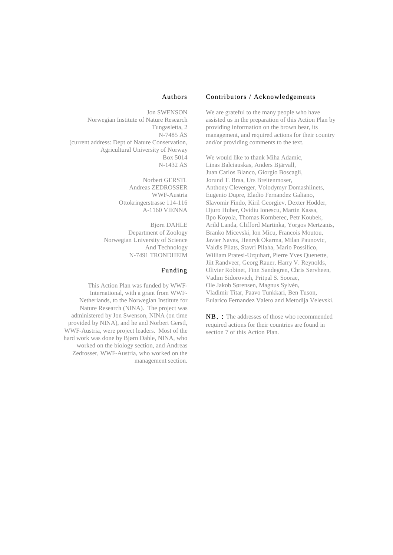### **Authors**

Jon SWENSON Norwegian Institute of Nature Research Tungasletta, 2 N-7485 ÅS (current address: Dept of Nature Conservation, Agricultural University of Norway Box 5014 N-1432 ÅS

> Norbert GERSTL Andreas ZEDROSSER WWF-Austria Ottokringerstrasse 114-116 A-1160 VIENNA

Bjørn DAHLE Department of Zoology Norwegian University of Science And Technology N-7491 TRONDHEIM

#### Funding

This Action Plan was funded by WWF-International, with a grant from WWF-Netherlands, to the Norwegian Institute for Nature Research (NINA). The project was administered by Jon Swenson, NINA (on time provided by NINA), and he and Norbert Gerstl, WWF-Austria, were project leaders. Most of the hard work was done by Bjørn Dahle, NINA, who worked on the biology section, and Andreas Zedrosser, WWF-Austria, who worked on the management section.

#### Contributors / Acknowledgements

We are grateful to the many people who have assisted us in the preparation of this Action Plan by providing information on the brown bear, its management, and required actions for their country and/or providing comments to the text.

We would like to thank Miha Adamic. Linas Balciauskas, Anders Bjärvall, Juan Carlos Blanco, Giorgio Boscagli, Jorund T. Braa, Urs Breitenmoser, Anthony Clevenger, Volodymyr Domashlinets, Eugenio Dupre, Eladio Fernandez Galiano, Slavomir Findo, Kiril Georgiev, Dexter Hodder, Djuro Huber, Ovidiu Ionescu, Martin Kassa, Ilpo Koyola, Thomas Komberec, Petr Koubek, Arild Landa, Clifford Martinka, Yorgos Mertzanis, Branko Micevski, Ion Micu, Francois Moutou, Javier Naves, Henryk Okarma, Milan Paunovic, Valdis Pilats, Stavri Pllaha, Mario Possilico, William Pratesi-Urquhart, Pierre Yves Quenette, Jiit Randveer, Georg Rauer, Harry V. Reynolds, Olivier Robinet, Finn Sandegren, Chris Servheen, Vadim Sidorovich, Pritpal S. Soorae, Ole Jakob Sørensen, Magnus Sylvén, Vladimir Titar, Paavo Tunkkari, Ben Tuson, Eularico Fernandez Valero and Metodija Velevski.

NB. : The addresses of those who recommended required actions for their countries are found in section 7 of this Action Plan.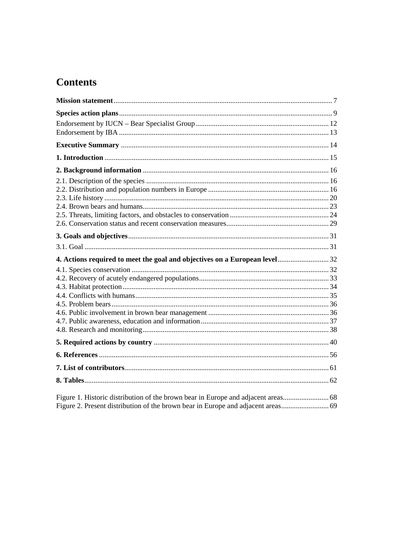# **Contents**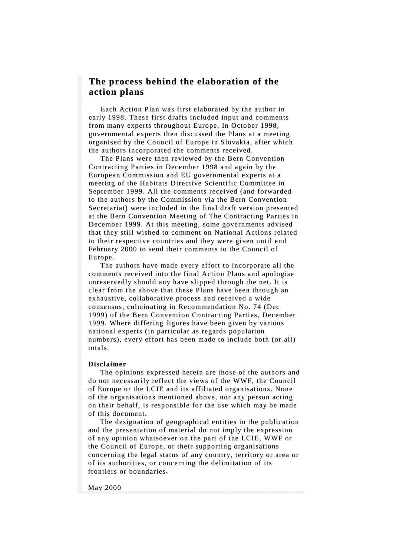### **The process behind the elaboration of the action plans**

Each Action Plan was first elaborated by the author in early 1998. These first drafts included input and comments from many experts throughout Europe. In October 1998, governmental experts then discussed the Plans at a meeting organised by the Council of Europe in Slovakia, after which the authors incorporated the comments received.

The Plans were then reviewed by the Bern Convention Contracting Parties in December 1998 and again by the European Commission and EU governmental experts at a meeting of the Habitats Directive Scientific Committee in September 1999. All the comments received (and forwarded to the authors by the Commission via the Bern Convention Secretariat) were included in the final draft version presented at the Bern Convention Meeting of The Contracting Parties in December 1999. At this meeting, some governments advised that they still wished to comment on National Actions related to their respective countries and they were given until end February 2000 to send their comments to the Council of Europe.

The authors have made every effort to incorporate all the comments received into the final Action Plans and apologise unreservedly should any have slipped through the net. It is clear from the above that these Plans have been through an exhaustive, collaborative process and received a wide consensus, culminating in Recommendation No. 74 (Dec 1999) of the Bern Convention Contracting Parties, December 1999. Where differing figures have been given by various national experts (in particular as regards population numbers), every effort has been made to include both (or all) totals.

#### **Disclaimer**

The opinions expressed herein are those of the authors and do not necessarily reflect the views of the WWF, the Council of Europe or the LCIE and its affiliated organisations. None of the organisations mentioned above, nor any person acting on their behalf, is responsible for the use which may be made of this document.

The designation of geographical entities in the publication and the presentation of material do not imply the expression of any opinion whatsoever on the part of the LCIE, WWF or the Council of Europe, or their supporting organisations concerning the legal status of any country, territory or area or of its authorities, or concerning the delimitation of its frontiers or boundaries**.**

May 2000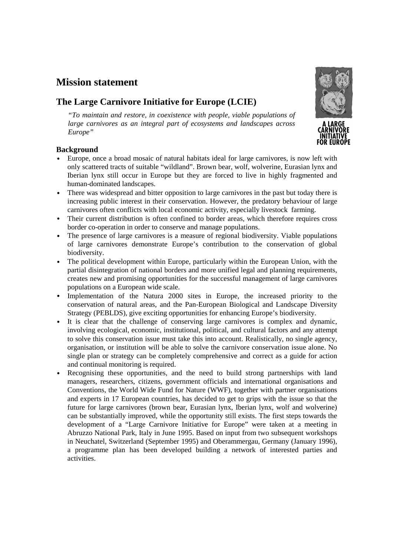# **Mission statement**

### **The Large Carnivore Initiative for Europe (LCIE)**

*"To maintain and restore, in coexistence with people, viable populations of large carnivores as an integral part of ecosystems and landscapes across Europe"* 



### **Background**

- Europe, once a broad mosaic of natural habitats ideal for large carnivores, is now left with only scattered tracts of suitable "wildland". Brown bear, wolf, wolverine, Eurasian lynx and Iberian lynx still occur in Europe but they are forced to live in highly fragmented and human-dominated landscapes.
- There was widespread and bitter opposition to large carnivores in the past but today there is increasing public interest in their conservation. However, the predatory behaviour of large carnivores often conflicts with local economic activity, especially livestock farming.
- Their current distribution is often confined to border areas, which therefore requires cross border co-operation in order to conserve and manage populations.
- The presence of large carnivores is a measure of regional biodiversity. Viable populations of large carnivores demonstrate Europe's contribution to the conservation of global biodiversity.
- The political development within Europe, particularly within the European Union, with the partial disintegration of national borders and more unified legal and planning requirements, creates new and promising opportunities for the successful management of large carnivores populations on a European wide scale.
- Implementation of the Natura 2000 sites in Europe, the increased priority to the conservation of natural areas, and the Pan-European Biological and Landscape Diversity Strategy (PEBLDS), give exciting opportunities for enhancing Europe's biodiversity.
- It is clear that the challenge of conserving large carnivores is complex and dynamic, involving ecological, economic, institutional, political, and cultural factors and any attempt to solve this conservation issue must take this into account. Realistically, no single agency, organisation, or institution will be able to solve the carnivore conservation issue alone. No single plan or strategy can be completely comprehensive and correct as a guide for action and continual monitoring is required.
- Recognising these opportunities, and the need to build strong partnerships with land managers, researchers, citizens, government officials and international organisations and Conventions, the World Wide Fund for Nature (WWF), together with partner organisations and experts in 17 European countries, has decided to get to grips with the issue so that the future for large carnivores (brown bear, Eurasian lynx, Iberian lynx, wolf and wolverine) can be substantially improved, while the opportunity still exists. The first steps towards the development of a "Large Carnivore Initiative for Europe" were taken at a meeting in Abruzzo National Park, Italy in June 1995. Based on input from two subsequent workshops in Neuchatel, Switzerland (September 1995) and Oberammergau, Germany (January 1996), a programme plan has been developed building a network of interested parties and activities.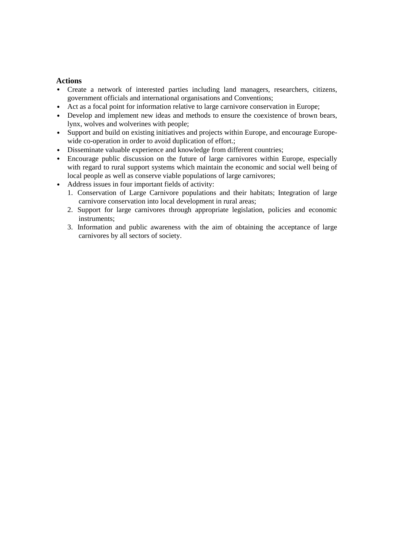#### **Actions**

- Create a network of interested parties including land managers, researchers, citizens, government officials and international organisations and Conventions;
- Act as a focal point for information relative to large carnivore conservation in Europe;
- Develop and implement new ideas and methods to ensure the coexistence of brown bears, lynx, wolves and wolverines with people;
- Support and build on existing initiatives and projects within Europe, and encourage Europewide co-operation in order to avoid duplication of effort.;
- Disseminate valuable experience and knowledge from different countries;
- Encourage public discussion on the future of large carnivores within Europe, especially with regard to rural support systems which maintain the economic and social well being of local people as well as conserve viable populations of large carnivores;
- Address issues in four important fields of activity:
	- 1. Conservation of Large Carnivore populations and their habitats; Integration of large carnivore conservation into local development in rural areas;
	- 2. Support for large carnivores through appropriate legislation, policies and economic instruments;
	- 3. Information and public awareness with the aim of obtaining the acceptance of large carnivores by all sectors of society.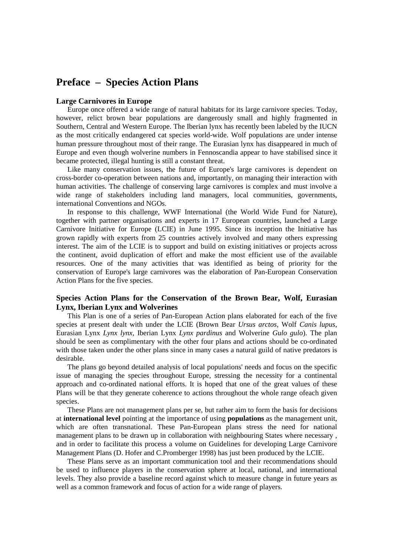### **Preface – Species Action Plans**

#### **Large Carnivores in Europe**

Europe once offered a wide range of natural habitats for its large carnivore species. Today, however, relict brown bear populations are dangerously small and highly fragmented in Southern, Central and Western Europe. The Iberian lynx has recently been labeled by the IUCN as the most critically endangered cat species world-wide. Wolf populations are under intense human pressure throughout most of their range. The Eurasian lynx has disappeared in much of Europe and even though wolverine numbers in Fennoscandia appear to have stabilised since it became protected, illegal hunting is still a constant threat.

Like many conservation issues, the future of Europe's large carnivores is dependent on cross-border co-operation between nations and, importantly, on managing their interaction with human activities. The challenge of conserving large carnivores is complex and must involve a wide range of stakeholders including land managers, local communities, governments, international Conventions and NGOs.

In response to this challenge, WWF International (the World Wide Fund for Nature), together with partner organisations and experts in 17 European countries, launched a Large Carnivore Initiative for Europe (LCIE) in June 1995. Since its inception the Initiative has grown rapidly with experts from 25 countries actively involved and many others expressing interest. The aim of the LCIE is to support and build on existing initiatives or projects across the continent, avoid duplication of effort and make the most efficient use of the available resources. One of the many activities that was identified as being of priority for the conservation of Europe's large carnivores was the elaboration of Pan-European Conservation Action Plans for the five species.

### **Species Action Plans for the Conservation of the Brown Bear, Wolf, Eurasian Lynx, Iberian Lynx and Wolverines**

This Plan is one of a series of Pan-European Action plans elaborated for each of the five species at present dealt with under the LCIE (Brown Bear *Ursus arctos*, Wolf *Canis lupus*, Eurasian Lynx *Lynx lynx*, Iberian Lynx *Lynx pardinus* and Wolverine *Gulo gulo*). The plan should be seen as complimentary with the other four plans and actions should be co-ordinated with those taken under the other plans since in many cases a natural guild of native predators is desirable.

The plans go beyond detailed analysis of local populations' needs and focus on the specific issue of managing the species throughout Europe, stressing the necessity for a continental approach and co-ordinated national efforts. It is hoped that one of the great values of these Plans will be that they generate coherence to actions throughout the whole range ofeach given species.

These Plans are not management plans per se, but rather aim to form the basis for decisions at **international level** pointing at the importance of using **populations** as the management unit, which are often transnational. These Pan-European plans stress the need for national management plans to be drawn up in collaboration with neighbouring States where necessary , and in order to facilitate this process a volume on Guidelines for developing Large Carnivore Management Plans (D. Hofer and C.Promberger 1998) has just been produced by the LCIE.

These Plans serve as an important communication tool and their recommendations should be used to influence players in the conservation sphere at local, national, and international levels. They also provide a baseline record against which to measure change in future years as well as a common framework and focus of action for a wide range of players.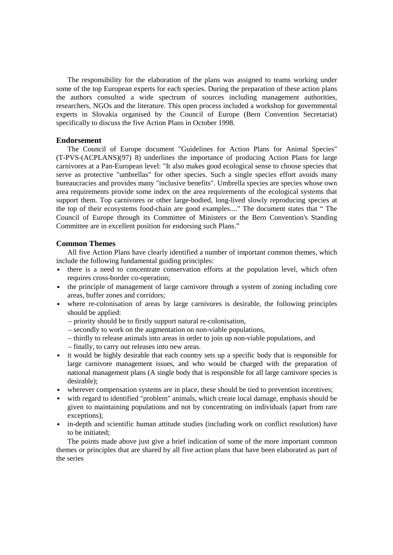The responsibility for the elaboration of the plans was assigned to teams working under some of the top European experts for each species. During the preparation of these action plans the authors consulted a wide spectrum of sources including management authorities, researchers, NGOs and the literature. This open process included a workshop for governmental experts in Slovakia organised by the Council of Europe (Bern Convention Secretariat) specifically to discuss the five Action Plans in October 1998.

#### **Endorsement**

The Council of Europe document "Guidelines for Action Plans for Animal Species" (T-PVS-(ACPLANS)(97) 8) underlines the importance of producing Action Plans for large carnivores at a Pan-European level: "It also makes good ecological sense to choose species that serve as protective "umbrellas" for other species. Such a single species effort avoids many bureaucracies and provides many "inclusive benefits". Umbrella species are species whose own area requirements provide some index on the area requirements of the ecological systems that support them. Top carnivores or other large-bodied, long-lived slowly reproducing species at the top of their ecosystems food-chain are good examples...." The document states that " The Council of Europe through its Committee of Ministers or the Bern Convention's Standing Committee are in excellent position for endorsing such Plans."

### **Common Themes**

All five Action Plans have clearly identified a number of important common themes, which include the following fundamental guiding principles:

- there is a need to concentrate conservation efforts at the population level, which often requires cross-border co-operation;
- the principle of management of large carnivore through a system of zoning including core areas, buffer zones and corridors;
- where re-colonisation of areas by large carnivores is desirable, the following principles should be applied:
	- priority should be to firstly support natural re-colonisation,
	- secondly to work on the augmentation on non-viable populations,
	- thirdly to release animals into areas in order to join up non-viable populations, and
	- finally, to carry out releases into new areas.
- it would be highly desirable that each country sets up a specific body that is responsible for large carnivore management issues, and who would be charged with the preparation of national management plans (A single body that is responsible for all large carnivore species is desirable);
- wherever compensation systems are in place, these should be tied to prevention incentives;
- with regard to identified "problem" animals, which create local damage, emphasis should be given to maintaining populations and not by concentrating on individuals (apart from rare exceptions);
- in-depth and scientific human attitude studies (including work on conflict resolution) have to be initiated;

The points made above just give a brief indication of some of the more important common themes or principles that are shared by all five action plans that have been elaborated as part of the series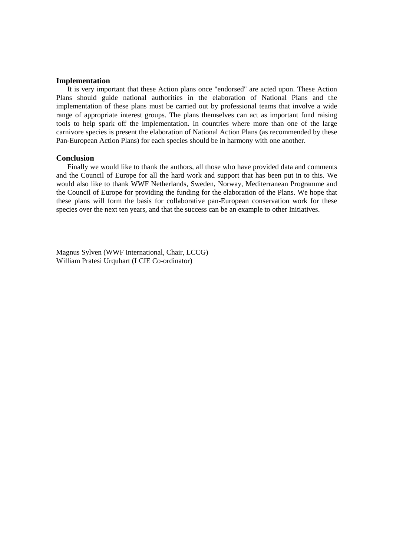#### **Implementation**

It is very important that these Action plans once "endorsed" are acted upon. These Action Plans should guide national authorities in the elaboration of National Plans and the implementation of these plans must be carried out by professional teams that involve a wide range of appropriate interest groups. The plans themselves can act as important fund raising tools to help spark off the implementation. In countries where more than one of the large carnivore species is present the elaboration of National Action Plans (as recommended by these Pan-European Action Plans) for each species should be in harmony with one another.

#### **Conclusion**

Finally we would like to thank the authors, all those who have provided data and comments and the Council of Europe for all the hard work and support that has been put in to this. We would also like to thank WWF Netherlands, Sweden, Norway, Mediterranean Programme and the Council of Europe for providing the funding for the elaboration of the Plans. We hope that these plans will form the basis for collaborative pan-European conservation work for these species over the next ten years, and that the success can be an example to other Initiatives.

Magnus Sylven (WWF International, Chair, LCCG) William Pratesi Urquhart (LCIE Co-ordinator)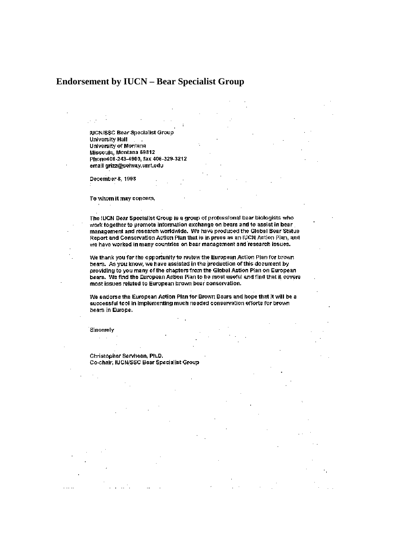### **Endorsement by IUCN – Bear Specialist Group**

**IUCN/SSC Bear Specialist Group University Hall** University of Montana Missoula, Montana 59812 Phone406-243-4903, fax 406-329-3212 email grizz@selway.umt.edu

December 8, 1998

To whom it may concern,

The IUCN Bear Specialist Group is a group of professional bear biologists who work together to promote information exchange on bears and to assist in bear management and research worldwide. We have produced the Global Bear Status Report and Conservation Action Plan that is in press as an IUCN Action Plan, and we have worked in many countries on bear management and research issues.

We thank you for the opportunity to review the European Action Plan for brown bears. As you know, we have assisted in the production of this document by providing to you many of the chapters from the Global Action Plan on European bears. We find the European Action Plan to be most useful and find that it covers most issues related to European brown bear conservation.

We endorse the European Action Plan for Brown Bears and hope that It will be a successful tool in implementing much needed conservation efforts for brown bears in Europe.

#### **Sincerely**

 $\cdots$ 

Christopher Servheen, Ph.D. Co-chair, IUCN/SSC Bear Specialist Group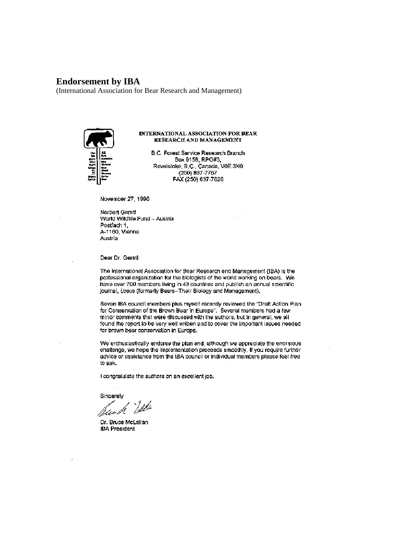### **Endorsement by IBA**

(International Association for Bear Research and Management)



#### **INTERNATIONAL ASSOCIATION FOR BEAR** RESEARCH AND MANAGEMENT

B.C. Forest Service Research Branch Box 9158, RPO#3, Revelstoke, B.C., Canada, V0E 3K0 (250) 837-7767 FAX (250) 837-7626

November 27, 1998

Norbert Gerst! World Wildlife Fund - Austria Postfach 1, A-1160, Vienna Austria

Dear Dr. Gersti:

The International Association for Bear Research and Management (IBA) is the professional organization for the biologists of the world working on bears. We have over 700 members living in 43 countries and publish an annual scientific journal, Ursus (formerly Bears-Their Biology and Management).

Seven IBA council members plus myself recently reviewed the "Draft Action Plan for Conservation of the Brown Bear in Europe". Several members had a few minor comments that were discussed with the authors, but in general, we all found the report to be very well written and to cover the important issues needed for brown bear conservation in Europe.

We enthusiastically endorse the plan and, although we appreciate the enormous challenge, we hope the implementation proceeds smoothly. If you require further advice or assistance from the IBA council or individual members please feel free to ask.

I congratulate the authors on an excellent job.

Sincerely

Buch We

Dr. Bruce McLellan **IBA President**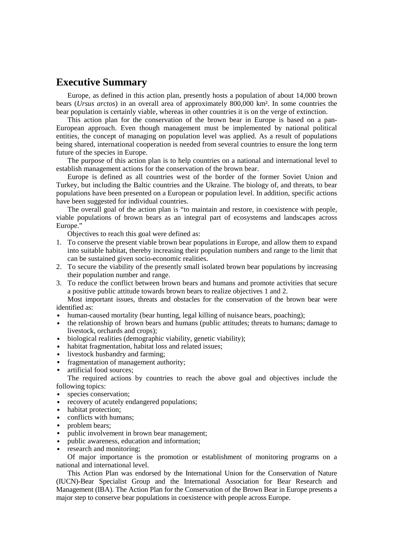### **Executive Summary**

Europe, as defined in this action plan, presently hosts a population of about 14,000 brown bears (*Ursus arctos*) in an overall area of approximately 800,000 km². In some countries the bear population is certainly viable, whereas in other countries it is on the verge of extinction.

This action plan for the conservation of the brown bear in Europe is based on a pan-European approach. Even though management must be implemented by national political entities, the concept of managing on population level was applied. As a result of populations being shared, international cooperation is needed from several countries to ensure the long term future of the species in Europe.

The purpose of this action plan is to help countries on a national and international level to establish management actions for the conservation of the brown bear.

Europe is defined as all countries west of the border of the former Soviet Union and Turkey, but including the Baltic countries and the Ukraine. The biology of, and threats, to bear populations have been presented on a European or population level. In addition, specific actions have been suggested for individual countries.

The overall goal of the action plan is "to maintain and restore, in coexistence with people, viable populations of brown bears as an integral part of ecosystems and landscapes across Europe."

Objectives to reach this goal were defined as:

- 1. To conserve the present viable brown bear populations in Europe, and allow them to expand into suitable habitat, thereby increasing their population numbers and range to the limit that can be sustained given socio-economic realities.
- 2. To secure the viability of the presently small isolated brown bear populations by increasing their population number and range.
- 3. To reduce the conflict between brown bears and humans and promote activities that secure a positive public attitude towards brown bears to realize objectives 1 and 2.

Most important issues, threats and obstacles for the conservation of the brown bear were identified as:

- human-caused mortality (bear hunting, legal killing of nuisance bears, poaching);
- the relationship of brown bears and humans (public attitudes; threats to humans; damage to livestock, orchards and crops);
- biological realities (demographic viability, genetic viability);
- habitat fragmentation, habitat loss and related issues;
- livestock husbandry and farming;
- fragmentation of management authority;
- artificial food sources:

The required actions by countries to reach the above goal and objectives include the following topics:

- species conservation:
- recovery of acutely endangered populations;
- habitat protection;
- conflicts with humans:
- problem bears:
- public involvement in brown bear management;
- public awareness, education and information;
- research and monitoring;

Of major importance is the promotion or establishment of monitoring programs on a national and international level.

This Action Plan was endorsed by the International Union for the Conservation of Nature (IUCN)-Bear Specialist Group and the International Association for Bear Research and Management (IBA). The Action Plan for the Conservation of the Brown Bear in Europe presents a major step to conserve bear populations in coexistence with people across Europe.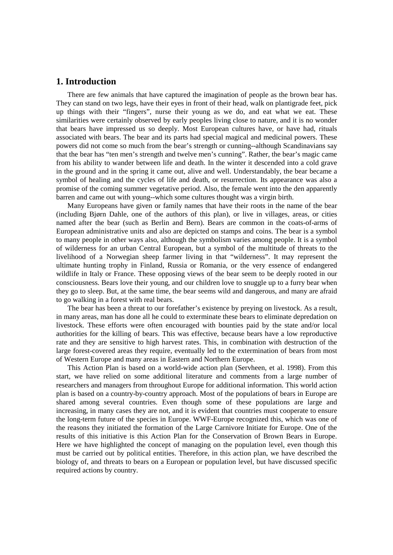### **1. Introduction**

There are few animals that have captured the imagination of people as the brown bear has. They can stand on two legs, have their eyes in front of their head, walk on plantigrade feet, pick up things with their "fingers", nurse their young as we do, and eat what we eat. These similarities were certainly observed by early peoples living close to nature, and it is no wonder that bears have impressed us so deeply. Most European cultures have, or have had, rituals associated with bears. The bear and its parts had special magical and medicinal powers. These powers did not come so much from the bear's strength or cunning--although Scandinavians say that the bear has "ten men's strength and twelve men's cunning". Rather, the bear's magic came from his ability to wander between life and death. In the winter it descended into a cold grave in the ground and in the spring it came out, alive and well. Understandably, the bear became a symbol of healing and the cycles of life and death, or resurrection. Its appearance was also a promise of the coming summer vegetative period. Also, the female went into the den apparently barren and came out with young--which some cultures thought was a virgin birth.

Many Europeans have given or family names that have their roots in the name of the bear (including Bjørn Dahle, one of the authors of this plan), or live in villages, areas, or cities named after the bear (such as Berlin and Bern). Bears are common in the coats-of-arms of European administrative units and also are depicted on stamps and coins. The bear is a symbol to many people in other ways also, although the symbolism varies among people. It is a symbol of wilderness for an urban Central European, but a symbol of the multitude of threats to the livelihood of a Norwegian sheep farmer living in that "wilderness". It may represent the ultimate hunting trophy in Finland, Russia or Romania, or the very essence of endangered wildlife in Italy or France. These opposing views of the bear seem to be deeply rooted in our consciousness. Bears love their young, and our children love to snuggle up to a furry bear when they go to sleep. But, at the same time, the bear seems wild and dangerous, and many are afraid to go walking in a forest with real bears.

The bear has been a threat to our forefather's existence by preying on livestock. As a result, in many areas, man has done all he could to exterminate these bears to eliminate depredation on livestock. These efforts were often encouraged with bounties paid by the state and/or local authorities for the killing of bears. This was effective, because bears have a low reproductive rate and they are sensitive to high harvest rates. This, in combination with destruction of the large forest-covered areas they require, eventually led to the extermination of bears from most of Western Europe and many areas in Eastern and Northern Europe.

This Action Plan is based on a world-wide action plan (Servheen, et al. 1998). From this start, we have relied on some additional literature and comments from a large number of researchers and managers from throughout Europe for additional information. This world action plan is based on a country-by-country approach. Most of the populations of bears in Europe are shared among several countries. Even though some of these populations are large and increasing, in many cases they are not, and it is evident that countries must cooperate to ensure the long-term future of the species in Europe. WWF-Europe recognized this, which was one of the reasons they initiated the formation of the Large Carnivore Initiate for Europe. One of the results of this initiative is this Action Plan for the Conservation of Brown Bears in Europe. Here we have highlighted the concept of managing on the population level, even though this must be carried out by political entities. Therefore, in this action plan, we have described the biology of, and threats to bears on a European or population level, but have discussed specific required actions by country.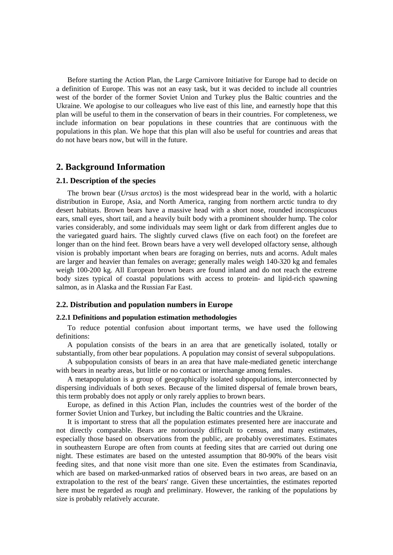Before starting the Action Plan, the Large Carnivore Initiative for Europe had to decide on a definition of Europe. This was not an easy task, but it was decided to include all countries west of the border of the former Soviet Union and Turkey plus the Baltic countries and the Ukraine. We apologise to our colleagues who live east of this line, and earnestly hope that this plan will be useful to them in the conservation of bears in their countries. For completeness, we include information on bear populations in these countries that are continuous with the populations in this plan. We hope that this plan will also be useful for countries and areas that do not have bears now, but will in the future.

### **2. Background Information**

#### **2.1. Description of the species**

The brown bear (*Ursus arctos*) is the most widespread bear in the world*,* with a holartic distribution in Europe, Asia, and North America, ranging from northern arctic tundra to dry desert habitats. Brown bears have a massive head with a short nose, rounded inconspicuous ears, small eyes, short tail, and a heavily built body with a prominent shoulder hump. The color varies considerably, and some individuals may seem light or dark from different angles due to the variegated guard hairs. The slightly curved claws (five on each foot) on the forefeet are longer than on the hind feet. Brown bears have a very well developed olfactory sense, although vision is probably important when bears are foraging on berries, nuts and acorns. Adult males are larger and heavier than females on average; generally males weigh 140-320 kg and females weigh 100-200 kg. All European brown bears are found inland and do not reach the extreme body sizes typical of coastal populations with access to protein- and lipid-rich spawning salmon, as in Alaska and the Russian Far East.

#### **2.2. Distribution and population numbers in Europe**

#### **2.2.1 Definitions and population estimation methodologies**

To reduce potential confusion about important terms, we have used the following definitions:

A population consists of the bears in an area that are genetically isolated, totally or substantially, from other bear populations. A population may consist of several subpopulations.

A subpopulation consists of bears in an area that have male-mediated genetic interchange with bears in nearby areas, but little or no contact or interchange among females.

A metapopulation is a group of geographically isolated subpopulations, interconnected by dispersing individuals of both sexes. Because of the limited dispersal of female brown bears, this term probably does not apply or only rarely applies to brown bears.

Europe, as defined in this Action Plan, includes the countries west of the border of the former Soviet Union and Turkey, but including the Baltic countries and the Ukraine.

It is important to stress that all the population estimates presented here are inaccurate and not directly comparable. Bears are notoriously difficult to census, and many estimates, especially those based on observations from the public, are probably overestimates. Estimates in southeastern Europe are often from counts at feeding sites that are carried out during one night. These estimates are based on the untested assumption that 80-90% of the bears visit feeding sites, and that none visit more than one site. Even the estimates from Scandinavia, which are based on marked-unmarked ratios of observed bears in two areas, are based on an extrapolation to the rest of the bears' range. Given these uncertainties, the estimates reported here must be regarded as rough and preliminary. However, the ranking of the populations by size is probably relatively accurate.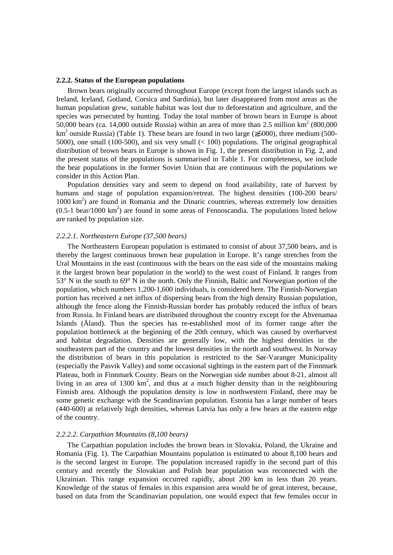#### **2.2.2. Status of the European populations**

Brown bears originally occurred throughout Europe (except from the largest islands such as Ireland, Iceland, Gotland, Corsica and Sardinia), but later disappeared from most areas as the human population grew, suitable habitat was lost due to deforestation and agriculture, and the species was persecuted by hunting. Today the total number of brown bears in Europe is about  $50,000$  bears (ca. 14,000 outside Russia) within an area of more than 2.5 million  $km^2$  (800,000 km<sup>2</sup> outside Russia) (Table 1). These bears are found in two large ( $\geq$ 5000), three medium (500-5000), one small (100-500), and six very small  $(< 100$ ) populations. The original geographical distribution of brown bears in Europe is shown in Fig. 1, the present distribution in Fig. 2, and the present status of the populations is summarised in Table 1. For completeness, we include the bear populations in the former Soviet Union that are continuous with the populations we consider in this Action Plan.

Population densities vary and seem to depend on food availability, rate of harvest by humans and stage of population expansion/retreat. The highest densities (100-200 bears/ 1000 km<sup>2</sup>) are found in Romania and the Dinaric countries, whereas extremely low densities  $(0.5-1 \text{ bear}/1000 \text{ km}^2)$  are found in some areas of Fennoscandia. The populations listed below are ranked by population size.

#### *2.2.2.1. Northeastern Europe (37,500 bears)*

The Northeastern European population is estimated to consist of about 37,500 bears, and is thereby the largest continuous brown bear population in Europe. It's range stretches from the Ural Mountains in the east (continuous with the bears on the east side of the mountains making it the largest brown bear population in the world) to the west coast of Finland. It ranges from 53° N in the south to 69° N in the north. Only the Finnish, Baltic and Norwegian portion of the population, which numbers 1,200-1,600 individuals, is considered here. The Finnish-Norwegian portion has received a net influx of dispersing bears from the high density Russian population, although the fence along the Finnish-Russian border has probably reduced the influx of bears from Russia. In Finland bears are distributed throughout the country except for the Ahvenamaa Islands (Åland). Thus the species has re-established most of its former range after the population bottleneck at the beginning of the 20th century, which was caused by overharvest and habitat degradation. Densities are generally low, with the highest densities in the southeastern part of the country and the lowest densities in the north and southwest. In Norway the distribution of bears in this population is restricted to the Sør-Varanger Municipality (especially the Pasvik Valley) and some occasional sightings in the eastern part of the Finnmark Plateau, both in Finnmark County. Bears on the Norwegian side number about 8-21, almost all living in an area of 1300  $km^2$ , and thus at a much higher density than in the neighbouring Finnish area. Although the population density is low in northwestern Finland, there may be some genetic exchange with the Scandinavian population. Estonia has a large number of bears (440-600) at relatively high densities, whereas Latvia has only a few bears at the eastern edge of the country.

#### *2.2.2.2. Carpathian Mountains (8,100 bears)*

The Carpathian population includes the brown bears in Slovakia, Poland, the Ukraine and Romania (Fig. 1). The Carpathian Mountains population is estimated to about 8,100 bears and is the second largest in Europe. The population increased rapidly in the second part of this century and recently the Slovakian and Polish bear population was reconnected with the Ukrainian. This range expansion occurred rapidly, about 200 km in less than 20 years. Knowledge of the status of females in this expansion area would be of great interest, because, based on data from the Scandinavian population, one would expect that few females occur in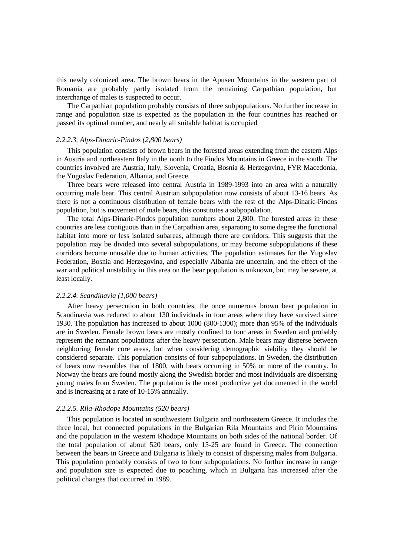this newly colonized area. The brown bears in the Apusen Mountains in the western part of Romania are probably partly isolated from the remaining Carpathian population, but interchange of males is suspected to occur.

The Carpathian population probably consists of three subpopulations. No further increase in range and population size is expected as the population in the four countries has reached or passed its optimal number, and nearly all suitable habitat is occupied

#### *2.2.2.3. Alps-Dinaric-Pindos (2,800 bears)*

This population consists of brown bears in the forested areas extending from the eastern Alps in Austria and northeastern Italy in the north to the Pindos Mountains in Greece in the south. The countries involved are Austria, Italy, Slovenia, Croatia, Bosnia & Herzegovina, FYR Macedonia, the Yugoslav Federation, Albania, and Greece.

Three bears were released into central Austria in 1989-1993 into an area with a naturally occurring male bear. This central Austrian subpopulation now consists of about 13-16 bears. As there is not a continuous distribution of female bears with the rest of the Alps-Dinaric-Pindos population, but is movement of male bears, this constitutes a subpopulation.

The total Alps-Dinaric-Pindos population numbers about 2,800. The forested areas in these countries are less contiguous than in the Carpathian area, separating to some degree the functional habitat into more or less isolated subareas, although there are corridors. This suggests that the population may be divided into several subpopulations, or may become subpopulations if these corridors become unusable due to human activities. The population estimates for the Yugoslav Federation, Bosnia and Herzegovina, and especially Albania are uncertain, and the effect of the war and political unstability in this area on the bear population is unknown, but may be severe, at least locally.

#### *2.2.2.4. Scandinavia (1,000 bears)*

After heavy persecution in both countries, the once numerous brown bear population in Scandinavia was reduced to about 130 individuals in four areas where they have survived since 1930. The population has increased to about 1000 (800-1300); more than 95% of the individuals are in Sweden. Female brown bears are mostly confined to four areas in Sweden and probably represent the remnant populations after the heavy persecution. Male bears may disperse between neighboring female core areas, but when considering demographic viability they should be considered separate. This population consists of four subpopulations. In Sweden, the distribution of bears now resembles that of 1800, with bears occurring in 50% or more of the country. In Norway the bears are found mostly along the Swedish border and most individuals are dispersing young males from Sweden. The population is the most productive yet documented in the world and is increasing at a rate of 10-15% annually.

#### *2.2.2.5. Rila-Rhodope Mountains (520 bears)*

This population is located in southwestern Bulgaria and northeastern Greece. It includes the three local, but connected populations in the Bulgarian Rila Mountains and Pirin Mountains and the population in the western Rhodope Mountains on both sides of the national border. Of the total population of about 520 bears, only 15-25 are found in Greece. The connection between the bears in Greece and Bulgaria is likely to consist of dispersing males from Bulgaria. This population probably consists of two to four subpopulations. No further increase in range and population size is expected due to poaching, which in Bulgaria has increased after the political changes that occurred in 1989.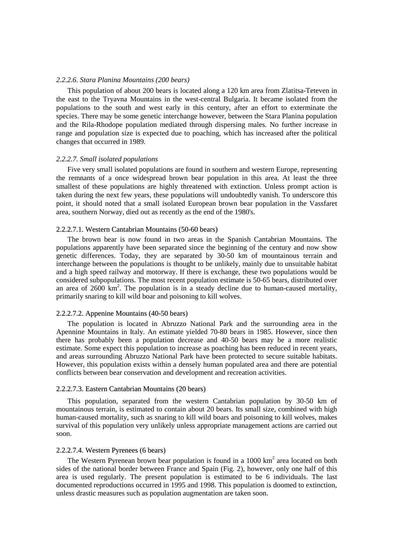#### *2.2.2.6. Stara Planina Mountains (200 bears)*

This population of about 200 bears is located along a 120 km area from Zlatitsa-Teteven in the east to the Tryavna Mountains in the west-central Bulgaria. It became isolated from the populations to the south and west early in this century, after an effort to exterminate the species. There may be some genetic interchange however, between the Stara Planina population and the Rila-Rhodope population mediated through dispersing males. No further increase in range and population size is expected due to poaching, which has increased after the political changes that occurred in 1989.

#### *2.2.2.7. Small isolated populations*

Five very small isolated populations are found in southern and western Europe, representing the remnants of a once widespread brown bear population in this area. At least the three smallest of these populations are highly threatened with extinction. Unless prompt action is taken during the next few years, these populations will undoubtedly vanish. To underscore this point, it should noted that a small isolated European brown bear population in the Vassfaret area, southern Norway, died out as recently as the end of the 1980's.

#### 2.2.2.7.1. Western Cantabrian Mountains (50-60 bears)

The brown bear is now found in two areas in the Spanish Cantabrian Mountains. The populations apparently have been separated since the beginning of the century and now show genetic differences. Today, they are separated by 30-50 km of mountainous terrain and interchange between the populations is thought to be unlikely, mainly due to unsuitable habitat and a high speed railway and motorway. If there is exchange, these two populations would be considered subpopulations. The most recent population estimate is 50-65 bears, distributed over an area of  $2600 \text{ km}^2$ . The population is in a steady decline due to human-caused mortality, primarily snaring to kill wild boar and poisoning to kill wolves.

#### 2.2.2.7.2. Appenine Mountains (40-50 bears)

The population is located in Abruzzo National Park and the surrounding area in the Apennine Mountains in Italy. An estimate yielded 70-80 bears in 1985. However, since then there has probably been a population decrease and 40-50 bears may be a more realistic estimate. Some expect this population to increase as poaching has been reduced in recent years, and areas surrounding Abruzzo National Park have been protected to secure suitable habitats. However, this population exists within a densely human populated area and there are potential conflicts between bear conservation and development and recreation activities.

#### 2.2.2.7.3. Eastern Cantabrian Mountains (20 bears)

This population, separated from the western Cantabrian population by 30-50 km of mountainous terrain, is estimated to contain about 20 bears. Its small size, combined with high human-caused mortality, such as snaring to kill wild boars and poisoning to kill wolves, makes survival of this population very unlikely unless appropriate management actions are carried out soon.

#### 2.2.2.7.4. Western Pyrenees (6 bears)

The Western Pyrenean brown bear population is found in a  $1000 \text{ km}^2$  area located on both sides of the national border between France and Spain (Fig. 2), however, only one half of this area is used regularly. The present population is estimated to be 6 individuals. The last documented reproductions occurred in 1995 and 1998. This population is doomed to extinction, unless drastic measures such as population augmentation are taken soon.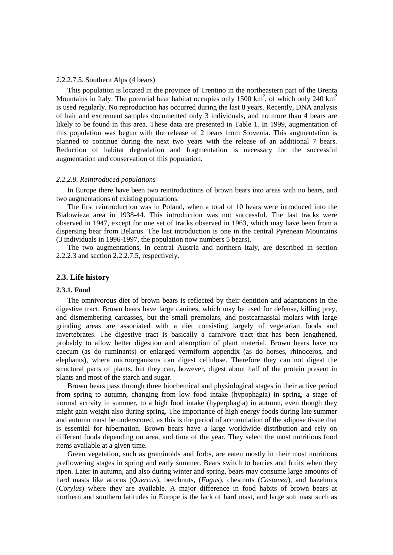#### 2.2.2.7.5. Southern Alps (4 bears)

This population is located in the province of Trentino in the northeastern part of the Brenta Mountains in Italy. The potential bear habitat occupies only 1500 km<sup>2</sup>, of which only 240 km<sup>2</sup> is used regularly. No reproduction has occurred during the last 8 years. Recently, DNA analysis of hair and excrement samples documented only 3 individuals, and no more than 4 bears are likely to be found in this area. These data are presented in Table 1. In 1999, augmentation of this population was begun with the release of 2 bears from Slovenia. This augmentation is planned to continue during the next two years with the release of an additional 7 bears. Reduction of habitat degradation and fragmentation is necessary for the successful augmentation and conservation of this population.

#### *2.2.2.8. Reintroduced populations*

In Europe there have been two reintroductions of brown bears into areas with no bears, and two augmentations of existing populations.

The first reintroduction was in Poland, when a total of 10 bears were introduced into the Bialowieza area in 1938-44. This introduction was not successful. The last tracks were observed in 1947, except for one set of tracks observed in 1963, which may have been from a dispersing bear from Belarus. The last introduction is one in the central Pyrenean Mountains (3 individuals in 1996-1997, the population now numbers 5 bears).

The two augmentations, in central Austria and northern Italy, are described in section 2.2.2.3 and section 2.2.2.7.5, respectively.

#### **2.3. Life history**

#### **2.3.1. Food**

The omnivorous diet of brown bears is reflected by their dentition and adaptations in the digestive tract. Brown bears have large canines, which may be used for defense, killing prey, and dismembering carcasses, but the small premolars, and postcarnassial molars with large grinding areas are associated with a diet consisting largely of vegetarian foods and invertebrates. The digestive tract is basically a carnivore tract that has been lengthened, probably to allow better digestion and absorption of plant material. Brown bears have no caecum (as do ruminants) or enlarged vermiform appendix (as do horses, rhinoceros, and elephants), where microorganisms can digest cellulose. Therefore they can not digest the structural parts of plants, but they can, however, digest about half of the protein present in plants and most of the starch and sugar.

Brown bears pass through three biochemical and physiological stages in their active period from spring to autumn, changing from low food intake (hypophagia) in spring, a stage of normal activity in summer, to a high food intake (hyperphagia) in autumn, even though they might gain weight also during spring. The importance of high energy foods during late summer and autumn must be underscored, as this is the period of accumulation of the adipose tissue that is essential for hibernation. Brown bears have a large worldwide distribution and rely on different foods depending on area, and time of the year. They select the most nutritious food items available at a given time.

Green vegetation, such as graminoids and forbs, are eaten mostly in their most nutritious preflowering stages in spring and early summer. Bears switch to berries and fruits when they ripen. Later in autumn, and also during winter and spring, bears may consume large amounts of hard masts like acorns (*Quercus*), beechnuts, (*Fagus*), chestnuts (*Castanea*), and hazelnuts (*Corylus*) where they are available. A major difference in food habits of brown bears at northern and southern latitudes in Europe is the lack of hard mast, and large soft mast such as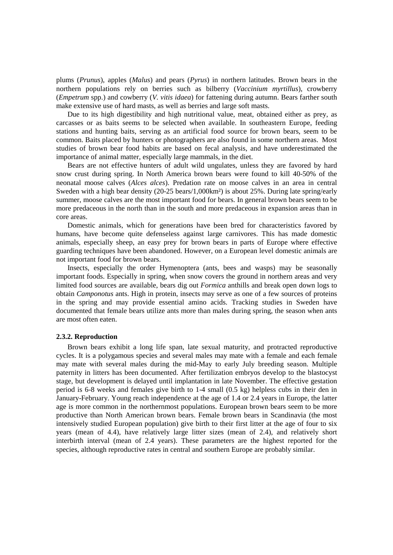plums (*Prunus*), apples (*Malus*) and pears (*Pyrus*) in northern latitudes. Brown bears in the northern populations rely on berries such as bilberry (*Vaccinium myrtillus*), crowberry (*Empetrum* spp.) and cowberry (*V. vitis idaea*) for fattening during autumn. Bears farther south make extensive use of hard masts, as well as berries and large soft masts.

Due to its high digestibility and high nutritional value, meat, obtained either as prey, as carcasses or as baits seems to be selected when available. In southeastern Europe, feeding stations and hunting baits, serving as an artificial food source for brown bears, seem to be common. Baits placed by hunters or photographers are also found in some northern areas. Most studies of brown bear food habits are based on fecal analysis, and have underestimated the importance of animal matter, especially large mammals, in the diet.

Bears are not effective hunters of adult wild ungulates, unless they are favored by hard snow crust during spring. In North America brown bears were found to kill 40-50% of the neonatal moose calves (*Alces alces*). Predation rate on moose calves in an area in central Sweden with a high bear density (20-25 bears/1,000km²) is about 25%. During late spring/early summer, moose calves are the most important food for bears. In general brown bears seem to be more predaceous in the north than in the south and more predaceous in expansion areas than in core areas.

Domestic animals, which for generations have been bred for characteristics favored by humans, have become quite defenseless against large carnivores. This has made domestic animals, especially sheep, an easy prey for brown bears in parts of Europe where effective guarding techniques have been abandoned. However, on a European level domestic animals are not important food for brown bears.

Insects, especially the order Hymenoptera (ants, bees and wasps) may be seasonally important foods. Especially in spring, when snow covers the ground in northern areas and very limited food sources are available, bears dig out *Formica* anthills and break open down logs to obtain *Camponotus* ants. High in protein, insects may serve as one of a few sources of proteins in the spring and may provide essential amino acids. Tracking studies in Sweden have documented that female bears utilize ants more than males during spring, the season when ants are most often eaten.

#### **2.3.2. Reproduction**

Brown bears exhibit a long life span, late sexual maturity, and protracted reproductive cycles. It is a polygamous species and several males may mate with a female and each female may mate with several males during the mid-May to early July breeding season. Multiple paternity in litters has been documented. After fertilization embryos develop to the blastocyst stage, but development is delayed until implantation in late November. The effective gestation period is 6-8 weeks and females give birth to 1-4 small (0.5 kg) helpless cubs in their den in January-February. Young reach independence at the age of 1.4 or 2.4 years in Europe, the latter age is more common in the northernmost populations. European brown bears seem to be more productive than North American brown bears. Female brown bears in Scandinavia (the most intensively studied European population) give birth to their first litter at the age of four to six years (mean of 4.4), have relatively large litter sizes (mean of 2.4), and relatively short interbirth interval (mean of 2.4 years). These parameters are the highest reported for the species, although reproductive rates in central and southern Europe are probably similar.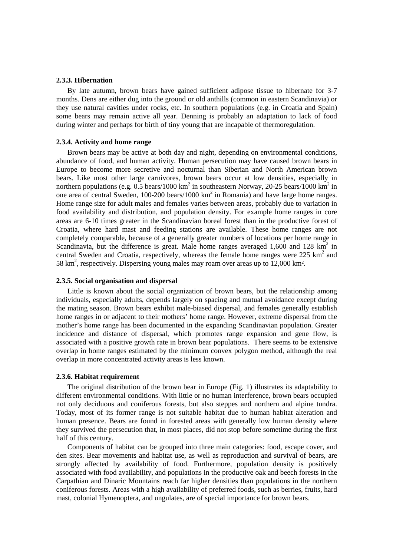#### **2.3.3. Hibernation**

By late autumn, brown bears have gained sufficient adipose tissue to hibernate for 3-7 months. Dens are either dug into the ground or old anthills (common in eastern Scandinavia) or they use natural cavities under rocks, etc. In southern populations (e.g. in Croatia and Spain) some bears may remain active all year. Denning is probably an adaptation to lack of food during winter and perhaps for birth of tiny young that are incapable of thermoregulation.

#### **2.3.4. Activity and home range**

Brown bears may be active at both day and night, depending on environmental conditions, abundance of food, and human activity. Human persecution may have caused brown bears in Europe to become more secretive and nocturnal than Siberian and North American brown bears. Like most other large carnivores, brown bears occur at low densities, especially in northern populations (e.g. 0.5 bears/1000 km<sup>2</sup> in southeastern Norway, 20-25 bears/1000 km<sup>2</sup> in one area of central Sweden, 100-200 bears/1000 km<sup>2</sup> in Romania) and have large home ranges. Home range size for adult males and females varies between areas, probably due to variation in food availability and distribution, and population density. For example home ranges in core areas are 6-10 times greater in the Scandinavian boreal forest than in the productive forest of Croatia, where hard mast and feeding stations are available. These home ranges are not completely comparable, because of a generally greater numbers of locations per home range in Scandinavia, but the difference is great. Male home ranges averaged  $1,600$  and  $128 \text{ km}^2$  in central Sweden and Croatia, respectively, whereas the female home ranges were  $225 \text{ km}^2$  and 58 km<sup>2</sup>, respectively. Dispersing young males may roam over areas up to 12,000 km<sup>2</sup>.

#### **2.3.5. Social organisation and dispersal**

Little is known about the social organization of brown bears, but the relationship among individuals, especially adults, depends largely on spacing and mutual avoidance except during the mating season. Brown bears exhibit male-biased dispersal, and females generally establish home ranges in or adjacent to their mothers' home range. However, extreme dispersal from the mother's home range has been documented in the expanding Scandinavian population. Greater incidence and distance of dispersal, which promotes range expansion and gene flow, is associated with a positive growth rate in brown bear populations. There seems to be extensive overlap in home ranges estimated by the minimum convex polygon method, although the real overlap in more concentrated activity areas is less known.

#### **2.3.6. Habitat requirement**

The original distribution of the brown bear in Europe (Fig. 1) illustrates its adaptability to different environmental conditions. With little or no human interference, brown bears occupied not only deciduous and coniferous forests, but also steppes and northern and alpine tundra. Today, most of its former range is not suitable habitat due to human habitat alteration and human presence. Bears are found in forested areas with generally low human density where they survived the persecution that, in most places, did not stop before sometime during the first half of this century.

Components of habitat can be grouped into three main categories: food, escape cover, and den sites. Bear movements and habitat use, as well as reproduction and survival of bears, are strongly affected by availability of food. Furthermore, population density is positively associated with food availability, and populations in the productive oak and beech forests in the Carpathian and Dinaric Mountains reach far higher densities than populations in the northern coniferous forests. Areas with a high availability of preferred foods, such as berries, fruits, hard mast, colonial Hymenoptera, and ungulates, are of special importance for brown bears.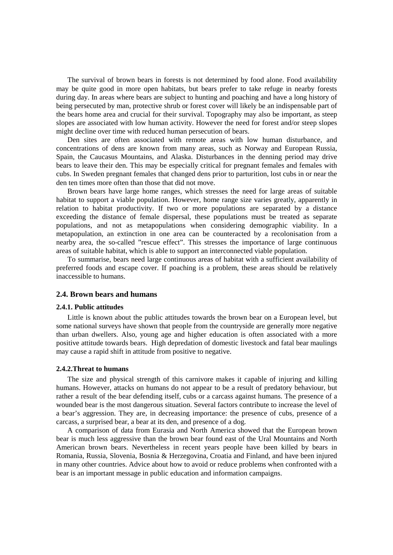The survival of brown bears in forests is not determined by food alone. Food availability may be quite good in more open habitats, but bears prefer to take refuge in nearby forests during day. In areas where bears are subject to hunting and poaching and have a long history of being persecuted by man, protective shrub or forest cover will likely be an indispensable part of the bears home area and crucial for their survival. Topography may also be important, as steep slopes are associated with low human activity. However the need for forest and/or steep slopes might decline over time with reduced human persecution of bears.

Den sites are often associated with remote areas with low human disturbance, and concentrations of dens are known from many areas, such as Norway and European Russia, Spain, the Caucasus Mountains, and Alaska. Disturbances in the denning period may drive bears to leave their den. This may be especially critical for pregnant females and females with cubs. In Sweden pregnant females that changed dens prior to parturition, lost cubs in or near the den ten times more often than those that did not move.

Brown bears have large home ranges, which stresses the need for large areas of suitable habitat to support a viable population. However, home range size varies greatly, apparently in relation to habitat productivity. If two or more populations are separated by a distance exceeding the distance of female dispersal, these populations must be treated as separate populations, and not as metapopulations when considering demographic viability. In a metapopulation, an extinction in one area can be counteracted by a recolonisation from a nearby area, the so-called "rescue effect". This stresses the importance of large continuous areas of suitable habitat, which is able to support an interconnected viable population.

To summarise, bears need large continuous areas of habitat with a sufficient availability of preferred foods and escape cover. If poaching is a problem, these areas should be relatively inaccessible to humans.

#### **2.4. Brown bears and humans**

#### **2.4.1. Public attitudes**

Little is known about the public attitudes towards the brown bear on a European level, but some national surveys have shown that people from the countryside are generally more negative than urban dwellers. Also, young age and higher education is often associated with a more positive attitude towards bears. High depredation of domestic livestock and fatal bear maulings may cause a rapid shift in attitude from positive to negative.

#### **2.4.2.Threat to humans**

The size and physical strength of this carnivore makes it capable of injuring and killing humans. However, attacks on humans do not appear to be a result of predatory behaviour, but rather a result of the bear defending itself, cubs or a carcass against humans. The presence of a wounded bear is the most dangerous situation. Several factors contribute to increase the level of a bear's aggression. They are, in decreasing importance: the presence of cubs, presence of a carcass, a surprised bear, a bear at its den, and presence of a dog.

A comparison of data from Eurasia and North America showed that the European brown bear is much less aggressive than the brown bear found east of the Ural Mountains and North American brown bears. Nevertheless in recent years people have been killed by bears in Romania, Russia, Slovenia, Bosnia & Herzegovina, Croatia and Finland, and have been injured in many other countries. Advice about how to avoid or reduce problems when confronted with a bear is an important message in public education and information campaigns.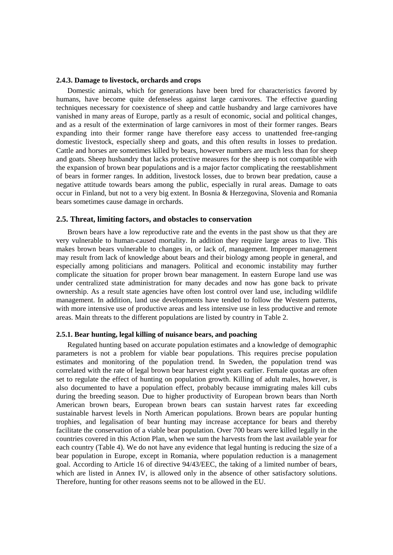#### **2.4.3. Damage to livestock, orchards and crops**

Domestic animals, which for generations have been bred for characteristics favored by humans, have become quite defenseless against large carnivores. The effective guarding techniques necessary for coexistence of sheep and cattle husbandry and large carnivores have vanished in many areas of Europe, partly as a result of economic, social and political changes, and as a result of the extermination of large carnivores in most of their former ranges. Bears expanding into their former range have therefore easy access to unattended free-ranging domestic livestock, especially sheep and goats, and this often results in losses to predation. Cattle and horses are sometimes killed by bears, however numbers are much less than for sheep and goats. Sheep husbandry that lacks protective measures for the sheep is not compatible with the expansion of brown bear populations and is a major factor complicating the reestablishment of bears in former ranges. In addition, livestock losses, due to brown bear predation, cause a negative attitude towards bears among the public, especially in rural areas. Damage to oats occur in Finland, but not to a very big extent. In Bosnia & Herzegovina, Slovenia and Romania bears sometimes cause damage in orchards.

#### **2.5. Threat, limiting factors, and obstacles to conservation**

Brown bears have a low reproductive rate and the events in the past show us that they are very vulnerable to human-caused mortality. In addition they require large areas to live. This makes brown bears vulnerable to changes in, or lack of, management. Improper management may result from lack of knowledge about bears and their biology among people in general, and especially among politicians and managers. Political and economic instability may further complicate the situation for proper brown bear management. In eastern Europe land use was under centralized state administration for many decades and now has gone back to private ownership. As a result state agencies have often lost control over land use, including wildlife management. In addition, land use developments have tended to follow the Western patterns, with more intensive use of productive areas and less intensive use in less productive and remote areas. Main threats to the different populations are listed by country in Table 2.

#### **2.5.1. Bear hunting, legal killing of nuisance bears, and poaching**

Regulated hunting based on accurate population estimates and a knowledge of demographic parameters is not a problem for viable bear populations. This requires precise population estimates and monitoring of the population trend. In Sweden, the population trend was correlated with the rate of legal brown bear harvest eight years earlier. Female quotas are often set to regulate the effect of hunting on population growth. Killing of adult males, however, is also documented to have a population effect, probably because immigrating males kill cubs during the breeding season. Due to higher productivity of European brown bears than North American brown bears, European brown bears can sustain harvest rates far exceeding sustainable harvest levels in North American populations. Brown bears are popular hunting trophies, and legalisation of bear hunting may increase acceptance for bears and thereby facilitate the conservation of a viable bear population. Over 700 bears were killed legally in the countries covered in this Action Plan, when we sum the harvests from the last available year for each country (Table 4). We do not have any evidence that legal hunting is reducing the size of a bear population in Europe, except in Romania, where population reduction is a management goal. According to Article 16 of directive 94/43/EEC, the taking of a limited number of bears, which are listed in Annex IV, is allowed only in the absence of other satisfactory solutions. Therefore, hunting for other reasons seems not to be allowed in the EU.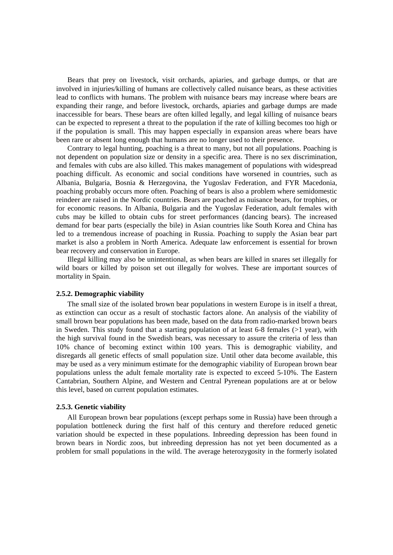Bears that prey on livestock, visit orchards, apiaries, and garbage dumps, or that are involved in injuries/killing of humans are collectively called nuisance bears, as these activities lead to conflicts with humans. The problem with nuisance bears may increase where bears are expanding their range, and before livestock, orchards, apiaries and garbage dumps are made inaccessible for bears. These bears are often killed legally, and legal killing of nuisance bears can be expected to represent a threat to the population if the rate of killing becomes too high or if the population is small. This may happen especially in expansion areas where bears have been rare or absent long enough that humans are no longer used to their presence.

Contrary to legal hunting, poaching is a threat to many, but not all populations. Poaching is not dependent on population size or density in a specific area. There is no sex discrimination, and females with cubs are also killed. This makes management of populations with widespread poaching difficult. As economic and social conditions have worsened in countries, such as Albania, Bulgaria, Bosnia & Herzegovina, the Yugoslav Federation, and FYR Macedonia, poaching probably occurs more often. Poaching of bears is also a problem where semidomestic reindeer are raised in the Nordic countries. Bears are poached as nuisance bears, for trophies, or for economic reasons. In Albania, Bulgaria and the Yugoslav Federation, adult females with cubs may be killed to obtain cubs for street performances (dancing bears). The increased demand for bear parts (especially the bile) in Asian countries like South Korea and China has led to a tremendous increase of poaching in Russia. Poaching to supply the Asian bear part market is also a problem in North America. Adequate law enforcement is essential for brown bear recovery and conservation in Europe.

Illegal killing may also be unintentional, as when bears are killed in snares set illegally for wild boars or killed by poison set out illegally for wolves. These are important sources of mortality in Spain.

#### **2.5.2. Demographic viability**

The small size of the isolated brown bear populations in western Europe is in itself a threat, as extinction can occur as a result of stochastic factors alone. An analysis of the viability of small brown bear populations has been made, based on the data from radio-marked brown bears in Sweden. This study found that a starting population of at least 6-8 females (>1 year), with the high survival found in the Swedish bears, was necessary to assure the criteria of less than 10% chance of becoming extinct within 100 years. This is demographic viability, and disregards all genetic effects of small population size. Until other data become available, this may be used as a very minimum estimate for the demographic viability of European brown bear populations unless the adult female mortality rate is expected to exceed 5-10%. The Eastern Cantabrian, Southern Alpine, and Western and Central Pyrenean populations are at or below this level, based on current population estimates.

#### **2.5.3. Genetic viability**

All European brown bear populations (except perhaps some in Russia) have been through a population bottleneck during the first half of this century and therefore reduced genetic variation should be expected in these populations. Inbreeding depression has been found in brown bears in Nordic zoos, but inbreeding depression has not yet been documented as a problem for small populations in the wild. The average heterozygosity in the formerly isolated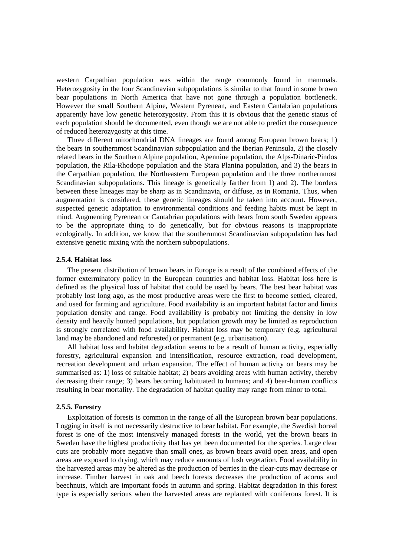western Carpathian population was within the range commonly found in mammals. Heterozygosity in the four Scandinavian subpopulations is similar to that found in some brown bear populations in North America that have not gone through a population bottleneck. However the small Southern Alpine, Western Pyrenean, and Eastern Cantabrian populations apparently have low genetic heterozygosity. From this it is obvious that the genetic status of each population should be documented, even though we are not able to predict the consequence of reduced heterozygosity at this time.

Three different mitochondrial DNA lineages are found among European brown bears; 1) the bears in southernmost Scandinavian subpopulation and the Iberian Peninsula, 2) the closely related bears in the Southern Alpine population, Apennine population, the Alps-Dinaric-Pindos population, the Rila-Rhodope population and the Stara Planina population, and 3) the bears in the Carpathian population, the Northeastern European population and the three northernmost Scandinavian subpopulations. This lineage is genetically farther from 1) and 2). The borders between these lineages may be sharp as in Scandinavia, or diffuse, as in Romania. Thus, when augmentation is considered, these genetic lineages should be taken into account. However, suspected genetic adaptation to environmental conditions and feeding habits must be kept in mind. Augmenting Pyrenean or Cantabrian populations with bears from south Sweden appears to be the appropriate thing to do genetically, but for obvious reasons is inappropriate ecologically. In addition, we know that the southernmost Scandinavian subpopulation has had extensive genetic mixing with the northern subpopulations.

#### **2.5.4. Habitat loss**

The present distribution of brown bears in Europe is a result of the combined effects of the former exterminatory policy in the European countries and habitat loss. Habitat loss here is defined as the physical loss of habitat that could be used by bears. The best bear habitat was probably lost long ago, as the most productive areas were the first to become settled, cleared, and used for farming and agriculture. Food availability is an important habitat factor and limits population density and range. Food availability is probably not limiting the density in low density and heavily hunted populations, but population growth may be limited as reproduction is strongly correlated with food availability. Habitat loss may be temporary (e.g. agricultural land may be abandoned and reforested) or permanent (e.g. urbanisation).

All habitat loss and habitat degradation seems to be a result of human activity, especially forestry, agricultural expansion and intensification, resource extraction, road development, recreation development and urban expansion. The effect of human activity on bears may be summarised as: 1) loss of suitable habitat; 2) bears avoiding areas with human activity, thereby decreasing their range; 3) bears becoming habituated to humans; and 4) bear-human conflicts resulting in bear mortality. The degradation of habitat quality may range from minor to total.

#### **2.5.5. Forestry**

Exploitation of forests is common in the range of all the European brown bear populations. Logging in itself is not necessarily destructive to bear habitat. For example, the Swedish boreal forest is one of the most intensively managed forests in the world, yet the brown bears in Sweden have the highest productivity that has yet been documented for the species. Large clear cuts are probably more negative than small ones, as brown bears avoid open areas, and open areas are exposed to drying, which may reduce amounts of lush vegetation. Food availability in the harvested areas may be altered as the production of berries in the clear-cuts may decrease or increase. Timber harvest in oak and beech forests decreases the production of acorns and beechnuts, which are important foods in autumn and spring. Habitat degradation in this forest type is especially serious when the harvested areas are replanted with coniferous forest. It is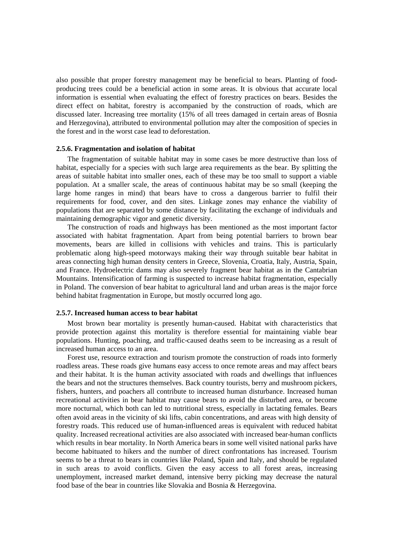also possible that proper forestry management may be beneficial to bears. Planting of foodproducing trees could be a beneficial action in some areas. It is obvious that accurate local information is essential when evaluating the effect of forestry practices on bears. Besides the direct effect on habitat, forestry is accompanied by the construction of roads, which are discussed later. Increasing tree mortality (15% of all trees damaged in certain areas of Bosnia and Herzegovina), attributed to environmental pollution may alter the composition of species in the forest and in the worst case lead to deforestation.

#### **2.5.6. Fragmentation and isolation of habitat**

The fragmentation of suitable habitat may in some cases be more destructive than loss of habitat, especially for a species with such large area requirements as the bear. By splitting the areas of suitable habitat into smaller ones, each of these may be too small to support a viable population. At a smaller scale, the areas of continuous habitat may be so small (keeping the large home ranges in mind) that bears have to cross a dangerous barrier to fulfil their requirements for food, cover, and den sites. Linkage zones may enhance the viability of populations that are separated by some distance by facilitating the exchange of individuals and maintaining demographic vigor and genetic diversity.

The construction of roads and highways has been mentioned as the most important factor associated with habitat fragmentation. Apart from being potential barriers to brown bear movements, bears are killed in collisions with vehicles and trains. This is particularly problematic along high-speed motorways making their way through suitable bear habitat in areas connecting high human density centers in Greece, Slovenia, Croatia, Italy, Austria, Spain, and France. Hydroelectric dams may also severely fragment bear habitat as in the Cantabrian Mountains. Intensification of farming is suspected to increase habitat fragmentation, especially in Poland. The conversion of bear habitat to agricultural land and urban areas is the major force behind habitat fragmentation in Europe, but mostly occurred long ago.

#### **2.5.7. Increased human access to bear habitat**

Most brown bear mortality is presently human-caused. Habitat with characteristics that provide protection against this mortality is therefore essential for maintaining viable bear populations. Hunting, poaching, and traffic-caused deaths seem to be increasing as a result of increased human access to an area.

Forest use, resource extraction and tourism promote the construction of roads into formerly roadless areas. These roads give humans easy access to once remote areas and may affect bears and their habitat. It is the human activity associated with roads and dwellings that influences the bears and not the structures themselves. Back country tourists, berry and mushroom pickers, fishers, hunters, and poachers all contribute to increased human disturbance. Increased human recreational activities in bear habitat may cause bears to avoid the disturbed area, or become more nocturnal, which both can led to nutritional stress, especially in lactating females. Bears often avoid areas in the vicinity of ski lifts, cabin concentrations, and areas with high density of forestry roads. This reduced use of human-influenced areas is equivalent with reduced habitat quality. Increased recreational activities are also associated with increased bear-human conflicts which results in bear mortality. In North America bears in some well visited national parks have become habituated to hikers and the number of direct confrontations has increased. Tourism seems to be a threat to bears in countries like Poland, Spain and Italy, and should be regulated in such areas to avoid conflicts. Given the easy access to all forest areas, increasing unemployment, increased market demand, intensive berry picking may decrease the natural food base of the bear in countries like Slovakia and Bosnia & Herzegovina.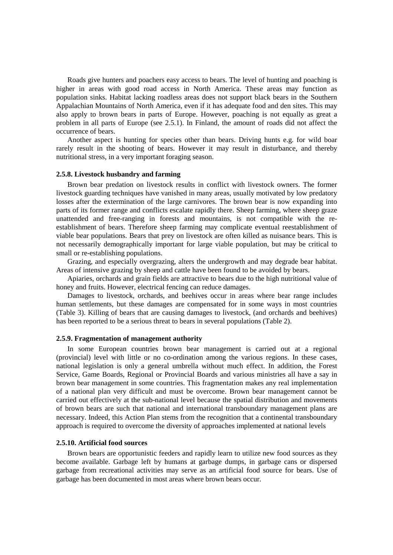Roads give hunters and poachers easy access to bears. The level of hunting and poaching is higher in areas with good road access in North America. These areas may function as population sinks. Habitat lacking roadless areas does not support black bears in the Southern Appalachian Mountains of North America, even if it has adequate food and den sites. This may also apply to brown bears in parts of Europe. However, poaching is not equally as great a problem in all parts of Europe (see 2.5.1). In Finland, the amount of roads did not affect the occurrence of bears.

Another aspect is hunting for species other than bears. Driving hunts e.g. for wild boar rarely result in the shooting of bears. However it may result in disturbance, and thereby nutritional stress, in a very important foraging season.

#### **2.5.8. Livestock husbandry and farming**

Brown bear predation on livestock results in conflict with livestock owners. The former livestock guarding techniques have vanished in many areas, usually motivated by low predatory losses after the extermination of the large carnivores. The brown bear is now expanding into parts of its former range and conflicts escalate rapidly there. Sheep farming, where sheep graze unattended and free-ranging in forests and mountains, is not compatible with the reestablishment of bears. Therefore sheep farming may complicate eventual reestablishment of viable bear populations. Bears that prey on livestock are often killed as nuisance bears. This is not necessarily demographically important for large viable population, but may be critical to small or re-establishing populations.

Grazing, and especially overgrazing, alters the undergrowth and may degrade bear habitat. Areas of intensive grazing by sheep and cattle have been found to be avoided by bears.

Apiaries, orchards and grain fields are attractive to bears due to the high nutritional value of honey and fruits. However, electrical fencing can reduce damages.

Damages to livestock, orchards, and beehives occur in areas where bear range includes human settlements, but these damages are compensated for in some ways in most countries (Table 3). Killing of bears that are causing damages to livestock, (and orchards and beehives) has been reported to be a serious threat to bears in several populations (Table 2).

#### **2.5.9. Fragmentation of management authority**

In some European countries brown bear management is carried out at a regional (provincial) level with little or no co-ordination among the various regions. In these cases, national legislation is only a general umbrella without much effect. In addition, the Forest Service, Game Boards, Regional or Provincial Boards and various ministries all have a say in brown bear management in some countries. This fragmentation makes any real implementation of a national plan very difficult and must be overcome. Brown bear management cannot be carried out effectively at the sub-national level because the spatial distribution and movements of brown bears are such that national and international transboundary management plans are necessary. Indeed, this Action Plan stems from the recognition that a continental transboundary approach is required to overcome the diversity of approaches implemented at national levels

#### **2.5.10. Artificial food sources**

Brown bears are opportunistic feeders and rapidly learn to utilize new food sources as they become available. Garbage left by humans at garbage dumps, in garbage cans or dispersed garbage from recreational activities may serve as an artificial food source for bears. Use of garbage has been documented in most areas where brown bears occur.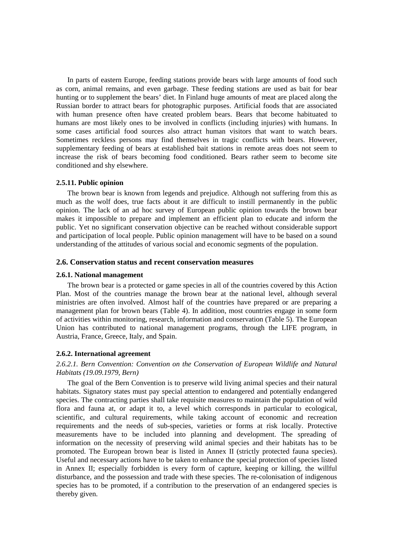In parts of eastern Europe, feeding stations provide bears with large amounts of food such as corn, animal remains, and even garbage. These feeding stations are used as bait for bear hunting or to supplement the bears' diet. In Finland huge amounts of meat are placed along the Russian border to attract bears for photographic purposes. Artificial foods that are associated with human presence often have created problem bears. Bears that become habituated to humans are most likely ones to be involved in conflicts (including injuries) with humans. In some cases artificial food sources also attract human visitors that want to watch bears. Sometimes reckless persons may find themselves in tragic conflicts with bears. However, supplementary feeding of bears at established bait stations in remote areas does not seem to increase the risk of bears becoming food conditioned. Bears rather seem to become site conditioned and shy elsewhere.

#### **2.5.11. Public opinion**

The brown bear is known from legends and prejudice. Although not suffering from this as much as the wolf does, true facts about it are difficult to instill permanently in the public opinion. The lack of an ad hoc survey of European public opinion towards the brown bear makes it impossible to prepare and implement an efficient plan to educate and inform the public. Yet no significant conservation objective can be reached without considerable support and participation of local people. Public opinion management will have to be based on a sound understanding of the attitudes of various social and economic segments of the population.

#### **2.6. Conservation status and recent conservation measures**

#### **2.6.1. National management**

The brown bear is a protected or game species in all of the countries covered by this Action Plan. Most of the countries manage the brown bear at the national level, although several ministries are often involved. Almost half of the countries have prepared or are preparing a management plan for brown bears (Table 4). In addition, most countries engage in some form of activities within monitoring, research, information and conservation (Table 5). The European Union has contributed to national management programs, through the LIFE program, in Austria, France, Greece, Italy, and Spain.

#### **2.6.2. International agreement**

### *2.6.2.1. Bern Convention: Convention on the Conservation of European Wildlife and Natural Habitats (19.09.1979, Bern)*

The goal of the Bern Convention is to preserve wild living animal species and their natural habitats. Signatory states must pay special attention to endangered and potentially endangered species. The contracting parties shall take requisite measures to maintain the population of wild flora and fauna at, or adapt it to, a level which corresponds in particular to ecological, scientific, and cultural requirements, while taking account of economic and recreation requirements and the needs of sub-species, varieties or forms at risk locally. Protective measurements have to be included into planning and development. The spreading of information on the necessity of preserving wild animal species and their habitats has to be promoted. The European brown bear is listed in Annex  $\overline{II}$  (strictly protected fauna species). Useful and necessary actions have to be taken to enhance the special protection of species listed in Annex II; especially forbidden is every form of capture, keeping or killing, the willful disturbance, and the possession and trade with these species. The re-colonisation of indigenous species has to be promoted, if a contribution to the preservation of an endangered species is thereby given.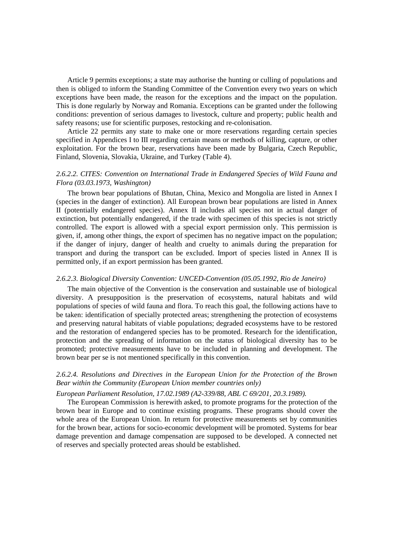Article 9 permits exceptions; a state may authorise the hunting or culling of populations and then is obliged to inform the Standing Committee of the Convention every two years on which exceptions have been made, the reason for the exceptions and the impact on the population. This is done regularly by Norway and Romania. Exceptions can be granted under the following conditions: prevention of serious damages to livestock, culture and property; public health and safety reasons; use for scientific purposes, restocking and re-colonisation.

Article 22 permits any state to make one or more reservations regarding certain species specified in Appendices I to III regarding certain means or methods of killing, capture, or other exploitation. For the brown bear, reservations have been made by Bulgaria, Czech Republic, Finland, Slovenia, Slovakia, Ukraine, and Turkey (Table 4).

#### *2.6.2.2. CITES: Convention on International Trade in Endangered Species of Wild Fauna and Flora (03.03.1973, Washington)*

The brown bear populations of Bhutan, China, Mexico and Mongolia are listed in Annex I (species in the danger of extinction). All European brown bear populations are listed in Annex II (potentially endangered species). Annex II includes all species not in actual danger of extinction, but potentially endangered, if the trade with specimen of this species is not strictly controlled. The export is allowed with a special export permission only. This permission is given, if, among other things, the export of specimen has no negative impact on the population; if the danger of injury, danger of health and cruelty to animals during the preparation for transport and during the transport can be excluded. Import of species listed in Annex II is permitted only, if an export permission has been granted.

#### *2.6.2.3. Biological Diversity Convention: UNCED-Convention (05.05.1992, Rio de Janeiro)*

The main objective of the Convention is the conservation and sustainable use of biological diversity. A presupposition is the preservation of ecosystems, natural habitats and wild populations of species of wild fauna and flora. To reach this goal, the following actions have to be taken: identification of specially protected areas; strengthening the protection of ecosystems and preserving natural habitats of viable populations; degraded ecosystems have to be restored and the restoration of endangered species has to be promoted. Research for the identification, protection and the spreading of information on the status of biological diversity has to be promoted; protective measurements have to be included in planning and development. The brown bear per se is not mentioned specifically in this convention.

### *2.6.2.4. Resolutions and Directives in the European Union for the Protection of the Brown Bear within the Community (European Union member countries only)*

#### *European Parliament Resolution, 17.02.1989 (A2-339/88, ABL C 69/201, 20.3.1989).*

The European Commission is herewith asked, to promote programs for the protection of the brown bear in Europe and to continue existing programs. These programs should cover the whole area of the European Union. In return for protective measurements set by communities for the brown bear, actions for socio-economic development will be promoted. Systems for bear damage prevention and damage compensation are supposed to be developed. A connected net of reserves and specially protected areas should be established.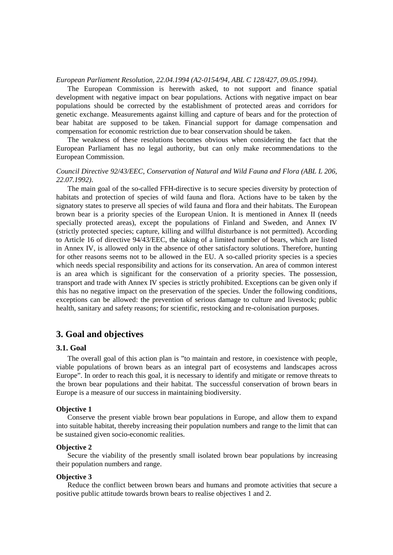*European Parliament Resolution, 22.04.1994 (A2-0154/94, ABL C 128/427, 09.05.1994)*.

The European Commission is herewith asked, to not support and finance spatial development with negative impact on bear populations. Actions with negative impact on bear populations should be corrected by the establishment of protected areas and corridors for genetic exchange. Measurements against killing and capture of bears and for the protection of bear habitat are supposed to be taken. Financial support for damage compensation and compensation for economic restriction due to bear conservation should be taken.

The weakness of these resolutions becomes obvious when considering the fact that the European Parliament has no legal authority, but can only make recommendations to the European Commission.

#### *Council Directive 92/43/EEC, Conservation of Natural and Wild Fauna and Flora (ABL L 206, 22.07.1992)*.

The main goal of the so-called FFH-directive is to secure species diversity by protection of habitats and protection of species of wild fauna and flora. Actions have to be taken by the signatory states to preserve all species of wild fauna and flora and their habitats. The European brown bear is a priority species of the European Union. It is mentioned in Annex II (needs specially protected areas), except the populations of Finland and Sweden, and Annex IV (strictly protected species; capture, killing and willful disturbance is not permitted). According to Article 16 of directive 94/43/EEC, the taking of a limited number of bears, which are listed in Annex IV, is allowed only in the absence of other satisfactory solutions. Therefore, hunting for other reasons seems not to be allowed in the EU. A so-called priority species is a species which needs special responsibility and actions for its conservation. An area of common interest is an area which is significant for the conservation of a priority species. The possession, transport and trade with Annex IV species is strictly prohibited. Exceptions can be given only if this has no negative impact on the preservation of the species. Under the following conditions, exceptions can be allowed: the prevention of serious damage to culture and livestock; public health, sanitary and safety reasons; for scientific, restocking and re-colonisation purposes.

### **3. Goal and objectives**

#### **3.1. Goal**

The overall goal of this action plan is "to maintain and restore, in coexistence with people, viable populations of brown bears as an integral part of ecosystems and landscapes across Europe". In order to reach this goal, it is necessary to identify and mitigate or remove threats to the brown bear populations and their habitat. The successful conservation of brown bears in Europe is a measure of our success in maintaining biodiversity.

#### **Objective 1**

Conserve the present viable brown bear populations in Europe, and allow them to expand into suitable habitat, thereby increasing their population numbers and range to the limit that can be sustained given socio-economic realities.

#### **Objective 2**

Secure the viability of the presently small isolated brown bear populations by increasing their population numbers and range.

#### **Objective 3**

Reduce the conflict between brown bears and humans and promote activities that secure a positive public attitude towards brown bears to realise objectives 1 and 2.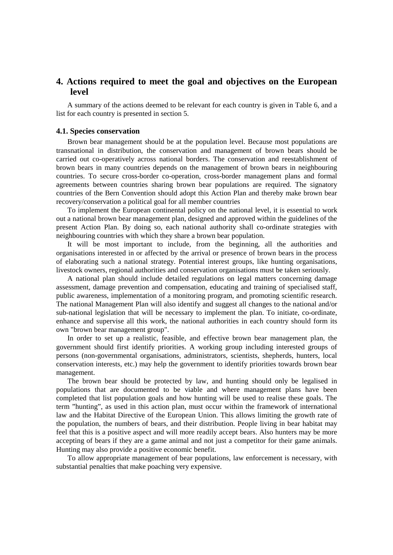### **4. Actions required to meet the goal and objectives on the European level**

A summary of the actions deemed to be relevant for each country is given in Table 6, and a list for each country is presented in section 5.

#### **4.1. Species conservation**

Brown bear management should be at the population level. Because most populations are transnational in distribution, the conservation and management of brown bears should be carried out co-operatively across national borders. The conservation and reestablishment of brown bears in many countries depends on the management of brown bears in neighbouring countries. To secure cross-border co-operation, cross-border management plans and formal agreements between countries sharing brown bear populations are required. The signatory countries of the Bern Convention should adopt this Action Plan and thereby make brown bear recovery/conservation a political goal for all member countries

To implement the European continental policy on the national level, it is essential to work out a national brown bear management plan, designed and approved within the guidelines of the present Action Plan. By doing so, each national authority shall co-ordinate strategies with neighbouring countries with which they share a brown bear population.

It will be most important to include, from the beginning, all the authorities and organisations interested in or affected by the arrival or presence of brown bears in the process of elaborating such a national strategy. Potential interest groups, like hunting organisations, livestock owners, regional authorities and conservation organisations must be taken seriously.

A national plan should include detailed regulations on legal matters concerning damage assessment, damage prevention and compensation, educating and training of specialised staff, public awareness, implementation of a monitoring program, and promoting scientific research. The national Management Plan will also identify and suggest all changes to the national and/or sub-national legislation that will be necessary to implement the plan. To initiate, co-ordinate, enhance and supervise all this work, the national authorities in each country should form its own "brown bear management group".

In order to set up a realistic, feasible, and effective brown bear management plan, the government should first identify priorities. A working group including interested groups of persons (non-governmental organisations, administrators, scientists, shepherds, hunters, local conservation interests, etc.) may help the government to identify priorities towards brown bear management.

The brown bear should be protected by law, and hunting should only be legalised in populations that are documented to be viable and where management plans have been completed that list population goals and how hunting will be used to realise these goals. The term "hunting", as used in this action plan, must occur within the framework of international law and the Habitat Directive of the European Union. This allows limiting the growth rate of the population, the numbers of bears, and their distribution. People living in bear habitat may feel that this is a positive aspect and will more readily accept bears. Also hunters may be more accepting of bears if they are a game animal and not just a competitor for their game animals. Hunting may also provide a positive economic benefit.

To allow appropriate management of bear populations, law enforcement is necessary, with substantial penalties that make poaching very expensive.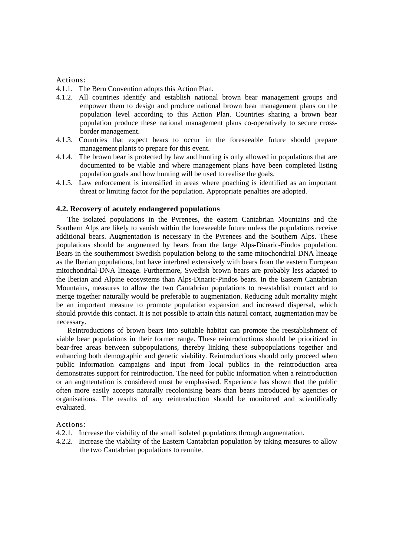#### Actions:

4.1.1. The Bern Convention adopts this Action Plan.

- 4.1.2. All countries identify and establish national brown bear management groups and empower them to design and produce national brown bear management plans on the population level according to this Action Plan. Countries sharing a brown bear population produce these national management plans co-operatively to secure crossborder management.
- 4.1.3. Countries that expect bears to occur in the foreseeable future should prepare management plants to prepare for this event.
- 4.1.4. The brown bear is protected by law and hunting is only allowed in populations that are documented to be viable and where management plans have been completed listing population goals and how hunting will be used to realise the goals.
- 4.1.5. Law enforcement is intensified in areas where poaching is identified as an important threat or limiting factor for the population. Appropriate penalties are adopted.

#### **4.2. Recovery of acutely endangered populations**

The isolated populations in the Pyrenees, the eastern Cantabrian Mountains and the Southern Alps are likely to vanish within the foreseeable future unless the populations receive additional bears. Augmentation is necessary in the Pyrenees and the Southern Alps. These populations should be augmented by bears from the large Alps-Dinaric-Pindos population. Bears in the southernmost Swedish population belong to the same mitochondrial DNA lineage as the Iberian populations, but have interbred extensively with bears from the eastern European mitochondrial-DNA lineage. Furthermore, Swedish brown bears are probably less adapted to the Iberian and Alpine ecosystems than Alps-Dinaric-Pindos bears. In the Eastern Cantabrian Mountains, measures to allow the two Cantabrian populations to re-establish contact and to merge together naturally would be preferable to augmentation. Reducing adult mortality might be an important measure to promote population expansion and increased dispersal, which should provide this contact. It is not possible to attain this natural contact, augmentation may be necessary.

Reintroductions of brown bears into suitable habitat can promote the reestablishment of viable bear populations in their former range. These reintroductions should be prioritized in bear-free areas between subpopulations, thereby linking these subpopulations together and enhancing both demographic and genetic viability. Reintroductions should only proceed when public information campaigns and input from local publics in the reintroduction area demonstrates support for reintroduction. The need for public information when a reintroduction or an augmentation is considered must be emphasised. Experience has shown that the public often more easily accepts naturally recolonising bears than bears introduced by agencies or organisations. The results of any reintroduction should be monitored and scientifically evaluated.

#### Actions:

- 4.2.1. Increase the viability of the small isolated populations through augmentation.
- 4.2.2. Increase the viability of the Eastern Cantabrian population by taking measures to allow the two Cantabrian populations to reunite.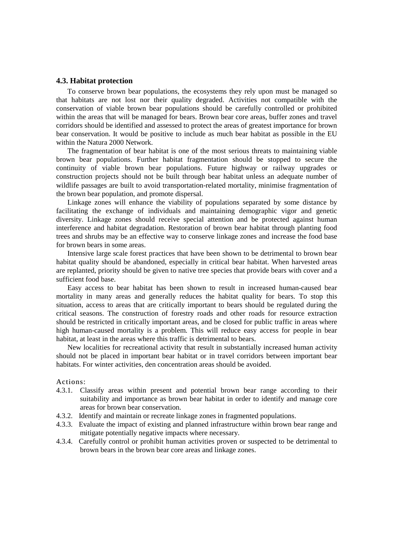#### **4.3. Habitat protection**

To conserve brown bear populations, the ecosystems they rely upon must be managed so that habitats are not lost nor their quality degraded. Activities not compatible with the conservation of viable brown bear populations should be carefully controlled or prohibited within the areas that will be managed for bears. Brown bear core areas, buffer zones and travel corridors should be identified and assessed to protect the areas of greatest importance for brown bear conservation. It would be positive to include as much bear habitat as possible in the EU within the Natura 2000 Network.

The fragmentation of bear habitat is one of the most serious threats to maintaining viable brown bear populations. Further habitat fragmentation should be stopped to secure the continuity of viable brown bear populations. Future highway or railway upgrades or construction projects should not be built through bear habitat unless an adequate number of wildlife passages are built to avoid transportation-related mortality, minimise fragmentation of the brown bear population, and promote dispersal.

Linkage zones will enhance the viability of populations separated by some distance by facilitating the exchange of individuals and maintaining demographic vigor and genetic diversity. Linkage zones should receive special attention and be protected against human interference and habitat degradation. Restoration of brown bear habitat through planting food trees and shrubs may be an effective way to conserve linkage zones and increase the food base for brown bears in some areas.

Intensive large scale forest practices that have been shown to be detrimental to brown bear habitat quality should be abandoned, especially in critical bear habitat. When harvested areas are replanted, priority should be given to native tree species that provide bears with cover and a sufficient food base.

Easy access to bear habitat has been shown to result in increased human-caused bear mortality in many areas and generally reduces the habitat quality for bears. To stop this situation, access to areas that are critically important to bears should be regulated during the critical seasons. The construction of forestry roads and other roads for resource extraction should be restricted in critically important areas, and be closed for public traffic in areas where high human-caused mortality is a problem. This will reduce easy access for people in bear habitat, at least in the areas where this traffic is detrimental to bears.

New localities for recreational activity that result in substantially increased human activity should not be placed in important bear habitat or in travel corridors between important bear habitats. For winter activities, den concentration areas should be avoided.

Actions:

- 4.3.1. Classify areas within present and potential brown bear range according to their suitability and importance as brown bear habitat in order to identify and manage core areas for brown bear conservation.
- 4.3.2. Identify and maintain or recreate linkage zones in fragmented populations.
- 4.3.3. Evaluate the impact of existing and planned infrastructure within brown bear range and mitigate potentially negative impacts where necessary.
- 4.3.4. Carefully control or prohibit human activities proven or suspected to be detrimental to brown bears in the brown bear core areas and linkage zones.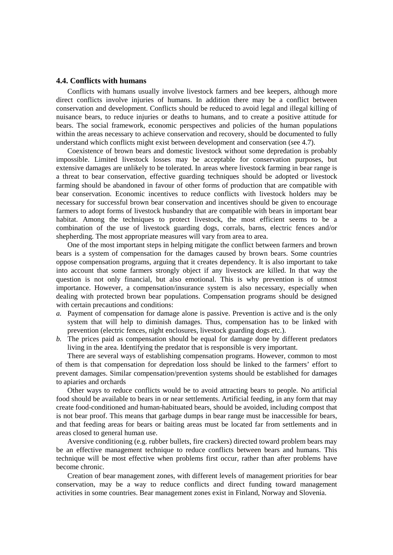#### **4.4. Conflicts with humans**

Conflicts with humans usually involve livestock farmers and bee keepers, although more direct conflicts involve injuries of humans. In addition there may be a conflict between conservation and development. Conflicts should be reduced to avoid legal and illegal killing of nuisance bears, to reduce injuries or deaths to humans, and to create a positive attitude for bears. The social framework, economic perspectives and policies of the human populations within the areas necessary to achieve conservation and recovery, should be documented to fully understand which conflicts might exist between development and conservation (see 4.7).

Coexistence of brown bears and domestic livestock without some depredation is probably impossible. Limited livestock losses may be acceptable for conservation purposes, but extensive damages are unlikely to be tolerated. In areas where livestock farming in bear range is a threat to bear conservation, effective guarding techniques should be adopted or livestock farming should be abandoned in favour of other forms of production that are compatible with bear conservation. Economic incentives to reduce conflicts with livestock holders may be necessary for successful brown bear conservation and incentives should be given to encourage farmers to adopt forms of livestock husbandry that are compatible with bears in important bear habitat. Among the techniques to protect livestock, the most efficient seems to be a combination of the use of livestock guarding dogs, corrals, barns, electric fences and/or shepherding. The most appropriate measures will vary from area to area.

One of the most important steps in helping mitigate the conflict between farmers and brown bears is a system of compensation for the damages caused by brown bears. Some countries oppose compensation programs, arguing that it creates dependency. It is also important to take into account that some farmers strongly object if any livestock are killed. In that way the question is not only financial, but also emotional. This is why prevention is of utmost importance. However, a compensation/insurance system is also necessary, especially when dealing with protected brown bear populations. Compensation programs should be designed with certain precautions and conditions:

- *a.* Payment of compensation for damage alone is passive. Prevention is active and is the only system that will help to diminish damages. Thus, compensation has to be linked with prevention (electric fences, night enclosures, livestock guarding dogs etc.).
- *b.* The prices paid as compensation should be equal for damage done by different predators living in the area. Identifying the predator that is responsible is very important.

There are several ways of establishing compensation programs. However, common to most of them is that compensation for depredation loss should be linked to the farmers' effort to prevent damages. Similar compensation/prevention systems should be established for damages to apiaries and orchards

Other ways to reduce conflicts would be to avoid attracting bears to people. No artificial food should be available to bears in or near settlements. Artificial feeding, in any form that may create food-conditioned and human-habituated bears, should be avoided, including compost that is not bear proof. This means that garbage dumps in bear range must be inaccessible for bears, and that feeding areas for bears or baiting areas must be located far from settlements and in areas closed to general human use.

Aversive conditioning (e.g. rubber bullets, fire crackers) directed toward problem bears may be an effective management technique to reduce conflicts between bears and humans. This technique will be most effective when problems first occur, rather than after problems have become chronic.

Creation of bear management zones, with different levels of management priorities for bear conservation, may be a way to reduce conflicts and direct funding toward management activities in some countries. Bear management zones exist in Finland, Norway and Slovenia.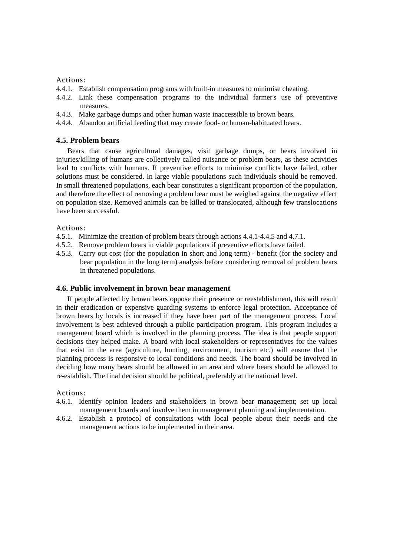#### Actions:

- 4.4.1. Establish compensation programs with built-in measures to minimise cheating.
- 4.4.2. Link these compensation programs to the individual farmer's use of preventive measures.
- 4.4.3. Make garbage dumps and other human waste inaccessible to brown bears.
- 4.4.4. Abandon artificial feeding that may create food- or human-habituated bears.

#### **4.5. Problem bears**

Bears that cause agricultural damages, visit garbage dumps, or bears involved in injuries/killing of humans are collectively called nuisance or problem bears, as these activities lead to conflicts with humans. If preventive efforts to minimise conflicts have failed, other solutions must be considered. In large viable populations such individuals should be removed. In small threatened populations, each bear constitutes a significant proportion of the population, and therefore the effect of removing a problem bear must be weighed against the negative effect on population size. Removed animals can be killed or translocated, although few translocations have been successful.

#### Actions:

- 4.5.1. Minimize the creation of problem bears through actions 4.4.1-4.4.5 and 4.7.1.
- 4.5.2. Remove problem bears in viable populations if preventive efforts have failed.
- 4.5.3. Carry out cost (for the population in short and long term) benefit (for the society and bear population in the long term) analysis before considering removal of problem bears in threatened populations.

#### **4.6. Public involvement in brown bear management**

If people affected by brown bears oppose their presence or reestablishment, this will result in their eradication or expensive guarding systems to enforce legal protection. Acceptance of brown bears by locals is increased if they have been part of the management process. Local involvement is best achieved through a public participation program. This program includes a management board which is involved in the planning process. The idea is that people support decisions they helped make. A board with local stakeholders or representatives for the values that exist in the area (agriculture, hunting, environment, tourism etc.) will ensure that the planning process is responsive to local conditions and needs. The board should be involved in deciding how many bears should be allowed in an area and where bears should be allowed to re-establish. The final decision should be political, preferably at the national level.

### Actions:

- 4.6.1. Identify opinion leaders and stakeholders in brown bear management; set up local management boards and involve them in management planning and implementation.
- 4.6.2. Establish a protocol of consultations with local people about their needs and the management actions to be implemented in their area.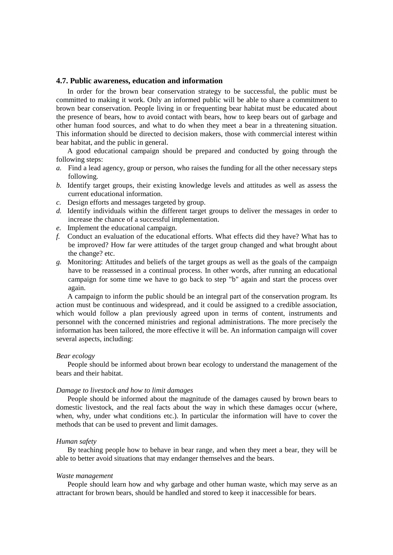#### **4.7. Public awareness, education and information**

In order for the brown bear conservation strategy to be successful, the public must be committed to making it work. Only an informed public will be able to share a commitment to brown bear conservation. People living in or frequenting bear habitat must be educated about the presence of bears, how to avoid contact with bears, how to keep bears out of garbage and other human food sources, and what to do when they meet a bear in a threatening situation. This information should be directed to decision makers, those with commercial interest within bear habitat, and the public in general.

A good educational campaign should be prepared and conducted by going through the following steps:

- *a.* Find a lead agency, group or person, who raises the funding for all the other necessary steps following.
- *b.* Identify target groups, their existing knowledge levels and attitudes as well as assess the current educational information.
- *c.* Design efforts and messages targeted by group.
- *d.* Identify individuals within the different target groups to deliver the messages in order to increase the chance of a successful implementation.
- *e.* Implement the educational campaign.
- *f.* Conduct an evaluation of the educational efforts. What effects did they have? What has to be improved? How far were attitudes of the target group changed and what brought about the change? etc.
- *g.* Monitoring: Attitudes and beliefs of the target groups as well as the goals of the campaign have to be reassessed in a continual process. In other words, after running an educational campaign for some time we have to go back to step "b" again and start the process over again.

A campaign to inform the public should be an integral part of the conservation program. Its action must be continuous and widespread, and it could be assigned to a credible association, which would follow a plan previously agreed upon in terms of content, instruments and personnel with the concerned ministries and regional administrations. The more precisely the information has been tailored, the more effective it will be. An information campaign will cover several aspects, including:

#### *Bear ecology*

People should be informed about brown bear ecology to understand the management of the bears and their habitat.

#### *Damage to livestock and how to limit damages*

People should be informed about the magnitude of the damages caused by brown bears to domestic livestock, and the real facts about the way in which these damages occur (where, when, why, under what conditions etc.). In particular the information will have to cover the methods that can be used to prevent and limit damages.

#### *Human safety*

By teaching people how to behave in bear range, and when they meet a bear, they will be able to better avoid situations that may endanger themselves and the bears.

#### *Waste management*

People should learn how and why garbage and other human waste, which may serve as an attractant for brown bears, should be handled and stored to keep it inaccessible for bears.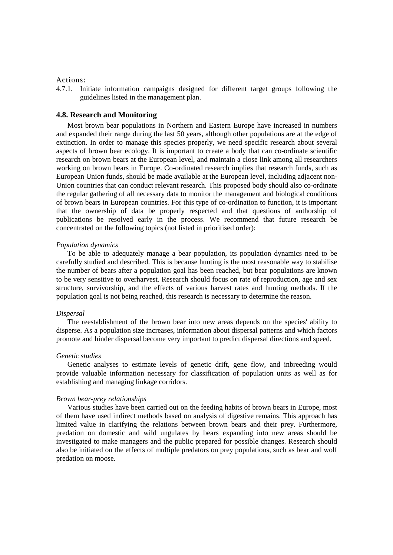#### Actions:

4.7.1. Initiate information campaigns designed for different target groups following the guidelines listed in the management plan.

#### **4.8. Research and Monitoring**

Most brown bear populations in Northern and Eastern Europe have increased in numbers and expanded their range during the last 50 years, although other populations are at the edge of extinction. In order to manage this species properly, we need specific research about several aspects of brown bear ecology. It is important to create a body that can co-ordinate scientific research on brown bears at the European level, and maintain a close link among all researchers working on brown bears in Europe. Co-ordinated research implies that research funds, such as European Union funds, should be made available at the European level, including adjacent non-Union countries that can conduct relevant research. This proposed body should also co-ordinate the regular gathering of all necessary data to monitor the management and biological conditions of brown bears in European countries. For this type of co-ordination to function, it is important that the ownership of data be properly respected and that questions of authorship of publications be resolved early in the process. We recommend that future research be concentrated on the following topics (not listed in prioritised order):

#### *Population dynamics*

To be able to adequately manage a bear population, its population dynamics need to be carefully studied and described. This is because hunting is the most reasonable way to stabilise the number of bears after a population goal has been reached, but bear populations are known to be very sensitive to overharvest. Research should focus on rate of reproduction, age and sex structure, survivorship, and the effects of various harvest rates and hunting methods. If the population goal is not being reached, this research is necessary to determine the reason.

#### *Dispersal*

The reestablishment of the brown bear into new areas depends on the species' ability to disperse. As a population size increases, information about dispersal patterns and which factors promote and hinder dispersal become very important to predict dispersal directions and speed.

#### *Genetic studies*

Genetic analyses to estimate levels of genetic drift, gene flow, and inbreeding would provide valuable information necessary for classification of population units as well as for establishing and managing linkage corridors.

#### *Brown bear-prey relationships*

Various studies have been carried out on the feeding habits of brown bears in Europe, most of them have used indirect methods based on analysis of digestive remains. This approach has limited value in clarifying the relations between brown bears and their prey. Furthermore, predation on domestic and wild ungulates by bears expanding into new areas should be investigated to make managers and the public prepared for possible changes. Research should also be initiated on the effects of multiple predators on prey populations, such as bear and wolf predation on moose.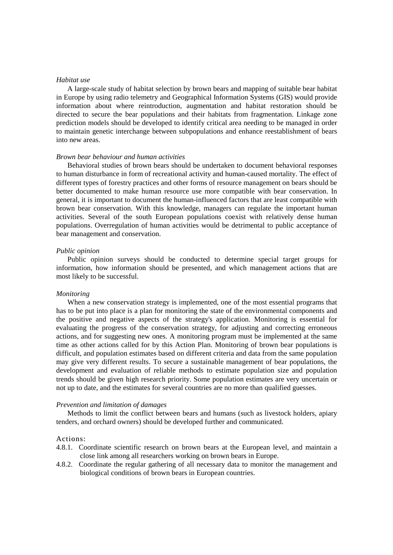#### *Habitat use*

A large-scale study of habitat selection by brown bears and mapping of suitable bear habitat in Europe by using radio telemetry and Geographical Information Systems (GIS) would provide information about where reintroduction, augmentation and habitat restoration should be directed to secure the bear populations and their habitats from fragmentation. Linkage zone prediction models should be developed to identify critical area needing to be managed in order to maintain genetic interchange between subpopulations and enhance reestablishment of bears into new areas.

#### *Brown bear behaviour and human activities*

Behavioral studies of brown bears should be undertaken to document behavioral responses to human disturbance in form of recreational activity and human-caused mortality. The effect of different types of forestry practices and other forms of resource management on bears should be better documented to make human resource use more compatible with bear conservation. In general, it is important to document the human-influenced factors that are least compatible with brown bear conservation. With this knowledge, managers can regulate the important human activities. Several of the south European populations coexist with relatively dense human populations. Overregulation of human activities would be detrimental to public acceptance of bear management and conservation.

#### *Public opinion*

Public opinion surveys should be conducted to determine special target groups for information, how information should be presented, and which management actions that are most likely to be successful.

#### *Monitoring*

When a new conservation strategy is implemented, one of the most essential programs that has to be put into place is a plan for monitoring the state of the environmental components and the positive and negative aspects of the strategy's application. Monitoring is essential for evaluating the progress of the conservation strategy, for adjusting and correcting erroneous actions, and for suggesting new ones. A monitoring program must be implemented at the same time as other actions called for by this Action Plan. Monitoring of brown bear populations is difficult, and population estimates based on different criteria and data from the same population may give very different results. To secure a sustainable management of bear populations, the development and evaluation of reliable methods to estimate population size and population trends should be given high research priority. Some population estimates are very uncertain or not up to date, and the estimates for several countries are no more than qualified guesses.

#### *Prevention and limitation of damages*

Methods to limit the conflict between bears and humans (such as livestock holders, apiary tenders, and orchard owners) should be developed further and communicated.

#### Actions:

- 4.8.1. Coordinate scientific research on brown bears at the European level, and maintain a close link among all researchers working on brown bears in Europe.
- 4.8.2. Coordinate the regular gathering of all necessary data to monitor the management and biological conditions of brown bears in European countries.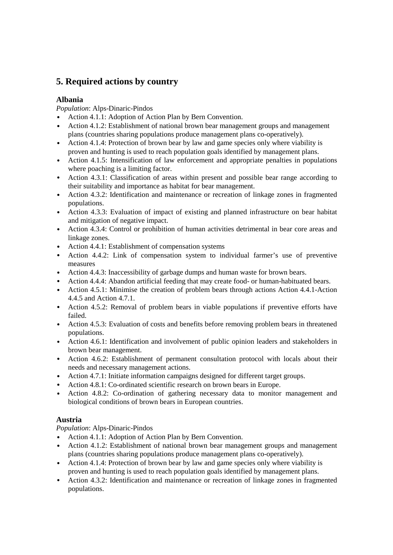### **5. Required actions by country**

### **Albania**

*Population*: Alps-Dinaric-Pindos

- Action 4.1.1: Adoption of Action Plan by Bern Convention.
- Action 4.1.2: Establishment of national brown bear management groups and management plans (countries sharing populations produce management plans co-operatively).
- Action 4.1.4: Protection of brown bear by law and game species only where viability is proven and hunting is used to reach population goals identified by management plans.
- Action 4.1.5: Intensification of law enforcement and appropriate penalties in populations where poaching is a limiting factor.
- Action 4.3.1: Classification of areas within present and possible bear range according to their suitability and importance as habitat for bear management.
- Action 4.3.2: Identification and maintenance or recreation of linkage zones in fragmented populations.
- Action 4.3.3: Evaluation of impact of existing and planned infrastructure on bear habitat and mitigation of negative impact.
- Action 4.3.4: Control or prohibition of human activities detrimental in bear core areas and linkage zones.
- Action 4.4.1: Establishment of compensation systems
- Action 4.4.2: Link of compensation system to individual farmer's use of preventive measures
- Action 4.4.3: Inaccessibility of garbage dumps and human waste for brown bears.
- Action 4.4.4: Abandon artificial feeding that may create food- or human-habituated bears.
- Action 4.5.1: Minimise the creation of problem bears through actions Action 4.4.1-Action 4.4.5 and Action 4.7.1.
- Action 4.5.2: Removal of problem bears in viable populations if preventive efforts have failed.
- Action 4.5.3: Evaluation of costs and benefits before removing problem bears in threatened populations.
- Action 4.6.1: Identification and involvement of public opinion leaders and stakeholders in brown bear management.
- Action 4.6.2: Establishment of permanent consultation protocol with locals about their needs and necessary management actions.
- Action 4.7.1: Initiate information campaigns designed for different target groups.
- Action 4.8.1: Co-ordinated scientific research on brown bears in Europe.
- Action 4.8.2: Co-ordination of gathering necessary data to monitor management and biological conditions of brown bears in European countries.

### **Austria**

*Population*: Alps-Dinaric-Pindos

- Action 4.1.1: Adoption of Action Plan by Bern Convention.
- Action 4.1.2: Establishment of national brown bear management groups and management plans (countries sharing populations produce management plans co-operatively).
- Action 4.1.4: Protection of brown bear by law and game species only where viability is proven and hunting is used to reach population goals identified by management plans.
- Action 4.3.2: Identification and maintenance or recreation of linkage zones in fragmented populations.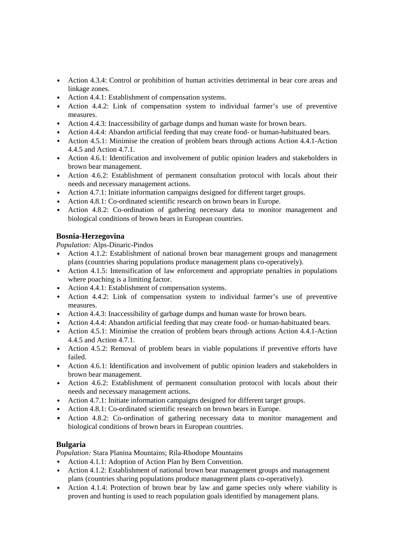- Action 4.3.4: Control or prohibition of human activities detrimental in bear core areas and linkage zones.
- Action 4.4.1: Establishment of compensation systems.
- Action 4.4.2: Link of compensation system to individual farmer's use of preventive measures.
- Action 4.4.3: Inaccessibility of garbage dumps and human waste for brown bears.
- Action 4.4.4: Abandon artificial feeding that may create food- or human-habituated bears.
- Action 4.5.1: Minimise the creation of problem bears through actions Action 4.4.1-Action 4.4.5 and Action 4.7.1.
- Action 4.6.1: Identification and involvement of public opinion leaders and stakeholders in brown bear management.
- Action 4.6.2: Establishment of permanent consultation protocol with locals about their needs and necessary management actions.
- Action 4.7.1: Initiate information campaigns designed for different target groups.
- Action 4.8.1: Co-ordinated scientific research on brown bears in Europe.
- Action 4.8.2: Co-ordination of gathering necessary data to monitor management and biological conditions of brown bears in European countries.

### **Bosnia-Herzegovina**

*Population:* Alps-Dinaric-Pindos

- Action 4.1.2: Establishment of national brown bear management groups and management plans (countries sharing populations produce management plans co-operatively).
- Action 4.1.5: Intensification of law enforcement and appropriate penalties in populations where poaching is a limiting factor.
- Action 4.4.1: Establishment of compensation systems.
- Action 4.4.2: Link of compensation system to individual farmer's use of preventive measures.
- Action 4.4.3: Inaccessibility of garbage dumps and human waste for brown bears.
- Action 4.4.4: Abandon artificial feeding that may create food- or human-habituated bears.
- Action 4.5.1: Minimise the creation of problem bears through actions Action 4.4.1-Action 4.4.5 and Action 4.7.1.
- Action 4.5.2: Removal of problem bears in viable populations if preventive efforts have failed.
- Action 4.6.1: Identification and involvement of public opinion leaders and stakeholders in brown bear management.
- Action 4.6.2: Establishment of permanent consultation protocol with locals about their needs and necessary management actions.
- Action 4.7.1: Initiate information campaigns designed for different target groups.
- Action 4.8.1: Co-ordinated scientific research on brown bears in Europe.
- Action 4.8.2: Co-ordination of gathering necessary data to monitor management and biological conditions of brown bears in European countries.

### **Bulgaria**

*Population:* Stara Planina Mountains; Rila-Rhodope Mountains

- Action 4.1.1: Adoption of Action Plan by Bern Convention.
- Action 4.1.2: Establishment of national brown bear management groups and management plans (countries sharing populations produce management plans co-operatively).
- Action 4.1.4: Protection of brown bear by law and game species only where viability is proven and hunting is used to reach population goals identified by management plans.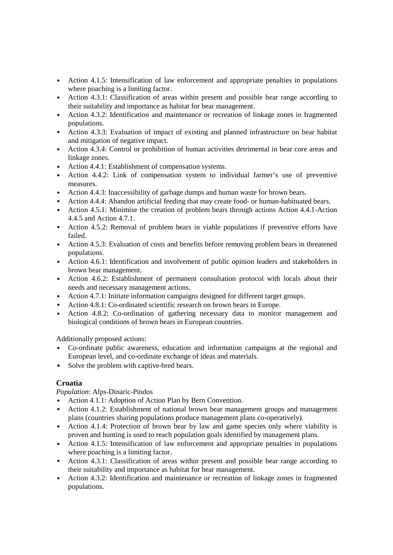- Action 4.1.5: Intensification of law enforcement and appropriate penalties in populations where poaching is a limiting factor.
- Action 4.3.1: Classification of areas within present and possible bear range according to their suitability and importance as habitat for bear management.
- Action 4.3.2: Identification and maintenance or recreation of linkage zones in fragmented populations.
- Action 4.3.3: Evaluation of impact of existing and planned infrastructure on bear habitat and mitigation of negative impact.
- Action 4.3.4: Control or prohibition of human activities detrimental in bear core areas and linkage zones.
- Action 4.4.1: Establishment of compensation systems.
- Action 4.4.2: Link of compensation system to individual farmer's use of preventive measures.
- Action 4.4.3: Inaccessibility of garbage dumps and human waste for brown bears.
- Action 4.4.4: Abandon artificial feeding that may create food- or human-habituated bears.
- Action 4.5.1: Minimise the creation of problem bears through actions Action 4.4.1-Action 4.4.5 and Action 4.7.1.
- Action 4.5.2: Removal of problem bears in viable populations if preventive efforts have failed.
- Action 4.5.3: Evaluation of costs and benefits before removing problem bears in threatened populations.
- Action 4.6.1: Identification and involvement of public opinion leaders and stakeholders in brown bear management.
- Action 4.6.2: Establishment of permanent consultation protocol with locals about their needs and necessary management actions.
- Action 4.7.1: Initiate information campaigns designed for different target groups.
- Action 4.8.1: Co-ordinated scientific research on brown bears in Europe.
- Action 4.8.2: Co-ordination of gathering necessary data to monitor management and biological conditions of brown bears in European countries.

Additionally proposed actions:

- Co-ordinate public awareness, education and information campaigns at the regional and European level, and co-ordinate exchange of ideas and materials.
- Solve the problem with captive-bred bears.

### **Croatia**

*Population*: Alps-Dinaric-Pindos

- Action 4.1.1: Adoption of Action Plan by Bern Convention.
- Action 4.1.2: Establishment of national brown bear management groups and management plans (countries sharing populations produce management plans co-operatively).
- Action 4.1.4: Protection of brown bear by law and game species only where viability is proven and hunting is used to reach population goals identified by management plans.
- Action 4.1.5: Intensification of law enforcement and appropriate penalties in populations where poaching is a limiting factor.
- Action 4.3.1: Classification of areas within present and possible bear range according to their suitability and importance as habitat for bear management.
- Action 4.3.2: Identification and maintenance or recreation of linkage zones in fragmented populations.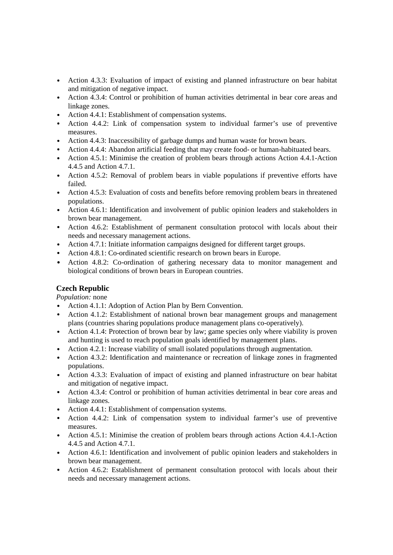- Action 4.3.3: Evaluation of impact of existing and planned infrastructure on bear habitat and mitigation of negative impact.
- Action 4.3.4: Control or prohibition of human activities detrimental in bear core areas and linkage zones.
- Action 4.4.1: Establishment of compensation systems.
- Action 4.4.2: Link of compensation system to individual farmer's use of preventive measures.
- Action 4.4.3: Inaccessibility of garbage dumps and human waste for brown bears.
- Action 4.4.4: Abandon artificial feeding that may create food- or human-habituated bears.
- Action 4.5.1: Minimise the creation of problem bears through actions Action 4.4.1-Action 4.4.5 and Action 4.7.1.
- Action 4.5.2: Removal of problem bears in viable populations if preventive efforts have failed.
- Action 4.5.3: Evaluation of costs and benefits before removing problem bears in threatened populations.
- Action 4.6.1: Identification and involvement of public opinion leaders and stakeholders in brown bear management.
- Action 4.6.2: Establishment of permanent consultation protocol with locals about their needs and necessary management actions.
- Action 4.7.1: Initiate information campaigns designed for different target groups.
- Action 4.8.1: Co-ordinated scientific research on brown bears in Europe.
- Action 4.8.2: Co-ordination of gathering necessary data to monitor management and biological conditions of brown bears in European countries.

### **Czech Republic**

*Population:* none

- Action 4.1.1: Adoption of Action Plan by Bern Convention.
- Action 4.1.2: Establishment of national brown bear management groups and management plans (countries sharing populations produce management plans co-operatively).
- Action 4.1.4: Protection of brown bear by law; game species only where viability is proven and hunting is used to reach population goals identified by management plans.
- Action 4.2.1: Increase viability of small isolated populations through augmentation.
- Action 4.3.2: Identification and maintenance or recreation of linkage zones in fragmented populations.
- Action 4.3.3: Evaluation of impact of existing and planned infrastructure on bear habitat and mitigation of negative impact.
- Action 4.3.4: Control or prohibition of human activities detrimental in bear core areas and linkage zones.
- Action 4.4.1: Establishment of compensation systems.
- Action 4.4.2: Link of compensation system to individual farmer's use of preventive measures.
- Action 4.5.1: Minimise the creation of problem bears through actions Action 4.4.1-Action 4.4.5 and Action 4.7.1.
- Action 4.6.1: Identification and involvement of public opinion leaders and stakeholders in brown bear management.
- Action 4.6.2: Establishment of permanent consultation protocol with locals about their needs and necessary management actions.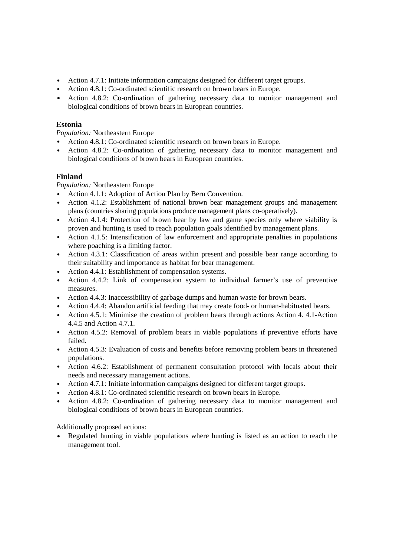- Action 4.7.1: Initiate information campaigns designed for different target groups.
- Action 4.8.1: Co-ordinated scientific research on brown bears in Europe.
- Action 4.8.2: Co-ordination of gathering necessary data to monitor management and biological conditions of brown bears in European countries.

### **Estonia**

*Population:* Northeastern Europe

- Action 4.8.1: Co-ordinated scientific research on brown bears in Europe.
- Action 4.8.2: Co-ordination of gathering necessary data to monitor management and biological conditions of brown bears in European countries.

### **Finland**

*Population:* Northeastern Europe

- Action 4.1.1: Adoption of Action Plan by Bern Convention.
- Action 4.1.2: Establishment of national brown bear management groups and management plans (countries sharing populations produce management plans co-operatively).
- Action 4.1.4: Protection of brown bear by law and game species only where viability is proven and hunting is used to reach population goals identified by management plans.
- Action 4.1.5: Intensification of law enforcement and appropriate penalties in populations where poaching is a limiting factor.
- Action 4.3.1: Classification of areas within present and possible bear range according to their suitability and importance as habitat for bear management.
- Action 4.4.1: Establishment of compensation systems.
- Action 4.4.2: Link of compensation system to individual farmer's use of preventive measures.
- Action 4.4.3: Inaccessibility of garbage dumps and human waste for brown bears.
- Action 4.4.4: Abandon artificial feeding that may create food- or human-habituated bears.
- Action 4.5.1: Minimise the creation of problem bears through actions Action 4. 4.1-Action 4.4.5 and Action 4.7.1.
- Action 4.5.2: Removal of problem bears in viable populations if preventive efforts have failed.
- Action 4.5.3: Evaluation of costs and benefits before removing problem bears in threatened populations.
- Action 4.6.2: Establishment of permanent consultation protocol with locals about their needs and necessary management actions.
- Action 4.7.1: Initiate information campaigns designed for different target groups.
- Action 4.8.1: Co-ordinated scientific research on brown bears in Europe.
- Action 4.8.2: Co-ordination of gathering necessary data to monitor management and biological conditions of brown bears in European countries.

Additionally proposed actions:

• Regulated hunting in viable populations where hunting is listed as an action to reach the management tool.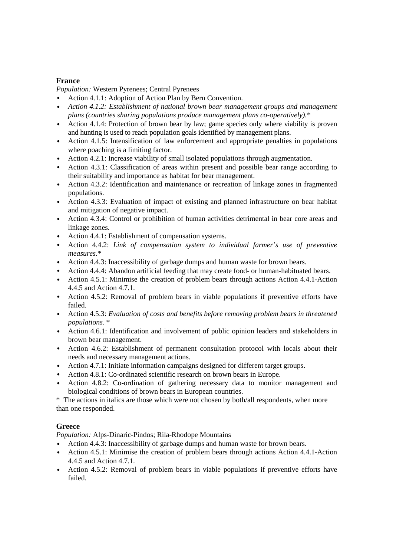### **France**

*Population:* Western Pyrenees; Central Pyrenees

- Action 4.1.1: Adoption of Action Plan by Bern Convention.
- *Action 4.1.2: Establishment of national brown bear management groups and management plans (countries sharing populations produce management plans co-operatively).\**
- Action 4.1.4: Protection of brown bear by law; game species only where viability is proven and hunting is used to reach population goals identified by management plans.
- Action 4.1.5: Intensification of law enforcement and appropriate penalties in populations where poaching is a limiting factor.
- Action 4.2.1: Increase viability of small isolated populations through augmentation.
- Action 4.3.1: Classification of areas within present and possible bear range according to their suitability and importance as habitat for bear management.
- Action 4.3.2: Identification and maintenance or recreation of linkage zones in fragmented populations.
- Action 4.3.3: Evaluation of impact of existing and planned infrastructure on bear habitat and mitigation of negative impact.
- Action 4.3.4: Control or prohibition of human activities detrimental in bear core areas and linkage zones.
- Action 4.4.1: Establishment of compensation systems.
- Action 4.4.2: *Link of compensation system to individual farmer's use of preventive measures.\**
- Action 4.4.3: Inaccessibility of garbage dumps and human waste for brown bears.
- Action 4.4.4: Abandon artificial feeding that may create food- or human-habituated bears.
- Action 4.5.1: Minimise the creation of problem bears through actions Action 4.4.1-Action 4.4.5 and Action 4.7.1.
- Action 4.5.2: Removal of problem bears in viable populations if preventive efforts have failed.
- Action 4.5.3: *Evaluation of costs and benefits before removing problem bears in threatened populations.* \*
- Action 4.6.1: Identification and involvement of public opinion leaders and stakeholders in brown bear management.
- Action 4.6.2: Establishment of permanent consultation protocol with locals about their needs and necessary management actions.
- Action 4.7.1: Initiate information campaigns designed for different target groups.
- Action 4.8.1: Co-ordinated scientific research on brown bears in Europe.
- Action 4.8.2: Co-ordination of gathering necessary data to monitor management and biological conditions of brown bears in European countries.

\* The actions in italics are those which were not chosen by both/all respondents, when more than one responded.

### **Greece**

*Population:* Alps-Dinaric-Pindos; Rila-Rhodope Mountains

- Action 4.4.3: Inaccessibility of garbage dumps and human waste for brown bears.
- Action 4.5.1: Minimise the creation of problem bears through actions Action 4.4.1-Action 4.4.5 and Action 4.7.1.
- Action 4.5.2: Removal of problem bears in viable populations if preventive efforts have failed.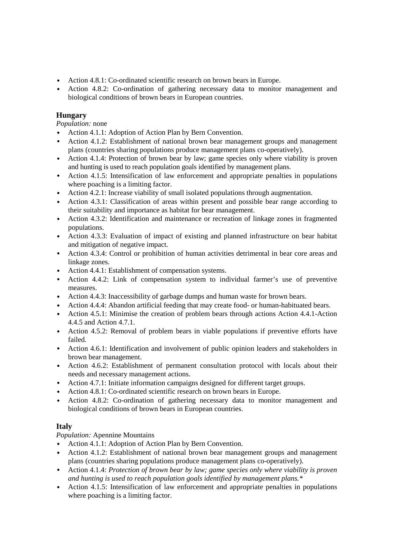- Action 4.8.1: Co-ordinated scientific research on brown bears in Europe.
- Action 4.8.2: Co-ordination of gathering necessary data to monitor management and biological conditions of brown bears in European countries.

### **Hungary**

*Population:* none

- Action 4.1.1: Adoption of Action Plan by Bern Convention.
- Action 4.1.2: Establishment of national brown bear management groups and management plans (countries sharing populations produce management plans co-operatively).
- Action 4.1.4: Protection of brown bear by law; game species only where viability is proven and hunting is used to reach population goals identified by management plans.
- Action 4.1.5: Intensification of law enforcement and appropriate penalties in populations where poaching is a limiting factor.
- Action 4.2.1: Increase viability of small isolated populations through augmentation.
- Action 4.3.1: Classification of areas within present and possible bear range according to their suitability and importance as habitat for bear management.
- Action 4.3.2: Identification and maintenance or recreation of linkage zones in fragmented populations.
- Action 4.3.3: Evaluation of impact of existing and planned infrastructure on bear habitat and mitigation of negative impact.
- Action 4.3.4: Control or prohibition of human activities detrimental in bear core areas and linkage zones.
- Action 4.4.1: Establishment of compensation systems.
- Action 4.4.2: Link of compensation system to individual farmer's use of preventive measures.
- Action 4.4.3: Inaccessibility of garbage dumps and human waste for brown bears.
- Action 4.4.4: Abandon artificial feeding that may create food- or human-habituated bears.
- Action 4.5.1: Minimise the creation of problem bears through actions Action 4.4.1-Action 4.4.5 and Action 4.7.1.
- Action 4.5.2: Removal of problem bears in viable populations if preventive efforts have failed.
- Action 4.6.1: Identification and involvement of public opinion leaders and stakeholders in brown bear management.
- Action 4.6.2: Establishment of permanent consultation protocol with locals about their needs and necessary management actions.
- Action 4.7.1: Initiate information campaigns designed for different target groups.
- Action 4.8.1: Co-ordinated scientific research on brown bears in Europe.
- Action 4.8.2: Co-ordination of gathering necessary data to monitor management and biological conditions of brown bears in European countries.

### **Italy**

*Population:* Apennine Mountains

- Action 4.1.1: Adoption of Action Plan by Bern Convention.
- Action 4.1.2: Establishment of national brown bear management groups and management plans (countries sharing populations produce management plans co-operatively).
- Action 4.1.4: *Protection of brown bear by law; game species only where viability is proven and hunting is used to reach population goals identified by management plans.\**
- Action 4.1.5: Intensification of law enforcement and appropriate penalties in populations where poaching is a limiting factor.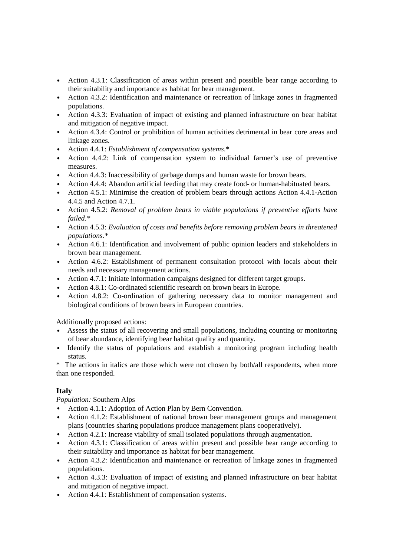- Action 4.3.1: Classification of areas within present and possible bear range according to their suitability and importance as habitat for bear management.
- Action 4.3.2: Identification and maintenance or recreation of linkage zones in fragmented populations.
- Action 4.3.3: Evaluation of impact of existing and planned infrastructure on bear habitat and mitigation of negative impact.
- Action 4.3.4: Control or prohibition of human activities detrimental in bear core areas and linkage zones.
- Action 4.4.1: *Establishment of compensation systems*.\*
- Action 4.4.2: Link of compensation system to individual farmer's use of preventive measures.
- Action 4.4.3: Inaccessibility of garbage dumps and human waste for brown bears.
- Action 4.4.4: Abandon artificial feeding that may create food- or human-habituated bears.
- Action 4.5.1: Minimise the creation of problem bears through actions Action 4.4.1-Action 4.4.5 and Action 4.7.1.
- Action 4.5.2: *Removal of problem bears in viable populations if preventive efforts have failed.\**
- Action 4.5.3: *Evaluation of costs and benefits before removing problem bears in threatened populations.\**
- Action 4.6.1: Identification and involvement of public opinion leaders and stakeholders in brown bear management.
- Action 4.6.2: Establishment of permanent consultation protocol with locals about their needs and necessary management actions.
- Action 4.7.1: Initiate information campaigns designed for different target groups.
- Action 4.8.1: Co-ordinated scientific research on brown bears in Europe.
- Action 4.8.2: Co-ordination of gathering necessary data to monitor management and biological conditions of brown bears in European countries.

Additionally proposed actions:

- Assess the status of all recovering and small populations, including counting or monitoring of bear abundance, identifying bear habitat quality and quantity.
- Identify the status of populations and establish a monitoring program including health status.

\* The actions in italics are those which were not chosen by both/all respondents, when more than one responded.

### **Italy**

*Population:* Southern Alps

- Action 4.1.1: Adoption of Action Plan by Bern Convention.
- Action 4.1.2: Establishment of national brown bear management groups and management plans (countries sharing populations produce management plans cooperatively).
- Action 4.2.1: Increase viability of small isolated populations through augmentation.
- Action 4.3.1: Classification of areas within present and possible bear range according to their suitability and importance as habitat for bear management.
- Action 4.3.2: Identification and maintenance or recreation of linkage zones in fragmented populations.
- Action 4.3.3: Evaluation of impact of existing and planned infrastructure on bear habitat and mitigation of negative impact.
- Action 4.4.1: Establishment of compensation systems.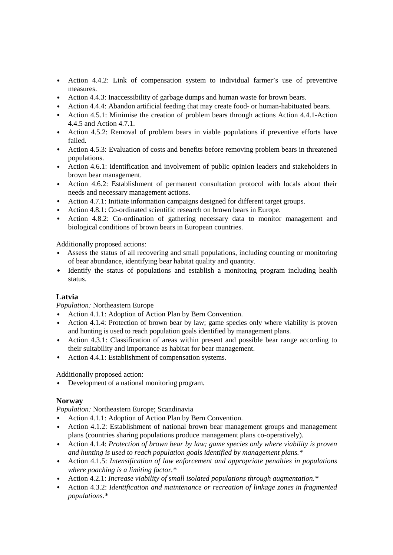- Action 4.4.2: Link of compensation system to individual farmer's use of preventive measures.
- Action 4.4.3: Inaccessibility of garbage dumps and human waste for brown bears.
- Action 4.4.4: Abandon artificial feeding that may create food- or human-habituated bears.
- Action 4.5.1: Minimise the creation of problem bears through actions Action 4.4.1-Action 4.4.5 and Action 4.7.1.
- Action 4.5.2: Removal of problem bears in viable populations if preventive efforts have failed.
- Action 4.5.3: Evaluation of costs and benefits before removing problem bears in threatened populations.
- Action 4.6.1: Identification and involvement of public opinion leaders and stakeholders in brown bear management.
- Action 4.6.2: Establishment of permanent consultation protocol with locals about their needs and necessary management actions.
- Action 4.7.1: Initiate information campaigns designed for different target groups.
- Action 4.8.1: Co-ordinated scientific research on brown bears in Europe.
- Action 4.8.2: Co-ordination of gathering necessary data to monitor management and biological conditions of brown bears in European countries.

Additionally proposed actions:

- Assess the status of all recovering and small populations, including counting or monitoring of bear abundance, identifying bear habitat quality and quantity.
- Identify the status of populations and establish a monitoring program including health status.

### **Latvia**

*Population:* Northeastern Europe

- Action 4.1.1: Adoption of Action Plan by Bern Convention.
- Action 4.1.4: Protection of brown bear by law; game species only where viability is proven and hunting is used to reach population goals identified by management plans.
- Action 4.3.1: Classification of areas within present and possible bear range according to their suitability and importance as habitat for bear management.
- Action 4.4.1: Establishment of compensation systems.

Additionally proposed action:

• Development of a national monitoring program.

### **Norway**

*Population:* Northeastern Europe; Scandinavia

- Action 4.1.1: Adoption of Action Plan by Bern Convention.
- Action 4.1.2: Establishment of national brown bear management groups and management plans (countries sharing populations produce management plans co-operatively).
- Action 4.1.4: *Protection of brown bear by law; game species only where viability is proven and hunting is used to reach population goals identified by management plans.\**
- Action 4.1.5: *Intensification of law enforcement and appropriate penalties in populations where poaching is a limiting factor.\**
- Action 4.2.1: *Increase viability of small isolated populations through augmentation.\**
- Action 4.3.2: *Identification and maintenance or recreation of linkage zones in fragmented populations.\**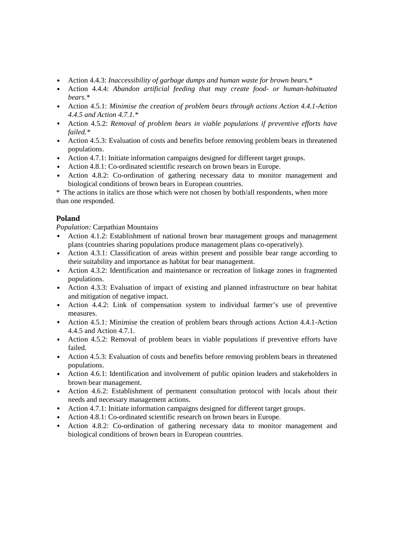- Action 4.4.3: *Inaccessibility of garbage dumps and human waste for brown bears.\**
- Action 4.4.4: *Abandon artificial feeding that may create food- or human-habituated bears.\**
- Action 4.5.1: *Minimise the creation of problem bears through actions Action 4.4.1-Action 4.4.5 and Action 4.7.1.\**
- Action 4.5.2: *Removal of problem bears in viable populations if preventive efforts have failed.\**
- Action 4.5.3: Evaluation of costs and benefits before removing problem bears in threatened populations.
- Action 4.7.1: Initiate information campaigns designed for different target groups.
- Action 4.8.1: Co-ordinated scientific research on brown bears in Europe.
- Action 4.8.2: Co-ordination of gathering necessary data to monitor management and biological conditions of brown bears in European countries.

\* The actions in italics are those which were not chosen by both/all respondents, when more than one responded.

### **Poland**

*Population:* Carpathian Mountains

- Action 4.1.2: Establishment of national brown bear management groups and management plans (countries sharing populations produce management plans co-operatively).
- Action 4.3.1: Classification of areas within present and possible bear range according to their suitability and importance as habitat for bear management.
- Action 4.3.2: Identification and maintenance or recreation of linkage zones in fragmented populations.
- Action 4.3.3: Evaluation of impact of existing and planned infrastructure on bear habitat and mitigation of negative impact.
- Action 4.4.2: Link of compensation system to individual farmer's use of preventive measures.
- Action 4.5.1: Minimise the creation of problem bears through actions Action 4.4.1-Action 4.4.5 and Action 4.7.1.
- Action 4.5.2: Removal of problem bears in viable populations if preventive efforts have failed.
- Action 4.5.3: Evaluation of costs and benefits before removing problem bears in threatened populations.
- Action 4.6.1: Identification and involvement of public opinion leaders and stakeholders in brown bear management.
- Action 4.6.2: Establishment of permanent consultation protocol with locals about their needs and necessary management actions.
- Action 4.7.1: Initiate information campaigns designed for different target groups.
- Action 4.8.1: Co-ordinated scientific research on brown bears in Europe.
- Action 4.8.2: Co-ordination of gathering necessary data to monitor management and biological conditions of brown bears in European countries.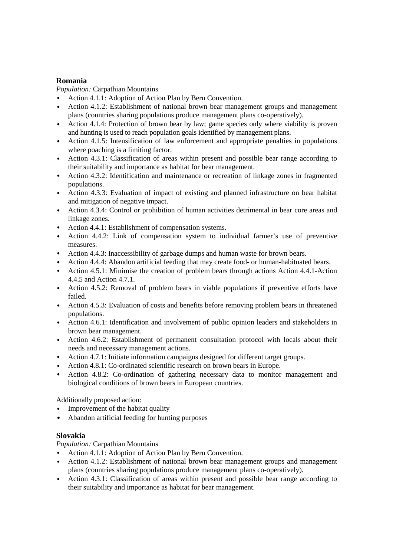### **Romania**

*Population:* Carpathian Mountains

- Action 4.1.1: Adoption of Action Plan by Bern Convention.
- Action 4.1.2: Establishment of national brown bear management groups and management plans (countries sharing populations produce management plans co-operatively).
- Action 4.1.4: Protection of brown bear by law; game species only where viability is proven and hunting is used to reach population goals identified by management plans.
- Action 4.1.5: Intensification of law enforcement and appropriate penalties in populations where poaching is a limiting factor.
- Action 4.3.1: Classification of areas within present and possible bear range according to their suitability and importance as habitat for bear management.
- Action 4.3.2: Identification and maintenance or recreation of linkage zones in fragmented populations.
- Action 4.3.3: Evaluation of impact of existing and planned infrastructure on bear habitat and mitigation of negative impact.
- Action 4.3.4: Control or prohibition of human activities detrimental in bear core areas and linkage zones.
- Action 4.4.1: Establishment of compensation systems.
- Action 4.4.2: Link of compensation system to individual farmer's use of preventive measures.
- Action 4.4.3: Inaccessibility of garbage dumps and human waste for brown bears.
- Action 4.4.4: Abandon artificial feeding that may create food- or human-habituated bears.
- Action 4.5.1: Minimise the creation of problem bears through actions Action 4.4.1-Action 4.4.5 and Action 4.7.1.
- Action 4.5.2: Removal of problem bears in viable populations if preventive efforts have failed.
- Action 4.5.3: Evaluation of costs and benefits before removing problem bears in threatened populations.
- Action 4.6.1: Identification and involvement of public opinion leaders and stakeholders in brown bear management.
- Action 4.6.2: Establishment of permanent consultation protocol with locals about their needs and necessary management actions.
- Action 4.7.1: Initiate information campaigns designed for different target groups.
- Action 4.8.1: Co-ordinated scientific research on brown bears in Europe.
- Action 4.8.2: Co-ordination of gathering necessary data to monitor management and biological conditions of brown bears in European countries.

Additionally proposed action:

- Improvement of the habitat quality
- Abandon artificial feeding for hunting purposes

### **Slovakia**

*Population:* Carpathian Mountains

- Action 4.1.1: Adoption of Action Plan by Bern Convention.
- Action 4.1.2: Establishment of national brown bear management groups and management plans (countries sharing populations produce management plans co-operatively).
- Action 4.3.1: Classification of areas within present and possible bear range according to their suitability and importance as habitat for bear management.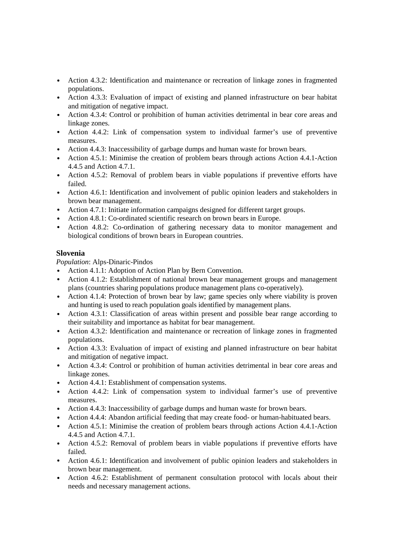- Action 4.3.2: Identification and maintenance or recreation of linkage zones in fragmented populations.
- Action 4.3.3: Evaluation of impact of existing and planned infrastructure on bear habitat and mitigation of negative impact.
- Action 4.3.4: Control or prohibition of human activities detrimental in bear core areas and linkage zones.
- Action 4.4.2: Link of compensation system to individual farmer's use of preventive measures.
- Action 4.4.3: Inaccessibility of garbage dumps and human waste for brown bears.
- Action 4.5.1: Minimise the creation of problem bears through actions Action 4.4.1-Action 4.4.5 and Action 4.7.1.
- Action 4.5.2: Removal of problem bears in viable populations if preventive efforts have failed.
- Action 4.6.1: Identification and involvement of public opinion leaders and stakeholders in brown bear management.
- Action 4.7.1: Initiate information campaigns designed for different target groups.
- Action 4.8.1: Co-ordinated scientific research on brown bears in Europe.
- Action 4.8.2: Co-ordination of gathering necessary data to monitor management and biological conditions of brown bears in European countries.

### **Slovenia**

*Population*: Alps-Dinaric-Pindos

- Action 4.1.1: Adoption of Action Plan by Bern Convention.
- Action 4.1.2: Establishment of national brown bear management groups and management plans (countries sharing populations produce management plans co-operatively).
- Action 4.1.4: Protection of brown bear by law; game species only where viability is proven and hunting is used to reach population goals identified by management plans.
- Action 4.3.1: Classification of areas within present and possible bear range according to their suitability and importance as habitat for bear management.
- Action 4.3.2: Identification and maintenance or recreation of linkage zones in fragmented populations.
- Action 4.3.3: Evaluation of impact of existing and planned infrastructure on bear habitat and mitigation of negative impact.
- Action 4.3.4: Control or prohibition of human activities detrimental in bear core areas and linkage zones.
- Action 4.4.1: Establishment of compensation systems.
- Action 4.4.2: Link of compensation system to individual farmer's use of preventive measures.
- Action 4.4.3: Inaccessibility of garbage dumps and human waste for brown bears.
- Action 4.4.4: Abandon artificial feeding that may create food- or human-habituated bears.
- Action 4.5.1: Minimise the creation of problem bears through actions Action 4.4.1-Action 4.4.5 and Action 4.7.1.
- Action 4.5.2: Removal of problem bears in viable populations if preventive efforts have failed.
- Action 4.6.1: Identification and involvement of public opinion leaders and stakeholders in brown bear management.
- Action 4.6.2: Establishment of permanent consultation protocol with locals about their needs and necessary management actions.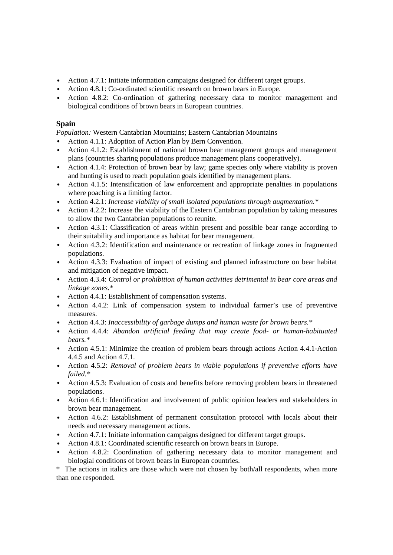- Action 4.7.1: Initiate information campaigns designed for different target groups.
- Action 4.8.1: Co-ordinated scientific research on brown bears in Europe.
- Action 4.8.2: Co-ordination of gathering necessary data to monitor management and biological conditions of brown bears in European countries.

### **Spain**

*Population:* Western Cantabrian Mountains; Eastern Cantabrian Mountains

- Action 4.1.1: Adoption of Action Plan by Bern Convention.
- Action 4.1.2: Establishment of national brown bear management groups and management plans (countries sharing populations produce management plans cooperatively).
- Action 4.1.4: Protection of brown bear by law; game species only where viability is proven and hunting is used to reach population goals identified by management plans.
- Action 4.1.5: Intensification of law enforcement and appropriate penalties in populations where poaching is a limiting factor.
- Action 4.2.1: *Increase viability of small isolated populations through augmentation.\**
- Action 4.2.2: Increase the viability of the Eastern Cantabrian population by taking measures to allow the two Cantabrian populations to reunite.
- Action 4.3.1: Classification of areas within present and possible bear range according to their suitability and importance as habitat for bear management.
- Action 4.3.2: Identification and maintenance or recreation of linkage zones in fragmented populations.
- Action 4.3.3: Evaluation of impact of existing and planned infrastructure on bear habitat and mitigation of negative impact.
- Action 4.3.4: *Control or prohibition of human activities detrimental in bear core areas and linkage zones.\**
- Action 4.4.1: Establishment of compensation systems.
- Action 4.4.2: Link of compensation system to individual farmer's use of preventive measures.
- Action 4.4.3: *Inaccessibility of garbage dumps and human waste for brown bears.\**
- Action 4.4.4: *Abandon artificial feeding that may create food- or human-habituated bears.\**
- Action 4.5.1: Minimize the creation of problem bears through actions Action 4.4.1-Action 4.4.5 and Action 4.7.1.
- Action 4.5.2: *Removal of problem bears in viable populations if preventive efforts have failed.\**
- Action 4.5.3: Evaluation of costs and benefits before removing problem bears in threatened populations.
- Action 4.6.1: Identification and involvement of public opinion leaders and stakeholders in brown bear management.
- Action 4.6.2: Establishment of permanent consultation protocol with locals about their needs and necessary management actions.
- Action 4.7.1: Initiate information campaigns designed for different target groups.
- Action 4.8.1: Coordinated scientific research on brown bears in Europe.
- Action 4.8.2: Coordination of gathering necessary data to monitor management and biologial conditions of brown bears in European countries.

\* The actions in italics are those which were not chosen by both/all respondents, when more than one responded.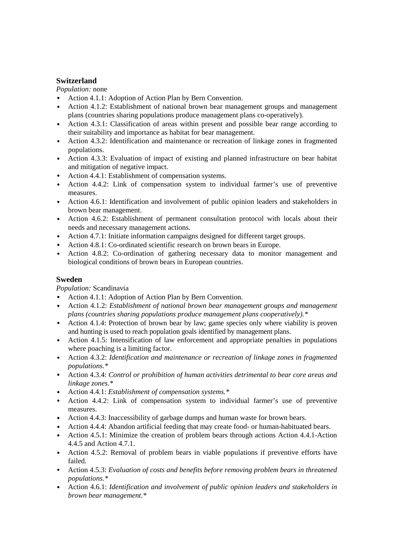### **Switzerland**

### *Population:* none

- Action 4.1.1: Adoption of Action Plan by Bern Convention.
- Action 4.1.2: Establishment of national brown bear management groups and management plans (countries sharing populations produce management plans co-operatively).
- Action 4.3.1: Classification of areas within present and possible bear range according to their suitability and importance as habitat for bear management.
- Action 4.3.2: Identification and maintenance or recreation of linkage zones in fragmented populations.
- Action 4.3.3: Evaluation of impact of existing and planned infrastructure on bear habitat and mitigation of negative impact.
- Action 4.4.1: Establishment of compensation systems.
- Action 4.4.2: Link of compensation system to individual farmer's use of preventive measures.
- Action 4.6.1: Identification and involvement of public opinion leaders and stakeholders in brown bear management.
- Action 4.6.2: Establishment of permanent consultation protocol with locals about their needs and necessary management actions.
- Action 4.7.1: Initiate information campaigns designed for different target groups.
- Action 4.8.1: Co-ordinated scientific research on brown bears in Europe.
- Action 4.8.2: Co-ordination of gathering necessary data to monitor management and biological conditions of brown bears in European countries.

### **Sweden**

*Population:* Scandinavia

- Action 4.1.1: Adoption of Action Plan by Bern Convention.
- Action 4.1.2: *Establishment of national brown bear management groups and management plans (countries sharing populations produce management plans cooperatively).\**
- Action 4.1.4: Protection of brown bear by law; game species only where viability is proven and hunting is used to reach population goals identified by management plans.
- Action 4.1.5: Intensification of law enforcement and appropriate penalties in populations where poaching is a limiting factor.
- Action 4.3.2: *Identification and maintenance or recreation of linkage zones in fragmented populations.\**
- Action 4.3.4: *Control or prohibition of human activities detrimental to bear core areas and linkage zones.\**
- Action 4.4.1: *Establishment of compensation systems.\**
- Action 4.4.2: Link of compensation system to individual farmer's use of preventive measures.
- Action 4.4.3: Inaccessibility of garbage dumps and human waste for brown bears.
- Action 4.4.4: Abandon artificial feeding that may create food- or human-habituated bears.
- Action 4.5.1: Minimize the creation of problem bears through actions Action 4.4.1-Action 4.4.5 and Action 4.7.1.
- Action 4.5.2: Removal of problem bears in viable populations if preventive efforts have failed.
- Action 4.5.3: *Evaluation of costs and benefits before removing problem bears in threatened populations.\**
- Action 4.6.1: *Identification and involvement of public opinion leaders and stakeholders in brown bear management.\**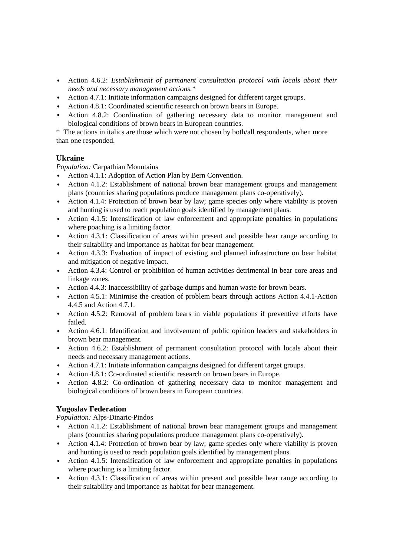- Action 4.6.2: *Establishment of permanent consultation protocol with locals about their needs and necessary management actions.\**
- Action 4.7.1: Initiate information campaigns designed for different target groups.
- Action 4.8.1: Coordinated scientific research on brown bears in Europe.
- Action 4.8.2: Coordination of gathering necessary data to monitor management and biological conditions of brown bears in European countries.

\* The actions in italics are those which were not chosen by both/all respondents, when more than one responded.

### **Ukraine**

*Population:* Carpathian Mountains

- Action 4.1.1: Adoption of Action Plan by Bern Convention.
- Action 4.1.2: Establishment of national brown bear management groups and management plans (countries sharing populations produce management plans co-operatively).
- Action 4.1.4: Protection of brown bear by law; game species only where viability is proven and hunting is used to reach population goals identified by management plans.
- Action 4.1.5: Intensification of law enforcement and appropriate penalties in populations where poaching is a limiting factor.
- Action 4.3.1: Classification of areas within present and possible bear range according to their suitability and importance as habitat for bear management.
- Action 4.3.3: Evaluation of impact of existing and planned infrastructure on bear habitat and mitigation of negative impact.
- Action 4.3.4: Control or prohibition of human activities detrimental in bear core areas and linkage zones.
- Action 4.4.3: Inaccessibility of garbage dumps and human waste for brown bears.
- Action 4.5.1: Minimise the creation of problem bears through actions Action 4.4.1-Action 4.4.5 and Action 4.7.1.
- Action 4.5.2: Removal of problem bears in viable populations if preventive efforts have failed.
- Action 4.6.1: Identification and involvement of public opinion leaders and stakeholders in brown bear management.
- Action 4.6.2: Establishment of permanent consultation protocol with locals about their needs and necessary management actions.
- Action 4.7.1: Initiate information campaigns designed for different target groups.
- Action 4.8.1: Co-ordinated scientific research on brown bears in Europe.
- Action 4.8.2: Co-ordination of gathering necessary data to monitor management and biological conditions of brown bears in European countries.

### **Yugoslav Federation**

*Population:* Alps-Dinaric-Pindos

- Action 4.1.2: Establishment of national brown bear management groups and management plans (countries sharing populations produce management plans co-operatively).
- Action 4.1.4: Protection of brown bear by law; game species only where viability is proven and hunting is used to reach population goals identified by management plans.
- Action 4.1.5: Intensification of law enforcement and appropriate penalties in populations where poaching is a limiting factor.
- Action 4.3.1: Classification of areas within present and possible bear range according to their suitability and importance as habitat for bear management.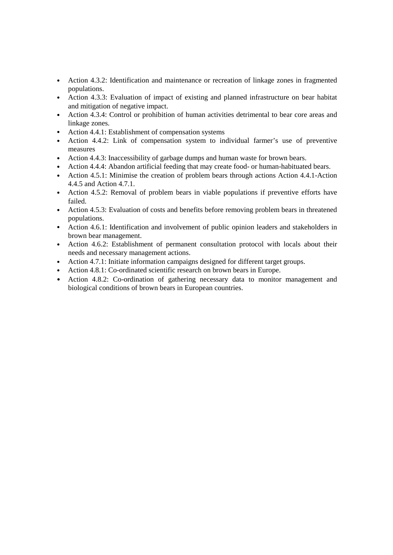- Action 4.3.2: Identification and maintenance or recreation of linkage zones in fragmented populations.
- Action 4.3.3: Evaluation of impact of existing and planned infrastructure on bear habitat and mitigation of negative impact.
- Action 4.3.4: Control or prohibition of human activities detrimental to bear core areas and linkage zones.
- Action 4.4.1: Establishment of compensation systems
- Action 4.4.2: Link of compensation system to individual farmer's use of preventive measures
- Action 4.4.3: Inaccessibility of garbage dumps and human waste for brown bears.
- Action 4.4.4: Abandon artificial feeding that may create food- or human-habituated bears.
- Action 4.5.1: Minimise the creation of problem bears through actions Action 4.4.1-Action 4.4.5 and Action 4.7.1.
- Action 4.5.2: Removal of problem bears in viable populations if preventive efforts have failed.
- Action 4.5.3: Evaluation of costs and benefits before removing problem bears in threatened populations.
- Action 4.6.1: Identification and involvement of public opinion leaders and stakeholders in brown bear management.
- Action 4.6.2: Establishment of permanent consultation protocol with locals about their needs and necessary management actions.
- Action 4.7.1: Initiate information campaigns designed for different target groups.
- Action 4.8.1: Co-ordinated scientific research on brown bears in Europe.
- Action 4.8.2: Co-ordination of gathering necessary data to monitor management and biological conditions of brown bears in European countries.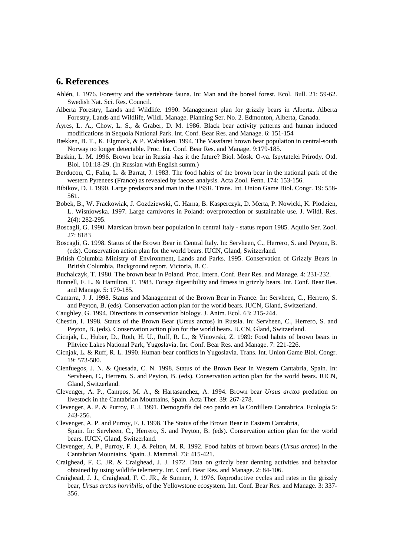### **6. References**

- Ahlén, I. 1976. Forestry and the vertebrate fauna. In: Man and the boreal forest. Ecol. Bull. 21: 59-62. Swedish Nat. Sci. Res. Council.
- Alberta Forestry, Lands and Wildlife. 1990. Management plan for grizzly bears in Alberta. Alberta Forestry, Lands and Wildlife, Wildl. Manage. Planning Ser. No. 2. Edmonton, Alberta, Canada.
- Ayres, L. A., Chow, L. S., & Graber, D. M. 1986. Black bear activity patterns and human induced modifications in Sequoia National Park. Int. Conf. Bear Res. and Manage. 6: 151-154
- Bækken, B. T., K. Elgmork, & P. Wabakken. 1994. The Vassfaret brown bear population in central-south Norway no longer detectable. Proc. Int. Conf. Bear Res. and Manage. 9:179-185.
- Baskin, L. M. 1996. Brown bear in Russia -has it the future? Biol. Mosk. O-va. Ispytatelei Prirody. Otd. Biol. 101:18-29. (In Russian with English summ.)
- Berducou, C., Faliu, L. & Barrat, J. 1983. The food habits of the brown bear in the national park of the western Pyrenees (France) as revealed by faeces analysis. Acta Zool. Fenn. 174: 153-156.
- Bibikov, D. I. 1990. Large predators and man in the USSR. Trans. Int. Union Game Biol. Congr. 19: 558- 561.
- Bobek, B., W. Frackowiak, J. Gozdziewski, G. Harna, B. Kasperczyk, D. Merta, P. Nowicki, K. Plodzien, L. Wisniowska. 1997. Large carnivores in Poland: overprotection or sustainable use. J. Wildl. Res. 2(4): 282-295.
- Boscagli, G. 1990. Marsican brown bear population in central Italy status report 1985. Aquilo Ser. Zool. 27: 8183
- Boscagli, G. 1998. Status of the Brown Bear in Central Italy. In: Servheen, C., Herrero, S. and Peyton, B. (eds). Conservation action plan for the world bears. IUCN, Gland, Switzerland.
- British Columbia Ministry of Environment, Lands and Parks. 1995. Conservation of Grizzly Bears in British Columbia, Background report. Victoria, B. C.
- Buchalczyk, T. 1980. The brown bear in Poland. Proc. Intern. Conf. Bear Res. and Manage. 4: 231-232.
- Bunnell, F. L. & Hamilton, T. 1983. Forage digestibility and fitness in grizzly bears. Int. Conf. Bear Res. and Manage. 5: 179-185.
- Camarra, J. J. 1998. Status and Management of the Brown Bear in France. In: Servheen, C., Herrero, S. and Peyton, B. (eds). Conservation action plan for the world bears. IUCN, Gland, Switzerland.
- Caughley, G. 1994. Directions in conservation biology. J. Anim. Ecol. 63: 215-244.
- Chestin, I. 1998. Status of the Brown Bear (Ursus arctos) in Russia. In: Servheen, C., Herrero, S. and Peyton, B. (eds). Conservation action plan for the world bears. IUCN, Gland, Switzerland.
- Cicnjak, L., Huber, D., Roth, H. U., Ruff, R. L., & Vinovrski, Z. 1989: Food habits of brown bears in Plitvice Lakes National Park, Yugoslavia. Int. Conf. Bear Res. and Manage. 7: 221-226.
- Cicnjak, L. & Ruff, R. L. 1990. Human-bear conflicts in Yugoslavia. Trans. Int. Union Game Biol. Congr. 19: 573-580.
- Cienfuegos, J. N. & Quesada, C. N. 1998. Status of the Brown Bear in Western Cantabria, Spain. In: Servheen, C., Herrero, S. and Peyton, B. (eds). Conservation action plan for the world bears. IUCN, Gland, Switzerland.
- Clevenger, A. P., Campos, M. A., & Hartasanchez, A. 1994. Brown bear *Ursus arctos* predation on livestock in the Cantabrian Mountains, Spain. Acta Ther. 39: 267-278.
- Clevenger, A. P. & Purroy, F. J. 1991. Demografía del oso pardo en la Cordillera Cantabrica. Ecología 5: 243-256.
- Clevenger, A. P. and Purroy, F. J. 1998. The Status of the Brown Bear in Eastern Cantabria, Spain. In: Servheen, C., Herrero, S. and Peyton, B. (eds). Conservation action plan for the world bears. IUCN, Gland, Switzerland.
- Clevenger, A. P., Purroy, F. J., & Pelton, M. R. 1992. Food habits of brown bears (*Ursus arctos*) in the Cantabrian Mountains, Spain. J. Mammal. 73: 415-421.
- Craighead, F. C. JR. & Craighead, J. J. 1972. Data on grizzly bear denning activities and behavior obtained by using wildlife telemetry. Int. Conf. Bear Res. and Manage. 2: 84-106.
- Craighead, J. J., Craighead, F. C. JR., & Sumner, J. 1976. Reproductive cycles and rates in the grizzly bear, *Ursus arctos horribilis*, of the Yellowstone ecosystem. Int. Conf. Bear Res. and Manage. 3: 337- 356.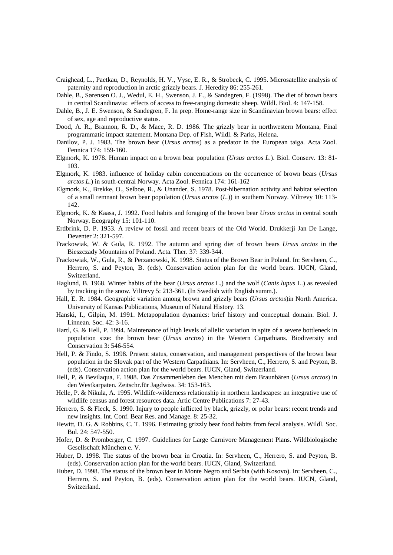- Craighead, L., Paetkau, D., Reynolds, H. V., Vyse, E. R., & Strobeck, C. 1995. Microsatellite analysis of paternity and reproduction in arctic grizzly bears. J. Heredity 86: 255-261.
- Dahle, B., Sørensen O. J., Wedul, E. H., Swenson, J. E., & Sandegren, F. (1998). The diet of brown bears in central Scandinavia: effects of access to free-ranging domestic sheep. Wildl. Biol. 4: 147-158.
- Dahle, B., J. E. Swenson, & Sandegren, F. In prep. Home-range size in Scandinavian brown bears: effect of sex, age and reproductive status.
- Dood, A. R., Brannon, R. D., & Mace, R. D. 1986. The grizzly bear in northwestern Montana, Final programmatic impact statement. Montana Dep. of Fish, Wildl. & Parks, Helena.
- Danilov, P. J. 1983. The brown bear (*Ursus arctos*) as a predator in the European taiga. Acta Zool. Fennica 174: 159-160.
- Elgmork, K. 1978. Human impact on a brown bear population (*Ursus arctos L*.). Biol. Conserv. 13: 81- 103.
- Elgmork, K. 1983. influence of holiday cabin concentrations on the occurrence of brown bears (*Ursus arctos L.*) in south-central Norway. Acta Zool. Fennica 174: 161-162
- Elgmork, K., Brekke, O., Selboe, R., & Unander, S. 1978. Post-hibernation activity and habitat selection of a small remnant brown bear population (*Ursus arctos* (*L.*)) in southern Norway. Viltrevy 10: 113- 142.
- Elgmork, K. & Kaasa, J. 1992. Food habits and foraging of the brown bear *Ursus arctos* in central south Norway. Ecography 15: 101-110.
- Erdbrink, D. P. 1953. A review of fossil and recent bears of the Old World. Drukkerji Jan De Lange, Deventer 2: 321-597.
- Frackowiak, W. & Gula, R. 1992. The autumn and spring diet of brown bears *Ursus arctos* in the Bieszczady Mountains of Poland. Acta. Ther. 37: 339-344.
- Frackowiak, W., Gula, R., & Perzanowski, K. 1998. Status of the Brown Bear in Poland. In: Servheen, C., Herrero, S. and Peyton, B. (eds). Conservation action plan for the world bears. IUCN, Gland, Switzerland.
- Haglund, B. 1968. Winter habits of the bear (*Ursus arctos* L.) and the wolf (*Canis lupus* L.) as revealed by tracking in the snow. Viltrevy 5: 213-361. (In Swedish with English summ.).
- Hall, E. R. 1984. Geographic variation among brown and grizzly bears (*Ursus arctos*)in North America. University of Kansas Publications, Museum of Natural History. 13.
- Hanski, I., Gilpin, M. 1991. Metapopulation dynamics: brief history and conceptual domain. Biol. J. Linnean. Soc. 42: 3-16.
- Hartl, G. & Hell, P. 1994. Maintenance of high levels of allelic variation in spite of a severe bottleneck in population size: the brown bear (*Ursus arctos*) in the Western Carpathians. Biodiversity and Conservation 3: 546-554.
- Hell, P. & Findo, S. 1998. Present status, conservation, and management perspectives of the brown bear population in the Slovak part of the Western Carpathians. In: Servheen, C., Herrero, S. and Peyton, B. (eds). Conservation action plan for the world bears. IUCN, Gland, Switzerland.
- Hell, P, & Bevilaqua, F. 1988. Das Zusammenleben des Menchen mit dem Braunbären (*Ursus arctos*) in den Westkarpaten. Zeitschr.für Jagdwiss. 34: 153-163.
- Helle, P. & Nikula, A. 1995. Wildlife-wilderness relationship in northern landscapes: an integrative use of wildlife census and forest resources data. Artic Centre Publications 7: 27-43.
- Herrero, S. & Fleck, S. 1990. Injury to people inflicted by black, grizzly, or polar bears: recent trends and new insights. Int. Conf. Bear Res. and Manage. 8: 25-32.
- Hewitt, D. G. & Robbins, C. T. 1996. Estimating grizzly bear food habits from fecal analysis. Wildl. Soc. Bul. 24: 547-550.
- Hofer, D. & Promberger, C. 1997. Guidelines for Large Carnivore Management Plans. Wildbiologische Gesellschaft München e. V.
- Huber, D. 1998. The status of the brown bear in Croatia. In: Servheen, C., Herrero, S. and Peyton, B. (eds). Conservation action plan for the world bears. IUCN, Gland, Switzerland.
- Huber, D. 1998. The status of the brown bear in Monte Negro and Serbia (with Kosovo). In: Servheen, C., Herrero, S. and Peyton, B. (eds). Conservation action plan for the world bears. IUCN, Gland, Switzerland.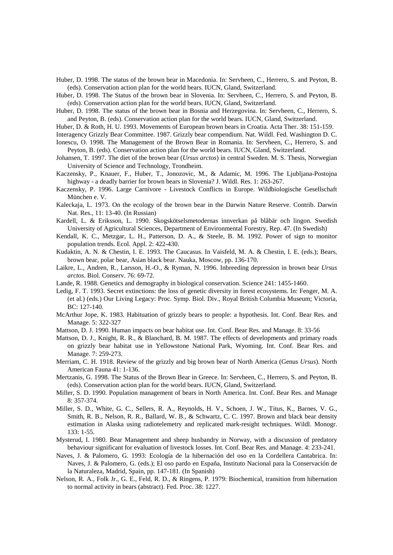Huber, D. 1998. The status of the brown bear in Macedonia. In: Servheen, C., Herrero, S. and Peyton, B. (eds). Conservation action plan for the world bears. IUCN, Gland, Switzerland.

- Huber, D. 1998. The Status of the brown bear in Slovenia. In: Servheen, C., Herrero, S. and Peyton, B. (eds). Conservation action plan for the world bears. IUCN, Gland, Switzerland.
- Huber, D. 1998. The status of the brown bear in Bosnia and Herzegovina. In: Servheen, C., Herrero, S. and Peyton, B. (eds). Conservation action plan for the world bears. IUCN, Gland, Switzerland.
- Huber, D. & Roth, H. U. 1993. Movements of European brown bears in Croatia. Acta Ther. 38: 151-159.
- Interagency Grizzly Bear Committee. 1987. Grizzly bear compendium. Nat. Wildl. Fed. Washington D. C.
- Ionescu, O. 1998. The Management of the Brown Bear in Romania. In: Servheen, C., Herrero, S. and Peyton, B. (eds). Conservation action plan for the world bears. IUCN, Gland, Switzerland.
- Johansen, T. 1997. The diet of the brown bear (*Ursus arctos*) in central Sweden. M. S. Thesis, Norwegian University of Science and Technology, Trondheim.
- Kaczensky, P., Knauer, F., Huber, T., Jonozovic, M., & Adamic, M. 1996. The Ljubljana-Postojna highway - a deadly barrier for brown bears in Slovenia? J. Wildl. Res. 1: 263-267.
- Kaczensky, P. 1996. Large Carnivore Livestock Conflicts in Europe. Wildbiologische Gesellschaft München e. V.
- Kaleckaja, L. 1973. On the ecology of the brown bear in the Darwin Nature Reserve. Contrib. Darwin Nat. Res., 11: 13-40. (In Russian)
- Kardell, L. & Eriksson, L. 1990. Skogskötselsmetodernas innverkan på blåbär och lingon. Swedish University of Agricultural Sciences, Department of Environmental Forestry, Rep. 47. (In Swedish)
- Kendall, K. C., Metzgar, L. H., Patterson, D. A., & Steele, B. M. 1992. Power of sign to monitor population trends. Ecol. Appl. 2: 422-430.
- Kudaktin, A. N. & Chestin, I. E. 1993. The Caucasus. In Vaisfeld, M. A. & Chestin, I. E. (eds.); Bears, brown bear, polar bear, Asian black bear. Nauka, Moscow, pp. 136-170.
- Laikre, L., Andren, R., Larsson, H.-O., & Ryman, N. 1996. Inbreeding depression in brown bear *Ursus arctos*. Biol. Conserv. 76: 69-72.
- Lande, R. 1988. Genetics and demography in biological conservation. Science 241: 1455-1460.
- Ledig, F. T. 1993. Secret extinctions: the loss of genetic diversity in forest ecosystems. In: Fenger, M. A. (et al.) (eds.) Our Living Legacy: Proc. Symp. Biol. Div., Royal British Columbia Museum; Victoria, BC: 127-140.
- McArthur Jope, K. 1983. Habituation of grizzly bears to people: a hypothesis. Int. Conf. Bear Res. and Manage. 5: 322-327
- Mattson, D. J. 1990. Human impacts on bear habitat use. Int. Conf. Bear Res. and Manage. 8: 33-56
- Mattson, D. J., Knight, R. R., & Blanchard, B. M. 1987. The effects of developments and primary roads on grizzly bear habitat use in Yellowstone National Park, Wyoming. Int. Conf. Bear Res. and Manage. 7: 259-273.
- Merriam, C. H. 1918. Review of the grizzly and big brown bear of North America (Genus *Ursus*). North American Fauna 41: 1-136.
- Mertzanis, G. 1998. The Status of the Brown Bear in Greece. In: Servheen, C., Herrero, S. and Peyton, B. (eds). Conservation action plan for the world bears. IUCN, Gland, Switzerland.
- Miller, S. D. 1990. Population management of bears in North America. Int. Conf. Bear Res. and Manage 8: 357-374.
- Miller, S. D., White, G. C., Sellers, R. A., Reynolds, H. V., Schoen, J. W., Titus, K., Barnes, V. G., Smith, R. B., Nelson, R. R., Ballard, W. B., & Schwartz, C. C. 1997. Brown and black bear density estimation in Alaska using radiotelemetry and replicated mark-resight techniques. Wildl. Monogr. 133: 1-55.
- Mysterud, I. 1980. Bear Management and sheep husbandry in Norway, with a discussion of predatory behaviour significant for evaluation of livestock losses. Int. Conf. Bear Res. and Manage. 4: 233-241.
- Naves, J. & Palomero, G. 1993: Ecología de la hibernación del oso en la Cordellera Cantabrica. In: Naves, J. & Palomero, G. (eds.); El oso pardo en España, Instituto Nacional para la Conservación de la Naturaleza, Madrid, Spain, pp. 147-181. (In Spanish)
- Nelson, R. A., Folk Jr., G. E., Feld, R. D., & Ringens, P. 1979: Biochemical, transition from hibernation to normal activity in bears (abstract). Fed. Proc. 38: 1227.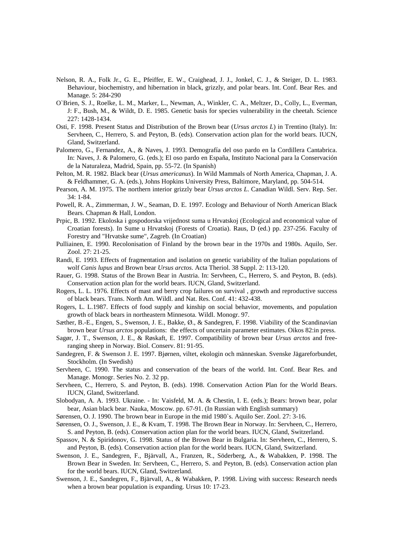- Nelson, R. A., Folk Jr., G. E., Pfeiffer, E. W., Craighead, J. J., Jonkel, C. J., & Steiger, D. L. 1983. Behaviour, biochemistry, and hibernation in black, grizzly, and polar bears. Int. Conf. Bear Res. and Manage. 5: 284-290
- O`Brien, S. J., Roelke, L. M., Marker, L., Newman, A., Winkler, C. A., Meltzer, D., Colly, L., Everman, J: F., Bush, M., & Wildt, D. E. 1985. Genetic basis for species vulnerability in the cheetah. Science 227: 1428-1434.
- Osti, F. 1998. Present Status and Distribution of the Brown bear (*Ursus arctos L*) in Trentino (Italy). In: Servheen, C., Herrero, S. and Peyton, B. (eds). Conservation action plan for the world bears. IUCN, Gland, Switzerland.
- Palomero, G., Fernandez, A., & Naves, J. 1993. Demografía del oso pardo en la Cordillera Cantabrica. In: Naves, J. & Palomero, G. (eds.); El oso pardo en España, Instituto Nacional para la Conservación de la Naturaleza, Madrid, Spain, pp. 55-72. (In Spanish)
- Pelton, M. R. 1982. Black bear (*Ursus americanus*). In Wild Mammals of North America, Chapman, J. A. & Feldhammer, G. A. (eds.), Johns Hopkins University Press, Baltimore, Maryland, pp. 504-514.
- Pearson, A. M. 1975. The northern interior grizzly bear *Ursus arctos L*. Canadian Wildl. Serv. Rep. Ser. 34: 1-84.
- Powell, R. A., Zimmerman, J. W., Seaman, D. E. 1997. Ecology and Behaviour of North American Black Bears. Chapman & Hall, London.
- Prpic, B. 1992. Ekoloska i gospodorska vrijednost suma u Hrvatskoj (Ecological and economical value of Croatian forests). In Sume u Hrvatskoj (Forests of Croatia). Raus, D (ed.) pp. 237-256. Faculty of Forestry and "Hrvatske sume", Zagreb. (In Croatian)
- Pulliainen, E. 1990. Recolonisation of Finland by the brown bear in the 1970s and 1980s. Aquilo, Ser. Zool. 27: 21-25.
- Randi, E. 1993. Effects of fragmentation and isolation on genetic variability of the Italian populations of wolf *Canis lupus* and Brown bear *Ursus arctos*. Acta Theriol. 38 Suppl. 2: 113-120.
- Rauer, G. 1998. Status of the Brown Bear in Austria. In: Servheen, C., Herrero, S. and Peyton, B. (eds). Conservation action plan for the world bears. IUCN, Gland, Switzerland.
- Rogers, L. L. 1976. Effects of mast and berry crop failures on survival , growth and reproductive success of black bears. Trans. North Am. Wildl. and Nat. Res. Conf. 41: 432-438.
- Rogers, L. L.1987. Effects of food supply and kinship on social behavior, movements, and population growth of black bears in northeastern Minnesota. Wildl. Monogr. 97.
- Sæther, B.-E., Engen, S., Swenson, J. E., Bakke, Ø., & Sandegren, F. 1998. Viability of the Scandinavian brown bear *Ursus arctos* populations: the effects of uncertain parameter estimates. Oikos 82:in press.
- Sagør, J. T., Swenson, J. E., & Røskaft, E. 1997. Compatibility of brown bear *Ursus arctos* and freeranging sheep in Norway. Biol. Conserv. 81: 91-95.
- Sandegren, F. & Swenson J. E. 1997. Bjørnen, viltet, ekologin och männeskan. Svenske Jägareforbundet, Stockholm. (In Swedish)
- Servheen, C. 1990. The status and conservation of the bears of the world. Int. Conf. Bear Res. and Manage. Monogr. Series No. 2. 32 pp.
- Servheen, C., Herrero, S. and Peyton, B. (eds). 1998. Conservation Action Plan for the World Bears. IUCN, Gland, Switzerland.
- Slobodyan, A. A. 1993. Ukraine. In: Vaisfeld, M. A. & Chestin, I. E. (eds.); Bears: brown bear, polar bear, Asian black bear. Nauka, Moscow. pp. 67-91. (In Russian with English summary)
- Sørensen, O. J. 1990. The brown bear in Europe in the mid 1980`s. Aquilo Ser. Zool. 27: 3-16.
- Sørensen, O. J., Swenson, J. E., & Kvam, T. 1998. The Brown Bear in Norway. In: Servheen, C., Herrero, S. and Peyton, B. (eds). Conservation action plan for the world bears. IUCN, Gland, Switzerland.
- Spassov, N. & Spiridonov, G. 1998. Status of the Brown Bear in Bulgaria. In: Servheen, C., Herrero, S. and Peyton, B. (eds). Conservation action plan for the world bears. IUCN, Gland, Switzerland.
- Swenson, J. E., Sandegren, F., Bjärvall, A., Franzen, R., Söderberg, A., & Wabakken, P. 1998. The Brown Bear in Sweden. In: Servheen, C., Herrero, S. and Peyton, B. (eds). Conservation action plan for the world bears. IUCN, Gland, Switzerland.
- Swenson, J. E., Sandegren, F., Bjärvall, A., & Wabakken, P. 1998. Living with success: Research needs when a brown bear population is expanding. Ursus 10: 17-23.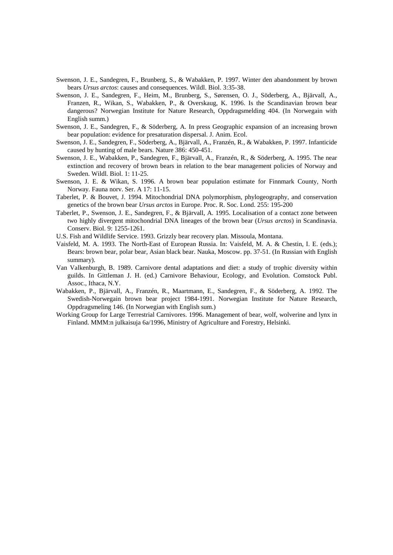- Swenson, J. E., Sandegren, F., Brunberg, S., & Wabakken, P. 1997. Winter den abandonment by brown bears *Ursus arctos*: causes and consequences. Wildl. Biol. 3:35-38.
- Swenson, J. E., Sandegren, F., Heim, M., Brunberg, S., Sørensen, O. J., Söderberg, A., Bjärvall, A., Franzen, R., Wikan, S., Wabakken, P., & Overskaug, K. 1996. Is the Scandinavian brown bear dangerous? Norwegian Institute for Nature Research, Oppdragsmelding 404. (In Norwegain with English summ.)
- Swenson, J. E., Sandegren, F., & Söderberg, A. In press Geographic expansion of an increasing brown bear population: evidence for presaturation dispersal. J. Anim. Ecol.
- Swenson, J. E., Sandegren, F., Söderberg, A., Bjärvall, A., Franzén, R., & Wabakken, P. 1997. Infanticide caused by hunting of male bears. Nature 386: 450-451.
- Swenson, J. E., Wabakken, P., Sandegren, F., Bjärvall, A., Franzén, R., & Söderberg, A. 1995. The near extinction and recovery of brown bears in relation to the bear management policies of Norway and Sweden. Wildl. Biol. 1: 11-25.
- Swenson, J. E. & Wikan, S. 1996. A brown bear population estimate for Finnmark County, North Norway. Fauna norv. Ser. A 17: 11-15.
- Taberlet, P. & Bouvet, J. 1994. Mitochondrial DNA polymorphism, phylogeography, and conservation genetics of the brown bear *Ursus arctos* in Europe. Proc. R. Soc. Lond. 255: 195-200
- Taberlet, P., Swenson, J. E., Sandegren, F., & Bjärvall, A. 1995. Localisation of a contact zone between two highly divergent mitochondrial DNA lineages of the brown bear (*Ursus arctos*) in Scandinavia. Conserv. Biol. 9: 1255-1261.
- U.S. Fish and Wildlife Service. 1993. Grizzly bear recovery plan. Missoula, Montana.
- Vaisfeld, M. A. 1993. The North-East of European Russia. In: Vaisfeld, M. A. & Chestin, I. E. (eds.); Bears: brown bear, polar bear, Asian black bear. Nauka, Moscow. pp. 37-51. (In Russian with English summary).
- Van Valkenburgh, B. 1989. Carnivore dental adaptations and diet: a study of trophic diversity within guilds. In Gittleman J. H. (ed.) Carnivore Behaviour, Ecology, and Evolution. Comstock Publ. Assoc., Ithaca, N.Y.
- Wabakken, P., Bjärvall, A., Franzén, R., Maartmann, E., Sandegren, F., & Söderberg, A. 1992. The Swedish-Norwegain brown bear project 1984-1991. Norwegian Institute for Nature Research, Oppdragsmeling 146. (In Norwegian with English sum.)
- Working Group for Large Terrestrial Carnivores. 1996. Management of bear, wolf, wolverine and lynx in Finland. MMM:n julkaisuja 6a/1996, Ministry of Agriculture and Forestry, Helsinki.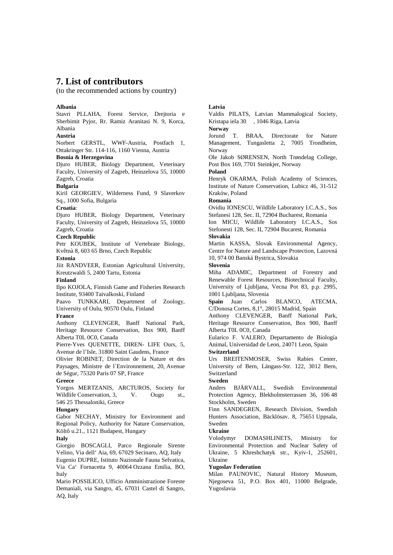### **7. List of contributors**

(to the recommended actions by country)

#### **Albania**

Stavri PLLAHA, Forest Service, Drejtoria e Sherbimit Pyjor, Rr. Ramiz Aranitasi N. 9, Korca, Albania

#### **Austria**

Norbert GERSTL, WWF-Austria, Postfach 1, Ottakringer Str. 114-116, 1160 Vienna, Austria

### **Bosnia & Herzegovina**

Djuro HUBER, Biology Department, Veterinary Faculty, University of Zagreb, Heinzelova 55, 10000 Zagreb, Croatia

#### **Bulgaria**

Kiril GEORGIEV, Wilderness Fund, 9 Slaverkov Sq., 1000 Sofia, Bulgaria

#### **Croatia**:

Djuro HUBER, Biology Department, Veterinary Faculty, University of Zagreb, Heinzelova 55, 10000 Zagreb, Croatia

#### **Czech Republic**

Petr KOUBEK, Institute of Vertebrate Biology, Kvêtnà 8, 603 65 Brno, Czech Republic

#### **Estonia**

Jiit RANDVEER, Estonian Agricultural University, Kreutzwaldi 5, 2400 Tartu, Estonia

#### **Finland**

Ilpo KOJOLA, Finnish Game and Fisheries Research Institute, 93400 Taivalkoski, Finland

Paavo TUNKKARI, Department of Zoology, University of Oulu, 90570 Oulu, Finland

#### **France**

Anthony CLEVENGER, Banff National Park, Heritage Resource Conservation, Box 900, Banff Alberta T0L 0C0, Canada

Pierre-Yves QUENETTE, DIREN- LIFE Ours, 5, Avenue de l'Isle, 31800 Saint Gaudens, France

Olivier ROBINET, Direction de la Nature et des Paysages, Ministre de l`Environnement, 20, Avenue de Ségur, 75320 Paris 07 SP, France

#### **Greece**

Yorgos MERTZANIS, ARCTUROS, Society for Wildlife Conservation, 3, V. Ougo st., 546 25 Thessaloniki, Greece

#### **Hungary**

Gabor NECHAY, Ministry for Environment and Regional Policy, Authority for Nature Conservation, Költô u.21., 1121 Budapest, Hungary

#### **Italy**

Giorgio BOSCAGLI, Parco Regionale Sirente Velino, Via dell' Aia, 69, 67029 Secinaro, AQ, Italy Eugenio DUPRE, Istituto Nazionale Fauna Selvatica,

Via Ca' Fornacetta 9, 40064 Ozzana Emilia, BO, Italy

Mario POSSILICO, Ufficio Amministrazione Foreste Demaniali, via Sangro, 45, 67031 Castel di Sangro, AQ, Italy

#### **Latvia**

Valdis PILATS, Latvian Mammalogical Society, Kristapa iela 30 , 1046 Riga, Latvia

#### **Norway**

Jorund T. BRAA, Directorate for Nature Management, Tungasletta 2, 7005 Trondheim, Norway

Ole Jakob SØRENSEN, North Trøndelag College, Post Box 169, 7701 Steinkjer, Norway

**Poland** 

Henryk OKARMA, Polish Academy of Sciences, Institute of Nature Conservation, Lubicz 46, 31-512 Kraków, Poland

#### **Romania**

Ovidiu IONESCU, Wildlife Laboratory I.C.A.S., Sos Stefanesi 128, Sec. II, 72904 Bucharest, Romania

Ion MICU, Wildlife Laboratory I.C.A.S., Sos Stefonesti 128, Sec. II, 72904 Bucarest, Romania

#### **Slovakia**

Martin KASSA, Slovak Environmental Agency, Centre for Nature and Landscape Protection, Lazovná 10, 974 00 Banská Bystrica, Slovakia

**Slovenia** 

Miha ADAMIC, Department of Forestry and Renewable Forest Resources, Biotechnical Faculty, University of Ljubljana, Vecna Pot 83, p.p. 2995, 1001 Ljubljana, Slovenia

**Spain** Juan Carlos BLANCO, ATECMA, C/Donosa Cortes, 8,1°, 28015 Madrid, Spain

Anthony CLEVENGER, Banff National Park, Heritage Resource Conservation, Box 900, Banff Alberta T0L 0C0, Canada

Eularico F. VALERO, Departamento de Biología Animal, Universidad de Leon, 24071 Leon, Spain **Switzerland** 

Urs BREITENMOSER, Swiss Rabies Center, University of Bern, Längass-Str. 122, 3012 Bern, Switzerland

#### **Sweden**

Anders BJÄRVALL, Swedish Environmental Protection Agency, Blekholmsterrassen 36, 106 48 Stockholm, Sweden

Finn SANDEGREN, Research Division, Swedish Hunters Association, Bäcklösav. 8, 75651 Uppsala, Sweden

#### **Ukraine**

Volodymyr DOMASHLINETS, Ministry for Environmental Protection and Nuclear Safety of Ukraine, 5 Khreshchatyk str., Kyiv-1, 252601, Ukraine

#### **Yugoslav Federation**

Milan PAUNOVIC, Natural History Museum, Njegoseva 51, P.O. Box 401, 11000 Belgrade, Yugoslavia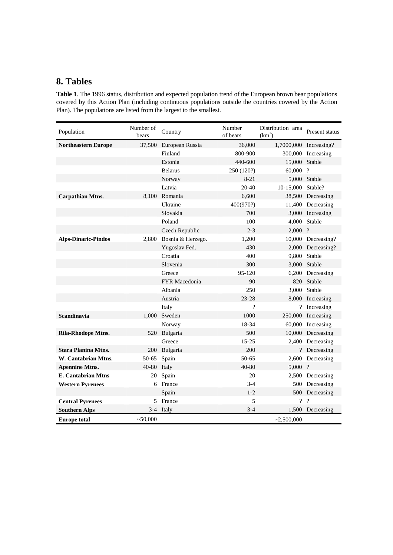## **8. Tables**

**Table 1**. The 1996 status, distribution and expected population trend of the European brown bear populations covered by this Action Plan (including continuous populations outside the countries covered by the Action Plan). The populations are listed from the largest to the smallest.

| Population                 | Number of<br>bears | Country                | Number<br>of bears       | Distribution area<br>$(km^2)$ | Present status         |
|----------------------------|--------------------|------------------------|--------------------------|-------------------------------|------------------------|
| <b>Northeastern Europe</b> |                    | 37,500 European Russia | 36,000                   |                               | 1,7000,000 Increasing? |
|                            |                    | Finland                | 800-900                  |                               | 300,000 Increasing     |
|                            |                    | Estonia                | 440-600                  | 15,000                        | Stable                 |
|                            |                    | <b>Belarus</b>         | 250 (120?)               | 60,000                        | $\gamma$               |
|                            |                    | Norway                 | $8 - 21$                 | 5,000                         | Stable                 |
|                            |                    | Latvia                 | 20-40                    | 10-15,000 Stable?             |                        |
| <b>Carpathian Mtns.</b>    | 8,100              | Romania                | 6,600                    |                               | 38,500 Decreasing      |
|                            |                    | Ukraine                | 400(970?)                |                               | 11,400 Decreasing      |
|                            |                    | Slovakia               | 700                      | 3,000                         | Increasing             |
|                            |                    | Poland                 | 100                      | 4,000                         | Stable                 |
|                            |                    | Czech Republic         | $2 - 3$                  | $2,000$ ?                     |                        |
| <b>Alps-Dinaric-Pindos</b> | 2,800              | Bosnia & Herzego.      | 1,200                    |                               | 10,000 Decreasing?     |
|                            |                    | Yugoslav Fed.          | 430                      |                               | 2,000 Decreasing?      |
|                            |                    | Croatia                | 400                      | 9,800                         | Stable                 |
|                            |                    | Slovenia               | 300                      | 3.000                         | Stable                 |
|                            |                    | Greece                 | $95 - 120$               | 6,200                         | Decreasing             |
|                            |                    | <b>FYR</b> Macedonia   | 90                       | 820                           | Stable                 |
|                            |                    | Albania                | 250                      | 3,000                         | Stable                 |
|                            |                    | Austria                | $23 - 28$                |                               | 8,000 Increasing       |
|                            |                    | Italy                  | $\overline{\mathcal{L}}$ |                               | ? Increasing           |
| Scandinavia                | 1,000              | Sweden                 | 1000                     |                               | 250,000 Increasing     |
|                            |                    | Norway                 | 18-34                    |                               | 60,000 Increasing      |
| <b>Rila-Rhodope Mtns.</b>  | 520                | Bulgaria               | 500                      |                               | 10,000 Decreasing      |
|                            |                    | Greece                 | $15 - 25$                |                               | 2,400 Decreasing       |
| <b>Stara Planina Mtns.</b> | 200                | Bulgaria               | 200                      |                               | ? Decreasing           |
| W. Cantabrian Mtns.        | 50-65              | Spain                  | 50-65                    |                               | 2,600 Decreasing       |
| <b>Apennine Mtns.</b>      | 40-80              | Italy                  | 40-80                    | 5,000 ?                       |                        |
| <b>E.</b> Cantabrian Mtns  | 20                 | Spain                  | 20                       |                               | 2,500 Decreasing       |
| <b>Western Pyrenees</b>    |                    | 6 France               | $3-4$                    | 500                           | Decreasing             |
|                            |                    | Spain                  | $1 - 2$                  | 500                           | Decreasing             |
| <b>Central Pyrenees</b>    | 5                  | France                 | 5                        | $\overline{\mathcal{C}}$      | $\gamma$               |
| <b>Southern Alps</b>       | $3 - 4$            | Italy                  | $3 - 4$                  | 1,500                         | Decreasing             |
| <b>Europe total</b>        | ~50,000            |                        |                          | $-2,500,000$                  |                        |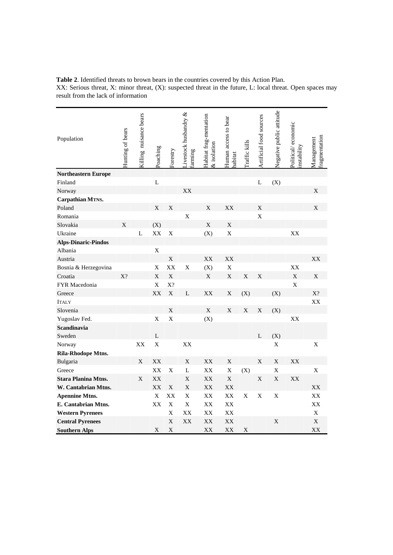| Population                 | Hunting of bears | Killing nuisance bears | Poaching                  | Forestry    | Livestock husbandry &<br>farming | Habitat frag-mentation<br>$\&$ isolation | Human access to bear<br>habitat | Traffic kills | Artificial food sources | Negative public attitude | Political/economic<br>instability | fragmentation<br>Management |
|----------------------------|------------------|------------------------|---------------------------|-------------|----------------------------------|------------------------------------------|---------------------------------|---------------|-------------------------|--------------------------|-----------------------------------|-----------------------------|
| <b>Northeastern Europe</b> |                  |                        |                           |             |                                  |                                          |                                 |               |                         |                          |                                   |                             |
| Finland                    |                  |                        | $\mathbf L$               |             |                                  |                                          |                                 |               | $\mathbf L$             | (X)                      |                                   |                             |
| Norway                     |                  |                        |                           |             | XX                               |                                          |                                 |               |                         |                          |                                   | X                           |
| Carpathian MTNS.           |                  |                        |                           |             |                                  |                                          |                                 |               |                         |                          |                                   |                             |
| Poland                     |                  |                        | $\mathbf X$               | X           |                                  | $\overline{X}$                           | XX                              |               | X                       |                          |                                   | $\mathbf X$                 |
| Romania                    |                  |                        |                           |             | $\mathbf X$                      |                                          |                                 |               | $\mathbf X$             |                          |                                   |                             |
| Slovakia                   | X                |                        | (X)                       |             |                                  | X                                        | X                               |               |                         |                          |                                   |                             |
| Ukraine                    |                  | $\mathbf{L}$           | XX                        | $\mathbf X$ |                                  | (X)                                      | $\mathbf X$                     |               |                         |                          | XX                                |                             |
| <b>Alps-Dinaric-Pindos</b> |                  |                        |                           |             |                                  |                                          |                                 |               |                         |                          |                                   |                             |
| Albania                    |                  |                        | $\mathbf X$               |             |                                  |                                          |                                 |               |                         |                          |                                   |                             |
| Austria                    |                  |                        |                           | $\mathbf X$ |                                  | XX                                       | XX                              |               |                         |                          |                                   | XX                          |
| Bosnia & Herzegovina       |                  |                        | X                         | XX          | $\mathbf X$                      | (X)                                      | $\mathbf X$                     |               |                         |                          | XX                                |                             |
| Croatia                    | X?               |                        | X                         | $\mathbf X$ |                                  | X                                        | $\mathbf X$                     | X             | X                       |                          | X                                 | $\mathbf X$                 |
| FYR Macedonia              |                  |                        | $\mathbf X$               | X?          |                                  |                                          |                                 |               |                         |                          | X                                 |                             |
| Greece                     |                  |                        | XX                        | $\mathbf X$ | $\mathbf L$                      | XX                                       | X                               | (X)           |                         | (X)                      |                                   | X?                          |
| <b>ITALY</b>               |                  |                        |                           |             |                                  |                                          |                                 |               |                         |                          |                                   | XX                          |
| Slovenia                   |                  |                        |                           | X           |                                  | $\mathbf X$                              | X                               | X             | X                       | (X)                      |                                   |                             |
| Yugoslav Fed.              |                  |                        | $\overline{X}$            | X           |                                  | (X)                                      |                                 |               |                         |                          | XX                                |                             |
| Scandinavia                |                  |                        |                           |             |                                  |                                          |                                 |               |                         |                          |                                   |                             |
| Sweden                     |                  |                        | $\mathbf L$               |             |                                  |                                          |                                 |               | $\mathbf L$             | (X)                      |                                   |                             |
| Norway                     |                  | XX                     | $\mathbf X$               |             | XX                               |                                          |                                 |               |                         | $\mathbf X$              |                                   | X                           |
| Rila-Rhodope Mtns.         |                  |                        |                           |             |                                  |                                          |                                 |               |                         |                          |                                   |                             |
| Bulgaria                   |                  | $\mathbf{X}$           | XX                        |             | X                                | XX                                       | X                               |               | $\mathbf{X}$            | X                        | XX                                |                             |
| Greece                     |                  |                        | XX                        | X           | L                                | XX                                       | X                               | (X)           |                         | X                        |                                   | $\mathbf X$                 |
| <b>Stara Planina Mtns.</b> |                  | $\mathbf X$            | XX                        |             | X                                | XX                                       | $\mathbf X$                     |               | X                       | X                        | XX                                |                             |
| W. Cantabrian Mtns.        |                  |                        | XX                        | X           | X                                | XX                                       | XX                              |               |                         |                          |                                   | XX                          |
| <b>Apennine Mtns.</b>      |                  |                        | X                         | XX          | $\mathbf X$                      | XX                                       | XX                              | $\mathbf X$   | X                       | $\mathbf X$              |                                   | XX                          |
| E. Cantabrian Mtns.        |                  |                        | XX                        | X           | $\mathbf X$                      | XX                                       | XX                              |               |                         |                          |                                   | XX                          |
| <b>Western Pyrenees</b>    |                  |                        |                           | X           | XX                               | XX                                       | XX                              |               |                         |                          |                                   | $\mathbf X$                 |
| <b>Central Pyrenees</b>    |                  |                        |                           | X           | XХ                               | XX                                       | XX                              |               |                         | X                        |                                   | $\mathbf X$                 |
| <b>Southern Alps</b>       |                  |                        | $\boldsymbol{\mathrm{X}}$ | X           |                                  | XX                                       | XX                              | X             |                         |                          |                                   | XX                          |

**Table 2**. Identified threats to brown bears in the countries covered by this Action Plan. XX: Serious threat, X: minor threat, (X): suspected threat in the future, L: local threat. Open spaces may result from the lack of information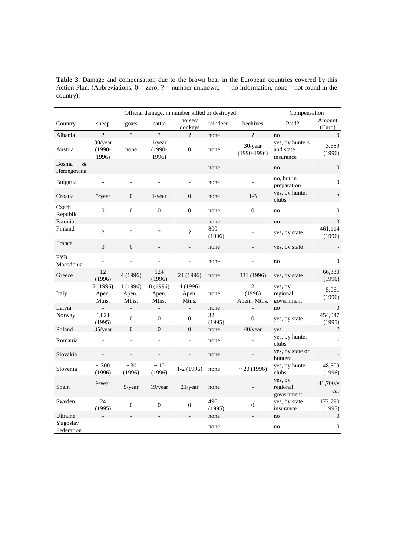|                            | Official damage, in number killed or destroyed<br>Compensation |                           |                              |                            |               |                           |                                           |                   |  |  |  |  |
|----------------------------|----------------------------------------------------------------|---------------------------|------------------------------|----------------------------|---------------|---------------------------|-------------------------------------------|-------------------|--|--|--|--|
| Country                    | sheep                                                          | goats                     | cattle                       | horses/<br>donkeys         | reindeer      | beehives                  | Paid?                                     | Amount<br>(Euro)  |  |  |  |  |
| Albania                    | $\gamma$                                                       | $\overline{?}$            | $\overline{?}$               | $\overline{?}$             | none          | $\overline{?}$            | no                                        | $\mathbf{0}$      |  |  |  |  |
| Austria                    | 30/year<br>$(1990 -$<br>1996)                                  | none                      | 1/year<br>$(1990 -$<br>1996) | $\boldsymbol{0}$           | none          | 30/year<br>$(1990-1996)$  | yes, by hunters<br>and state<br>insurance | 3,689<br>(1996)   |  |  |  |  |
| Bosnia<br>&<br>Herzegovina |                                                                |                           |                              |                            | none          |                           | no                                        | $\boldsymbol{0}$  |  |  |  |  |
| Bulgaria                   |                                                                |                           |                              | $\overline{\phantom{0}}$   | none          |                           | no, but in<br>preparation                 | $\boldsymbol{0}$  |  |  |  |  |
| Croatia                    | $5$ /year                                                      | $\boldsymbol{0}$          | $1$ /year                    | $\boldsymbol{0}$           | none          | $1-3$                     | yes, by hunter<br>clubs                   | $\overline{?}$    |  |  |  |  |
| Czech<br>Republic          | $\boldsymbol{0}$                                               | $\boldsymbol{0}$          | $\boldsymbol{0}$             | $\boldsymbol{0}$           | none          | $\boldsymbol{0}$          | no                                        | $\boldsymbol{0}$  |  |  |  |  |
| Estonia                    |                                                                |                           |                              |                            | none          |                           | no                                        | $\mathbf{0}$      |  |  |  |  |
| Finland                    | $\overline{?}$                                                 | $\overline{\mathcal{L}}$  | $\overline{\cdot}$           | $\overline{\mathcal{L}}$   | 800<br>(1996) |                           | yes, by state                             | 461,114<br>(1996) |  |  |  |  |
| France                     | $\boldsymbol{0}$                                               | $\boldsymbol{0}$          |                              |                            | none          |                           | yes, by state                             |                   |  |  |  |  |
| <b>FYR</b><br>Macedonia    | $\blacksquare$                                                 |                           | $\overline{a}$               | $\overline{a}$             | none          |                           | no                                        | $\mathbf{0}$      |  |  |  |  |
| Greece                     | 12<br>(1996)                                                   | 4 (1996)                  | 124<br>(1996)                | 21 (1996)                  | none          | 331 (1996)                | yes, by state                             | 66,330<br>(1996)  |  |  |  |  |
| Italy                      | 2 (1996)<br>Apen.<br>Mtns.                                     | 1 (1996)<br>Apen<br>Mtns. | 8 (1996)<br>Apen.<br>Mtns.   | 4 (1996)<br>Apen.<br>Mtns. | none          | 2<br>(1996)<br>Apen Mtns. | yes, by<br>regional<br>government         | 5,061<br>(1996)   |  |  |  |  |
| Latvia                     |                                                                |                           |                              |                            | none          |                           | no                                        | $\theta$          |  |  |  |  |
| Norway                     | 1,821<br>(1995)                                                | $\boldsymbol{0}$          | $\boldsymbol{0}$             | $\boldsymbol{0}$           | 32<br>(1995)  | $\boldsymbol{0}$          | yes, by state                             | 454,047<br>(1995) |  |  |  |  |
| Poland                     | 35/year                                                        | $\boldsymbol{0}$          | $\boldsymbol{0}$             | $\boldsymbol{0}$           | none          | 40/year                   | yes                                       | $\gamma$          |  |  |  |  |
| Romania                    |                                                                | $\overline{a}$            |                              | $\overline{\phantom{0}}$   | none          |                           | yes, by hunter<br>clubs                   |                   |  |  |  |  |
| Slovakia                   | $\frac{1}{2}$                                                  |                           |                              |                            | none          |                           | yes, by state or<br>hunters               |                   |  |  |  |  |
| Slovenia                   | ~100<br>(1996)                                                 | $~1$ 30<br>(1996)         | ~10<br>(1996)                | $1-2(1996)$                | none          | $\sim 20(1996)$           | yes, by hunter<br>clubs                   | 48,509<br>(1996)  |  |  |  |  |
| Spain                      | $9$ /vear                                                      | $9$ /year                 | 19/year                      | $21$ /year                 | none          |                           | yes, by<br>regional<br>government         | 41,700/y<br>ear   |  |  |  |  |
| Sweden                     | 24<br>(1995)                                                   | $\boldsymbol{0}$          | $\boldsymbol{0}$             | $\boldsymbol{0}$           | 496<br>(1995) | $\boldsymbol{0}$          | yes, by state<br>insurance                | 172,790<br>(1995) |  |  |  |  |
| Ukraine                    |                                                                |                           |                              |                            | none          |                           | no                                        | $\theta$          |  |  |  |  |
| Yugoslav<br>Federation     |                                                                |                           |                              |                            | none          |                           | no                                        | $\boldsymbol{0}$  |  |  |  |  |

**Table 3**. Damage and compensation due to the brown bear in the European countries covered by this Action Plan. (Abbreviations:  $0 =$  zero;  $? =$  number unknown;  $- =$  no information, none  $=$  not found in the country).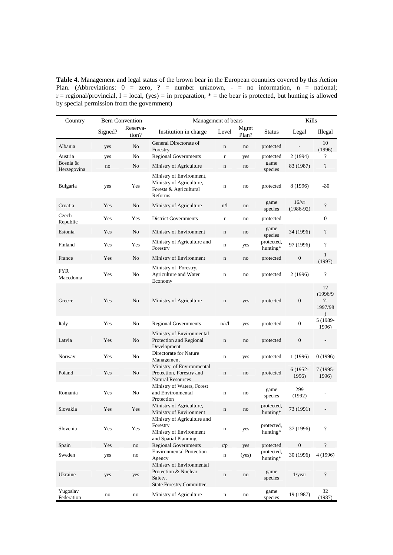**Table 4.** Management and legal status of the brown bear in the European countries covered by this Action Plan. (Abbreviations:  $0 = \text{zero}$ ,  $? = \text{number unknown}$ ,  $- = \text{no information}$ ,  $n = \text{national}$ ;  $r =$  regional/provincial,  $l =$  local, (yes) = in preparation,  $* =$  the bear is protected, but hunting is allowed by special permission from the government)

| Country                 |                      | <b>Bern Convention</b> | Management of bears                                                                             | Kills       |               |                        |                          |                                              |
|-------------------------|----------------------|------------------------|-------------------------------------------------------------------------------------------------|-------------|---------------|------------------------|--------------------------|----------------------------------------------|
|                         | Signed?              | Reserva-<br>tion?      | Institution in charge                                                                           | Level       | Mgmt<br>Plan? | Status                 | Legal                    | Illegal                                      |
| Albania                 | yes                  | No                     | General Directorate of<br>Forestry                                                              | $\mathbf n$ | no            | protected              | $\overline{\phantom{a}}$ | 10<br>(1996)                                 |
| Austria                 | yes                  | No                     | <b>Regional Governments</b>                                                                     | $\mathbf r$ | yes           | protected              | 2 (1994)                 | $\overline{\cdot}$                           |
| Bosnia &<br>Herzegovina | no                   | No                     | Ministry of Agriculture                                                                         | $\mathbf n$ | no            | game<br>species        | 83 (1987)                | $\overline{\mathcal{L}}$                     |
| Bulgaria                | yes                  | Yes                    | Ministry of Environment,<br>Ministry of Agriculture,<br>Forests & Agricultural<br>Reforms       | $\mathbf n$ | no            | protected              | 8 (1996)                 | $-30$                                        |
| Croatia                 | Yes                  | No                     | Ministry of Agriculture                                                                         | n/l         | no            | game<br>species        | 16/yr<br>$(1986-92)$     | $\overline{?}$                               |
| Czech<br>Republic       | Yes                  | Yes                    | <b>District Governments</b>                                                                     | $\mathbf r$ | no            | protected              |                          | $\mathbf{0}$                                 |
| Estonia                 | Yes                  | No                     | Ministry of Environment                                                                         | $\mathbf n$ | no            | game<br>species        | 34 (1996)                | $\overline{?}$                               |
| Finland                 | Yes                  | Yes                    | Ministry of Agriculture and<br>Forestry                                                         | $\mathbf n$ | yes           | protected,<br>hunting* | 97 (1996)                | $\overline{?}$                               |
| France                  | Yes                  | No                     | Ministry of Environment                                                                         | $\mathbf n$ | no            | protected              | $\mathbf{0}$             | $\mathbf{1}$<br>(1997)                       |
| <b>FYR</b><br>Macedonia | Yes                  | No                     | Ministry of Forestry,<br>Agriculture and Water<br>Economy                                       | $\mathbf n$ | no            | protected              | 2 (1996)                 | $\overline{\mathcal{L}}$                     |
| Greece                  | Yes                  | No                     | Ministry of Agriculture                                                                         | $\mathbf n$ | yes           | protected              | $\boldsymbol{0}$         | 12<br>(1996/9)<br>7-<br>1997/98<br>$\lambda$ |
| Italy                   | Yes                  | No                     | <b>Regional Governments</b>                                                                     | n/r/l       | yes           | protected              | $\overline{0}$           | 5 (1989-<br>1996)                            |
| Latvia                  | Yes                  | No                     | Ministry of Environmental<br>Protection and Regional<br>Development                             | $\mathbf n$ | no            | protected              | $\boldsymbol{0}$         | $\overline{\phantom{0}}$                     |
| Norway                  | Yes                  | No                     | Directorate for Nature<br>Management                                                            | $\mathbf n$ | yes           | protected              | 1 (1996)                 | 0(1996)                                      |
| Poland                  | Yes                  | No                     | Ministry of Environmental<br>Protection, Forestry and<br><b>Natural Resources</b>               | $\mathbf n$ | no            | protected              | 6 (1952-<br>1996)        | 7 (1995-<br>1996)                            |
| Romania                 | Yes                  | No                     | Ministry of Waters, Forest<br>and Environmental<br>Protection                                   | $\mathbf n$ | no            | game<br>species        | 299<br>(1992)            |                                              |
| Slovakia                | $\operatorname{Yes}$ | $\operatorname{Yes}$   | Ministry of Agriculture,<br>Ministry of Environment                                             | n           | no            | protected,<br>hunting* | 73 (1991)                |                                              |
| Slovenia                | Yes                  | Yes                    | Ministry of Agriculture and<br>Forestry<br>Ministry of Environment<br>and Spatial Planning      | $\mathbf n$ | yes           | protected,<br>hunting* | 37 (1996)                | $\overline{?}$                               |
| Spain                   | Yes                  | no                     | <b>Regional Governments</b>                                                                     | r/p         | yes           | protected              | $\mathbf{0}$             | $\overline{?}$                               |
| Sweden                  | yes                  | no                     | <b>Environmental Protection</b><br>Agency                                                       | $\mathbf n$ | (yes)         | protected,<br>hunting* | 30 (1996)                | 4 (1996)                                     |
| Ukraine                 | yes                  | yes                    | Ministry of Environmental<br>Protection & Nuclear<br>Safety,<br><b>State Forestry Committee</b> | $\mathbf n$ | no            | game<br>species        | $1$ /year                | $\overline{\mathcal{L}}$                     |
| Yugoslav<br>Federation  | no                   | no                     | Ministry of Agriculture                                                                         | $\mathbf n$ | no            | game<br>species        | 19 (1987)                | 32<br>(1987)                                 |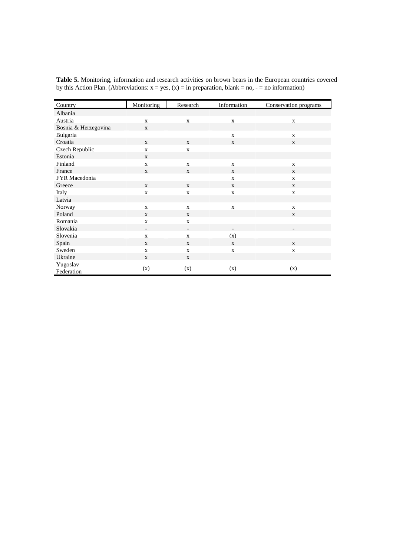| Country                | Monitoring   | Research                 | Information | Conservation programs |
|------------------------|--------------|--------------------------|-------------|-----------------------|
| Albania                |              |                          |             |                       |
| Austria                | $\mathbf{X}$ | $\mathbf X$              | $\mathbf X$ | $\mathbf{X}$          |
| Bosnia & Herzegovina   | $\mathbf{X}$ |                          |             |                       |
| Bulgaria               |              |                          | $\mathbf X$ | $\mathbf{X}$          |
| Croatia                | $\mathbf X$  | $\mathbf X$              | $\mathbf X$ | $\mathbf X$           |
| Czech Republic         | $\mathbf X$  | $\mathbf X$              |             |                       |
| Estonia                | $\mathbf X$  |                          |             |                       |
| Finland                | $\mathbf{X}$ | $\mathbf X$              | $\mathbf X$ | $\mathbf X$           |
| France                 | $\mathbf{X}$ | $\mathbf X$              | $\mathbf X$ | $\mathbf{X}$          |
| FYR Macedonia          |              |                          | $\mathbf X$ | $\mathbf X$           |
| Greece                 | $\mathbf{X}$ | $\mathbf X$              | $\mathbf X$ | $\mathbf{X}$          |
| Italy                  | $\mathbf X$  | $\mathbf X$              | $\mathbf X$ | $\mathbf X$           |
| Latvia                 |              |                          |             |                       |
| Norway                 | $\mathbf X$  | $\mathbf{X}$             | $\mathbf X$ | $\mathbf X$           |
| Poland                 | $\mathbf{x}$ | $\mathbf X$              |             | $\mathbf X$           |
| Romania                | $\mathbf X$  | $\mathbf X$              |             |                       |
| Slovakia               |              | $\overline{\phantom{a}}$ |             |                       |
| Slovenia               | $\mathbf X$  | $\mathbf X$              | (x)         |                       |
| Spain                  | $\mathbf{X}$ | $\mathbf{X}$             | X           | $\mathbf{X}$          |
| Sweden                 | $\mathbf X$  | $\mathbf X$              | $\mathbf X$ | $\mathbf X$           |
| Ukraine                | $\mathbf X$  | $\mathbf X$              |             |                       |
| Yugoslav<br>Federation | (x)          | (x)                      | (x)         | (x)                   |

**Table 5.** Monitoring, information and research activities on brown bears in the European countries covered by this Action Plan. (Abbreviations:  $x = yes$ ,  $(x) = in$  preparation, blank = no, - = no information)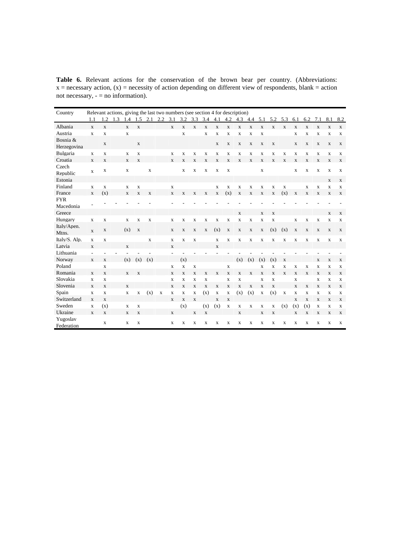| Country       |              | Relevant actions, giving the last two numbers (see section 4 for description) |     |              |              |             |             |                          |                                 |             |             |             |              |                 |              |              |              |             |             |              |              |              |              |
|---------------|--------------|-------------------------------------------------------------------------------|-----|--------------|--------------|-------------|-------------|--------------------------|---------------------------------|-------------|-------------|-------------|--------------|-----------------|--------------|--------------|--------------|-------------|-------------|--------------|--------------|--------------|--------------|
|               | 1.1          | 1.2                                                                           | 1.3 |              |              |             |             |                          | 1.4 1.5 2.1 2.2 3.1 3.2 3.3 3.4 |             |             | 4.1         |              | $4.2 \quad 4.3$ | 4.4 5.1      |              | 5.2 5.3      |             | 6.1         | 6.2          | 7.1          | 8.1          | 8.2          |
| Albania       | $\mathbf{x}$ | $\mathbf{x}$                                                                  |     | $\mathbf{x}$ | $\mathbf{X}$ |             |             | X                        | X                               | $\mathbf X$ | $\mathbf X$ | $\mathbf X$ | $\mathbf X$  | $\mathbf X$     | $\mathbf X$  | X            | $\mathbf X$  | X           | $\mathbf X$ | $\mathbf X$  | $\mathbf X$  | $\mathbf{X}$ | X            |
| Austria       | X            | X                                                                             |     | X            |              |             |             |                          | X                               |             | X           | X           | X            | X               | X            | X            |              |             | X           | X            | X            | X            | X            |
| Bosnia &      |              |                                                                               |     |              |              |             |             |                          |                                 |             |             |             |              |                 |              |              |              |             |             |              |              |              |              |
| Herzegovina   |              | X                                                                             |     |              | $\mathbf X$  |             |             |                          |                                 |             |             | $\mathbf X$ | $\mathbf X$  | $\mathbf X$     | $\mathbf X$  | X            | $\mathbf X$  |             | X           | $\mathbf X$  | X            | $\mathbf X$  | X            |
| Bulgaria      | X            | X                                                                             |     | X            | X            |             |             | X                        | X                               | X           | X           | X           | X            | X               | X            | X            | X            | X           | X           | X            | X            | X            | X            |
| Croatia       | $\mathbf{X}$ | $\mathbf{X}$                                                                  |     | $\mathbf{X}$ | $\mathbf{X}$ |             |             | $\mathbf{X}$             | $\mathbf{X}$                    | X           | X           | $\mathbf x$ | $\mathbf{X}$ | $\mathbf x$     | $\mathbf{X}$ | $\mathbf{X}$ | X            | X           | X           | $\mathbf{X}$ | $\mathbf{X}$ | $\mathbf{X}$ | X            |
| Czech         |              | X                                                                             |     | X            |              | $\mathbf X$ |             |                          | X                               | X           | X           | X           | X            |                 |              | X            |              |             | X           | X            | X            | X            | X            |
| Republic      | $\mathbf x$  |                                                                               |     |              |              |             |             |                          |                                 |             |             |             |              |                 |              |              |              |             |             |              |              |              |              |
| Estonia       |              |                                                                               |     |              |              |             |             |                          |                                 |             |             |             |              |                 |              |              |              |             |             |              |              | $\mathbf X$  | X            |
| Finland       | X            | $\mathbf x$                                                                   |     | X            | $\mathbf x$  |             |             | X                        |                                 |             |             | X           | $\mathbf x$  | X               | X            | X            | X            | X           |             | X            | X            | X            | X            |
| France        | $\mathbf X$  | (x)                                                                           |     | $\mathbf X$  | $\mathbf X$  | $\mathbf X$ |             | $\mathbf X$              | $\mathbf X$                     | $\mathbf X$ | $\mathbf X$ | $\mathbf X$ | (x)          | $\mathbf X$     | $\mathbf X$  | $\mathbf X$  | $\mathbf X$  | (x)         | $\mathbf X$ | $\mathbf X$  | $\mathbf X$  | $\mathbf X$  | X            |
| <b>FYR</b>    |              |                                                                               |     |              |              |             |             |                          |                                 |             |             |             |              |                 |              |              |              |             |             |              |              |              |              |
| Macedonia     |              |                                                                               |     |              |              |             |             |                          |                                 |             |             |             |              |                 |              |              |              |             |             |              |              |              |              |
| Greece        |              |                                                                               |     |              |              |             |             |                          |                                 |             |             |             |              | X               |              | X            | X            |             |             |              |              | $\mathbf X$  | X            |
| Hungary       | X            | X                                                                             |     | X            | $\mathbf X$  | X           |             | X                        | X                               | X           | X           | X           | X            | X               | X            | X            | $\mathbf X$  |             | X           | X            | $\mathbf X$  | $\mathbf X$  | X            |
| Italy/Apen.   |              | X                                                                             |     | (x)          | $\mathbf X$  |             |             | X                        | $\mathbf X$                     | $\mathbf X$ | $\mathbf X$ | (x)         | $\mathbf X$  | $\mathbf X$     | $\mathbf X$  | $\mathbf X$  | (x)          | (x)         | $\mathbf X$ | $\mathbf X$  | $\mathbf X$  | $\mathbf X$  | X            |
| Mtns.         | X            |                                                                               |     |              |              |             |             |                          |                                 |             |             |             |              |                 |              |              |              |             |             |              |              |              |              |
| Italy/S. Alp. | X            | X                                                                             |     |              |              | $\mathbf x$ |             | $\mathbf X$              | X                               | $\mathbf X$ |             | X           | X            | X               | $\mathbf X$  | X            | X            | X           | X           | X            | X            | X            | X            |
| Latvia        | $\mathbf{X}$ |                                                                               |     | $\mathbf{X}$ |              |             |             | $\mathbf{X}$             |                                 |             |             | $\mathbf x$ |              |                 |              |              |              |             |             |              |              |              |              |
| Lithuania     | ÷,           |                                                                               |     |              |              |             |             | $\overline{\phantom{a}}$ |                                 |             |             |             |              |                 |              |              |              |             |             |              |              |              |              |
| Norway        | $\mathbf X$  | $\mathbf X$                                                                   |     | (x)          | (x)          | (x)         |             |                          | (x)                             |             |             |             |              | (x)             | (x)          | (x)          | (x)          | X           |             |              | $\mathbf X$  | $\mathbf X$  | X            |
| Poland        |              | $\mathbf x$                                                                   |     |              |              |             |             | $\mathbf x$              | $\mathbf{X}$                    | X           |             |             | $\mathbf x$  |                 |              | $\mathbf x$  | $\mathbf x$  | X           | $\mathbf x$ | X            | $\mathbf x$  | X            | X            |
| Romania       | X            | X                                                                             |     | X            | X            |             |             | X                        | X                               | X           | X           | X           | X            | X               | $\mathbf X$  | X            | X            | X           | X           | $\mathbf x$  | X            | X            | X            |
| Slovakia      | X            | X                                                                             |     |              |              |             |             | X                        | X                               | X           | X           |             | X            | X               |              | X            | X            |             | X           |              | X            | X            | X            |
| Slovenia      | X            | X                                                                             |     | X            |              |             |             | $\mathbf{x}$             | X                               | X           | $\mathbf x$ | $\mathbf x$ | X            | X               | $\mathbf{X}$ | $\mathbf x$  | $\mathbf{X}$ |             | $\mathbf x$ | X            | X            | X            | X            |
| Spain         | X            | $\mathbf x$                                                                   |     | X            | $\mathbf X$  | (x)         | $\mathbf X$ | $\mathbf X$              | $\mathbf{x}$                    | X           | (x)         | $\mathbf X$ | X            | (x)             | (x)          | X            | (x)          | $\mathbf X$ | X           | X            | X            | X            | X            |
| Switzerland   | $\mathbf{X}$ | $\mathbf{X}$                                                                  |     |              |              |             |             | $\mathbf{X}$             | $\mathbf{X}$                    | X           |             | $\mathbf x$ | $\mathbf{X}$ |                 |              |              |              |             | $\mathbf x$ | $\mathbf{X}$ | $\mathbf{X}$ | X            | $\mathbf{X}$ |
| Sweden        | X            | (x)                                                                           |     | $\mathbf x$  | $\mathbf x$  |             |             |                          | (x)                             |             | (x)         | (x)         | X            | $\mathbf x$     | X            | X            | X            | (x)         | (x)         | (x)          | X            | X            | X            |
| Ukraine       | $\mathbf{x}$ | $\mathbf{X}$                                                                  |     | X            | $\mathbf{X}$ |             |             | $\mathbf{x}$             |                                 | X           | X           |             |              | $\mathbf x$     |              | X            | $\mathbf X$  |             | $\mathbf X$ | $\mathbf{x}$ | X            | $\mathbf X$  | X            |
| Yugoslav      |              | X                                                                             |     | X            | X            |             |             | X                        | X                               | X           | X           | X           | X            | X               | X            | X            | X            | X           | X           | X            | X            | X            | X            |
| Federation    |              |                                                                               |     |              |              |             |             |                          |                                 |             |             |             |              |                 |              |              |              |             |             |              |              |              |              |

**Table 6.** Relevant actions for the conservation of the brown bear per country. (Abbreviations:  $x =$  necessary action,  $(x) =$  necessity of action depending on different view of respondents, blank = action not necessary, - = no information).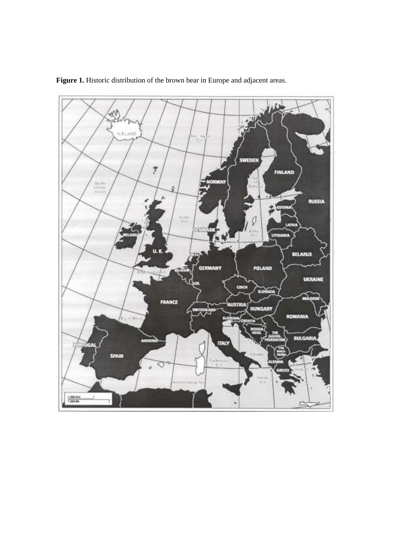

**Figure 1.** Historic distribution of the brown bear in Europe and adjacent areas.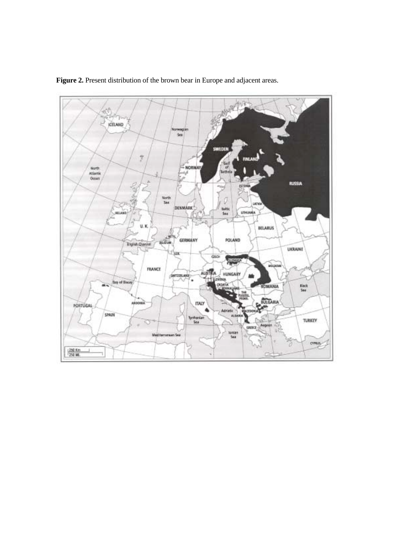

Figure 2. Present distribution of the brown bear in Europe and adjacent areas.